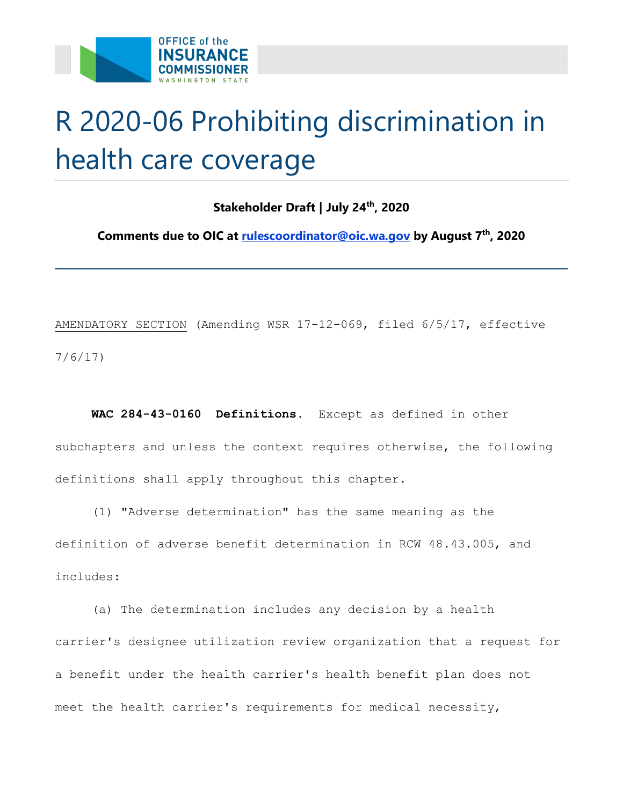

## R 2020-06 Prohibiting discrimination in health care coverage

## **Stakeholder Draft | July 24th, 2020**

**Comments due to OIC at [rulescoordinator@oic.wa.gov](mailto:rulescoordinator@oic.wa.gov) by August 7th, 2020** 

AMENDATORY SECTION (Amending WSR 17-12-069, filed 6/5/17, effective 7/6/17)

 **WAC 284-43-0160 Definitions.** Except as defined in other subchapters and unless the context requires otherwise, the following definitions shall apply throughout this chapter.

(1) "Adverse determination" has the same meaning as the definition of adverse benefit determination in RCW 48.43.005, and includes:

(a) The determination includes any decision by a health carrier's designee utilization review organization that a request for a benefit under the health carrier's health benefit plan does not meet the health carrier's requirements for medical necessity,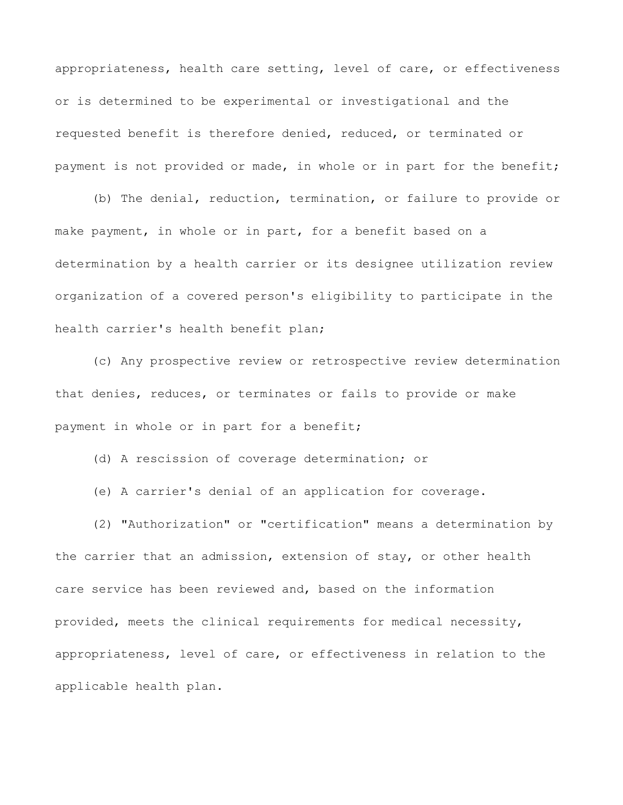appropriateness, health care setting, level of care, or effectiveness or is determined to be experimental or investigational and the requested benefit is therefore denied, reduced, or terminated or payment is not provided or made, in whole or in part for the benefit;

(b) The denial, reduction, termination, or failure to provide or make payment, in whole or in part, for a benefit based on a determination by a health carrier or its designee utilization review organization of a covered person's eligibility to participate in the health carrier's health benefit plan;

(c) Any prospective review or retrospective review determination that denies, reduces, or terminates or fails to provide or make payment in whole or in part for a benefit;

(d) A rescission of coverage determination; or

(e) A carrier's denial of an application for coverage.

(2) "Authorization" or "certification" means a determination by the carrier that an admission, extension of stay, or other health care service has been reviewed and, based on the information provided, meets the clinical requirements for medical necessity, appropriateness, level of care, or effectiveness in relation to the applicable health plan.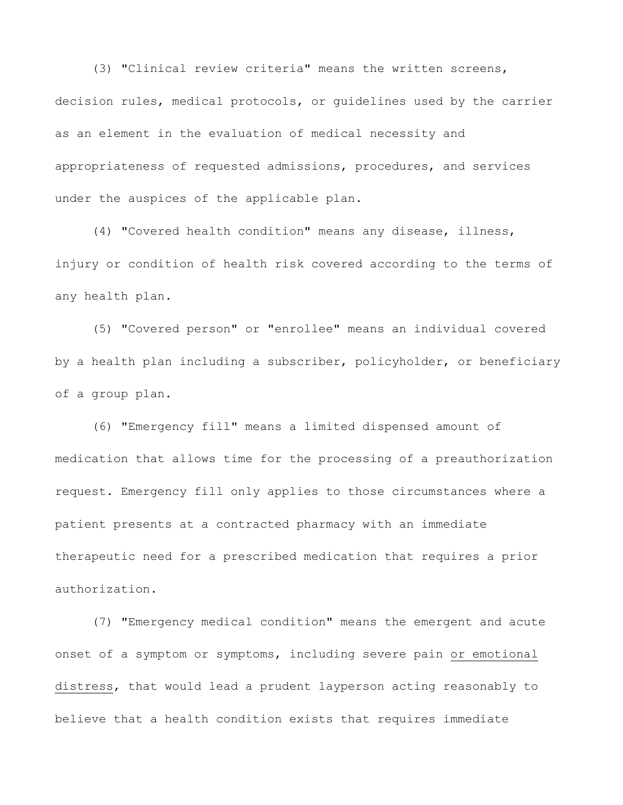(3) "Clinical review criteria" means the written screens, decision rules, medical protocols, or guidelines used by the carrier as an element in the evaluation of medical necessity and appropriateness of requested admissions, procedures, and services under the auspices of the applicable plan.

(4) "Covered health condition" means any disease, illness, injury or condition of health risk covered according to the terms of any health plan.

(5) "Covered person" or "enrollee" means an individual covered by a health plan including a subscriber, policyholder, or beneficiary of a group plan.

(6) "Emergency fill" means a limited dispensed amount of medication that allows time for the processing of a preauthorization request. Emergency fill only applies to those circumstances where a patient presents at a contracted pharmacy with an immediate therapeutic need for a prescribed medication that requires a prior authorization.

(7) "Emergency medical condition" means the emergent and acute onset of a symptom or symptoms, including severe pain or emotional distress, that would lead a prudent layperson acting reasonably to believe that a health condition exists that requires immediate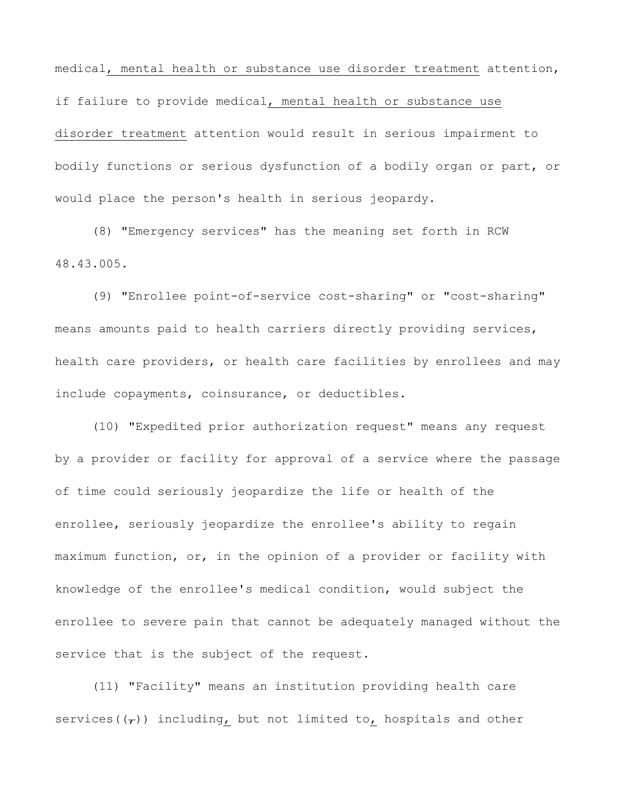medical, mental health or substance use disorder treatment attention, if failure to provide medical, mental health or substance use disorder treatment attention would result in serious impairment to bodily functions or serious dysfunction of a bodily organ or part, or would place the person's health in serious jeopardy.

(8) "Emergency services" has the meaning set forth in RCW 48.43.005.

(9) "Enrollee point-of-service cost-sharing" or "cost-sharing" means amounts paid to health carriers directly providing services, health care providers, or health care facilities by enrollees and may include copayments, coinsurance, or deductibles.

(10) "Expedited prior authorization request" means any request by a provider or facility for approval of a service where the passage of time could seriously jeopardize the life or health of the enrollee, seriously jeopardize the enrollee's ability to regain maximum function, or, in the opinion of a provider or facility with knowledge of the enrollee's medical condition, would subject the enrollee to severe pain that cannot be adequately managed without the service that is the subject of the request.

(11) "Facility" means an institution providing health care services( $(\tau)$ ) including, but not limited to, hospitals and other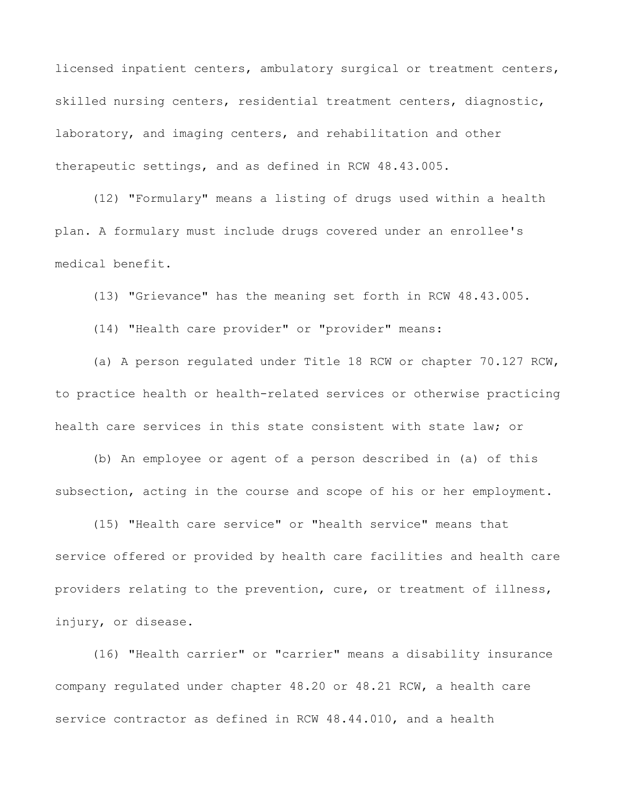licensed inpatient centers, ambulatory surgical or treatment centers, skilled nursing centers, residential treatment centers, diagnostic, laboratory, and imaging centers, and rehabilitation and other therapeutic settings, and as defined in RCW 48.43.005.

(12) "Formulary" means a listing of drugs used within a health plan. A formulary must include drugs covered under an enrollee's medical benefit.

(13) "Grievance" has the meaning set forth in RCW 48.43.005.

(14) "Health care provider" or "provider" means:

(a) A person regulated under Title 18 RCW or chapter 70.127 RCW, to practice health or health-related services or otherwise practicing health care services in this state consistent with state law; or

(b) An employee or agent of a person described in (a) of this subsection, acting in the course and scope of his or her employment.

(15) "Health care service" or "health service" means that service offered or provided by health care facilities and health care providers relating to the prevention, cure, or treatment of illness, injury, or disease.

(16) "Health carrier" or "carrier" means a disability insurance company regulated under chapter 48.20 or 48.21 RCW, a health care service contractor as defined in RCW 48.44.010, and a health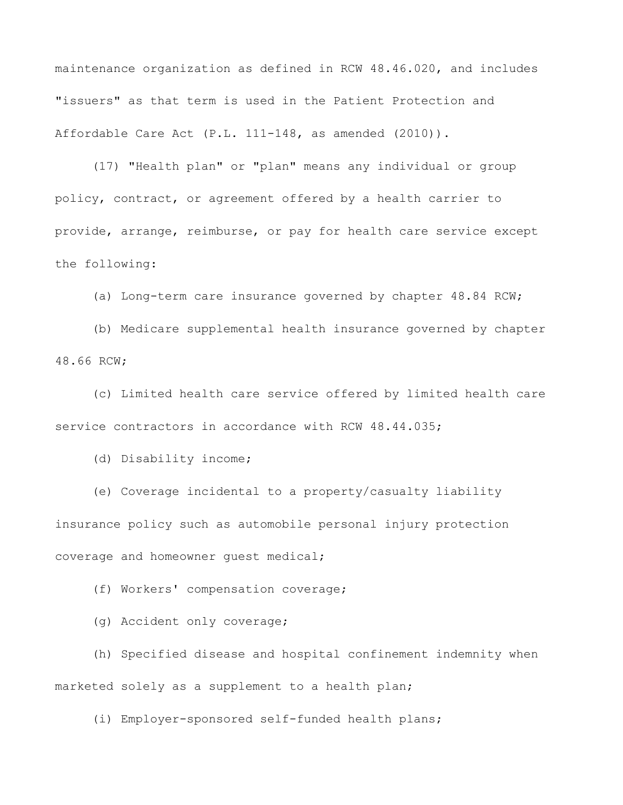maintenance organization as defined in RCW 48.46.020, and includes "issuers" as that term is used in the Patient Protection and Affordable Care Act (P.L. 111-148, as amended (2010)).

(17) "Health plan" or "plan" means any individual or group policy, contract, or agreement offered by a health carrier to provide, arrange, reimburse, or pay for health care service except the following:

(a) Long-term care insurance governed by chapter 48.84 RCW;

(b) Medicare supplemental health insurance governed by chapter 48.66 RCW;

(c) Limited health care service offered by limited health care service contractors in accordance with RCW 48.44.035;

(d) Disability income;

(e) Coverage incidental to a property/casualty liability insurance policy such as automobile personal injury protection coverage and homeowner guest medical;

(f) Workers' compensation coverage;

(g) Accident only coverage;

(h) Specified disease and hospital confinement indemnity when marketed solely as a supplement to a health plan;

(i) Employer-sponsored self-funded health plans;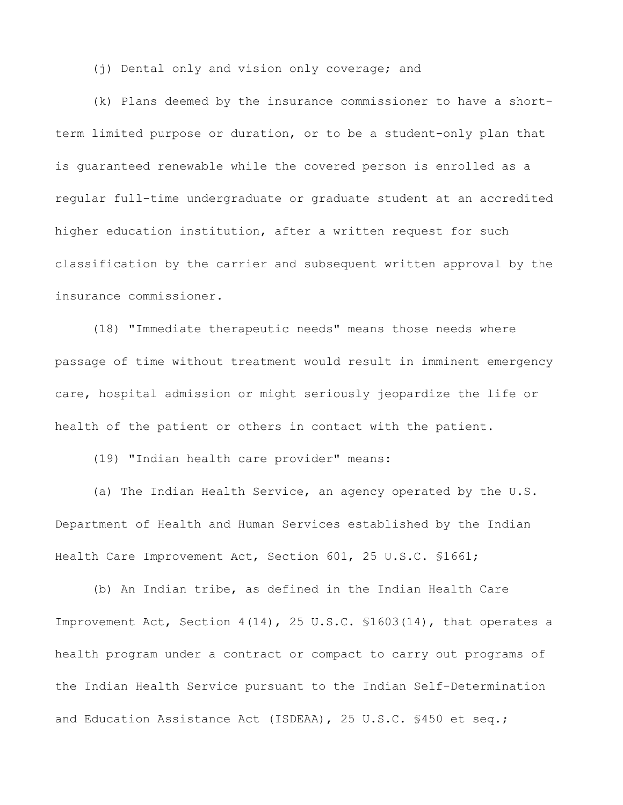(j) Dental only and vision only coverage; and

(k) Plans deemed by the insurance commissioner to have a shortterm limited purpose or duration, or to be a student-only plan that is guaranteed renewable while the covered person is enrolled as a regular full-time undergraduate or graduate student at an accredited higher education institution, after a written request for such classification by the carrier and subsequent written approval by the insurance commissioner.

(18) "Immediate therapeutic needs" means those needs where passage of time without treatment would result in imminent emergency care, hospital admission or might seriously jeopardize the life or health of the patient or others in contact with the patient.

(19) "Indian health care provider" means:

(a) The Indian Health Service, an agency operated by the U.S. Department of Health and Human Services established by the Indian Health Care Improvement Act, Section 601, 25 U.S.C. §1661;

(b) An Indian tribe, as defined in the Indian Health Care Improvement Act, Section 4(14), 25 U.S.C. §1603(14), that operates a health program under a contract or compact to carry out programs of the Indian Health Service pursuant to the Indian Self-Determination and Education Assistance Act (ISDEAA), 25 U.S.C. §450 et seq.;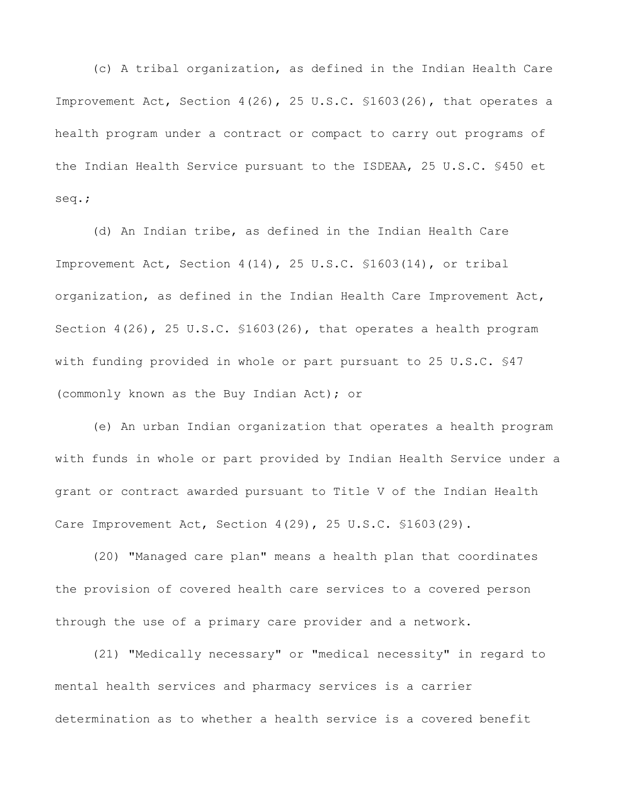(c) A tribal organization, as defined in the Indian Health Care Improvement Act, Section 4(26), 25 U.S.C. §1603(26), that operates a health program under a contract or compact to carry out programs of the Indian Health Service pursuant to the ISDEAA, 25 U.S.C. §450 et seq.;

(d) An Indian tribe, as defined in the Indian Health Care Improvement Act, Section 4(14), 25 U.S.C. §1603(14), or tribal organization, as defined in the Indian Health Care Improvement Act, Section 4(26), 25 U.S.C. §1603(26), that operates a health program with funding provided in whole or part pursuant to 25 U.S.C. §47 (commonly known as the Buy Indian Act); or

(e) An urban Indian organization that operates a health program with funds in whole or part provided by Indian Health Service under a grant or contract awarded pursuant to Title V of the Indian Health Care Improvement Act, Section 4(29), 25 U.S.C. §1603(29).

(20) "Managed care plan" means a health plan that coordinates the provision of covered health care services to a covered person through the use of a primary care provider and a network.

(21) "Medically necessary" or "medical necessity" in regard to mental health services and pharmacy services is a carrier determination as to whether a health service is a covered benefit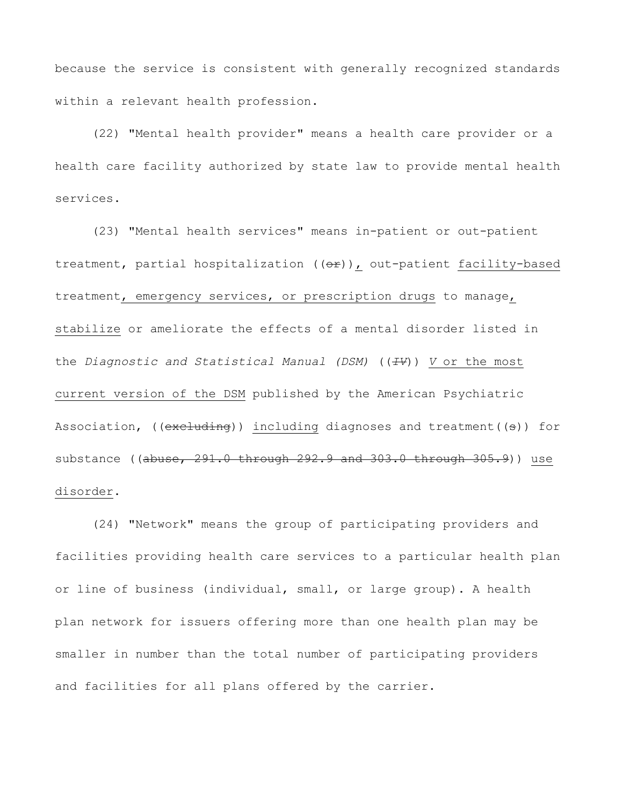because the service is consistent with generally recognized standards within a relevant health profession.

(22) "Mental health provider" means a health care provider or a health care facility authorized by state law to provide mental health services.

(23) "Mental health services" means in-patient or out-patient treatment, partial hospitalization  $((e \rightarrow e))$ , out-patient facility-based treatment, emergency services, or prescription drugs to manage, stabilize or ameliorate the effects of a mental disorder listed in the *Diagnostic and Statistical Manual (DSM)* ((*IV*)) *V* or the most current version of the DSM published by the American Psychiatric Association, (( $excluding$ )) including diagnoses and treatment( $(s)$ ) for substance ((abuse, 291.0 through 292.9 and 303.0 through 305.9)) use disorder.

(24) "Network" means the group of participating providers and facilities providing health care services to a particular health plan or line of business (individual, small, or large group). A health plan network for issuers offering more than one health plan may be smaller in number than the total number of participating providers and facilities for all plans offered by the carrier.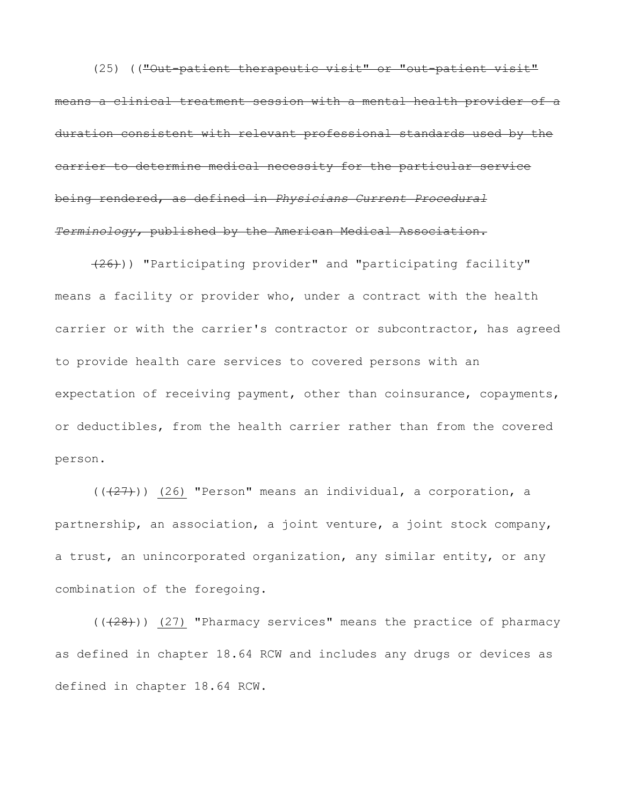(25) (("Out-patient therapeutic visit" or "out-patient visit" means a clinical treatment session with a mental health provider of a duration consistent with relevant professional standards used by the carrier to determine medical necessity for the particular service being rendered, as defined in *Physicians Current Procedural Terminology,* published by the American Medical Association.

(26))) "Participating provider" and "participating facility" means a facility or provider who, under a contract with the health carrier or with the carrier's contractor or subcontractor, has agreed to provide health care services to covered persons with an expectation of receiving payment, other than coinsurance, copayments, or deductibles, from the health carrier rather than from the covered person.

 $((+27))$  (26) "Person" means an individual, a corporation, a partnership, an association, a joint venture, a joint stock company, a trust, an unincorporated organization, any similar entity, or any combination of the foregoing.

 $((+28))$  (27) "Pharmacy services" means the practice of pharmacy as defined in chapter 18.64 RCW and includes any drugs or devices as defined in chapter 18.64 RCW.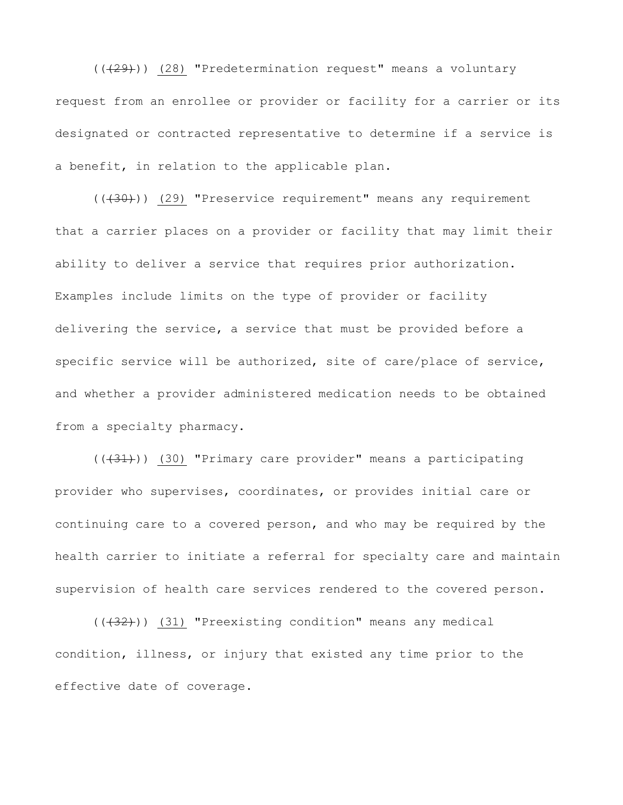$((+29))$  (28) "Predetermination request" means a voluntary request from an enrollee or provider or facility for a carrier or its designated or contracted representative to determine if a service is a benefit, in relation to the applicable plan.

 $((+30))$  (29) "Preservice requirement" means any requirement that a carrier places on a provider or facility that may limit their ability to deliver a service that requires prior authorization. Examples include limits on the type of provider or facility delivering the service, a service that must be provided before a specific service will be authorized, site of care/place of service, and whether a provider administered medication needs to be obtained from a specialty pharmacy.

 $((+31))$  (30) "Primary care provider" means a participating provider who supervises, coordinates, or provides initial care or continuing care to a covered person, and who may be required by the health carrier to initiate a referral for specialty care and maintain supervision of health care services rendered to the covered person.

 $((+32))$  (31) "Preexisting condition" means any medical condition, illness, or injury that existed any time prior to the effective date of coverage.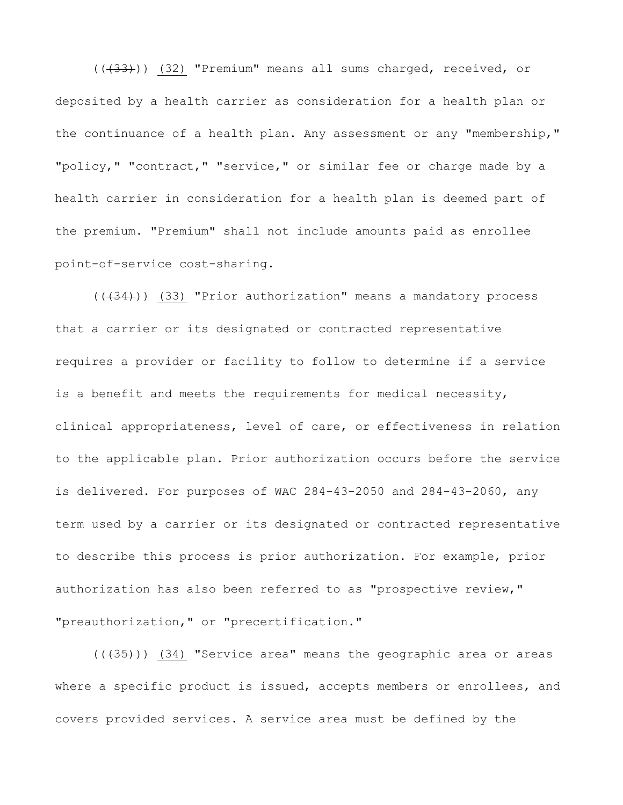(((33))) (32) "Premium" means all sums charged, received, or deposited by a health carrier as consideration for a health plan or the continuance of a health plan. Any assessment or any "membership," "policy," "contract," "service," or similar fee or charge made by a health carrier in consideration for a health plan is deemed part of the premium. "Premium" shall not include amounts paid as enrollee point-of-service cost-sharing.

 $((+34))$  (33) "Prior authorization" means a mandatory process that a carrier or its designated or contracted representative requires a provider or facility to follow to determine if a service is a benefit and meets the requirements for medical necessity, clinical appropriateness, level of care, or effectiveness in relation to the applicable plan. Prior authorization occurs before the service is delivered. For purposes of WAC 284-43-2050 and 284-43-2060, any term used by a carrier or its designated or contracted representative to describe this process is prior authorization. For example, prior authorization has also been referred to as "prospective review," "preauthorization," or "precertification."

 $((+35))$  (34) "Service area" means the geographic area or areas where a specific product is issued, accepts members or enrollees, and covers provided services. A service area must be defined by the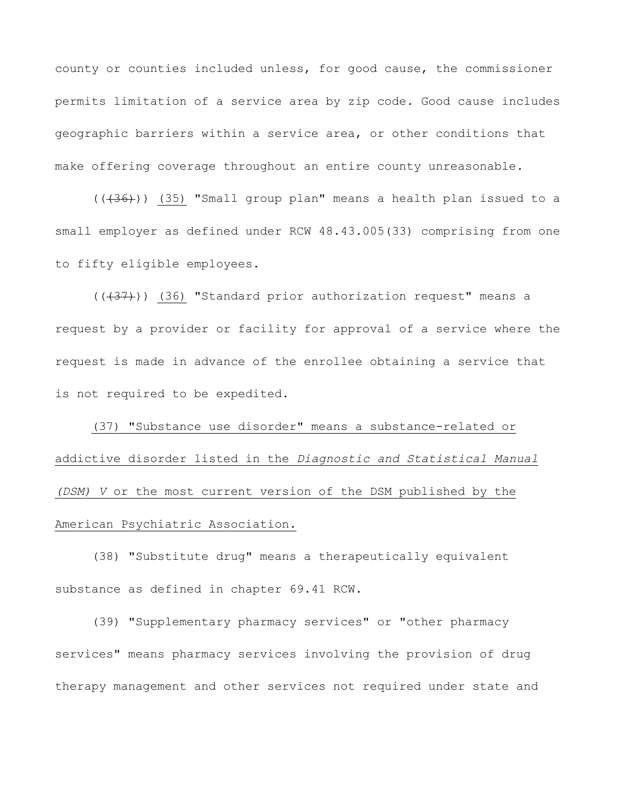county or counties included unless, for good cause, the commissioner permits limitation of a service area by zip code. Good cause includes geographic barriers within a service area, or other conditions that make offering coverage throughout an entire county unreasonable.

 $((+36))$  (35) "Small group plan" means a health plan issued to a small employer as defined under RCW 48.43.005(33) comprising from one to fifty eligible employees.

 $((+37))$  (36) "Standard prior authorization request" means a request by a provider or facility for approval of a service where the request is made in advance of the enrollee obtaining a service that is not required to be expedited.

(37) "Substance use disorder" means a substance-related or addictive disorder listed in the *Diagnostic and Statistical Manual (DSM) V* or the most current version of the DSM published by the American Psychiatric Association.

(38) "Substitute drug" means a therapeutically equivalent substance as defined in chapter 69.41 RCW.

(39) "Supplementary pharmacy services" or "other pharmacy services" means pharmacy services involving the provision of drug therapy management and other services not required under state and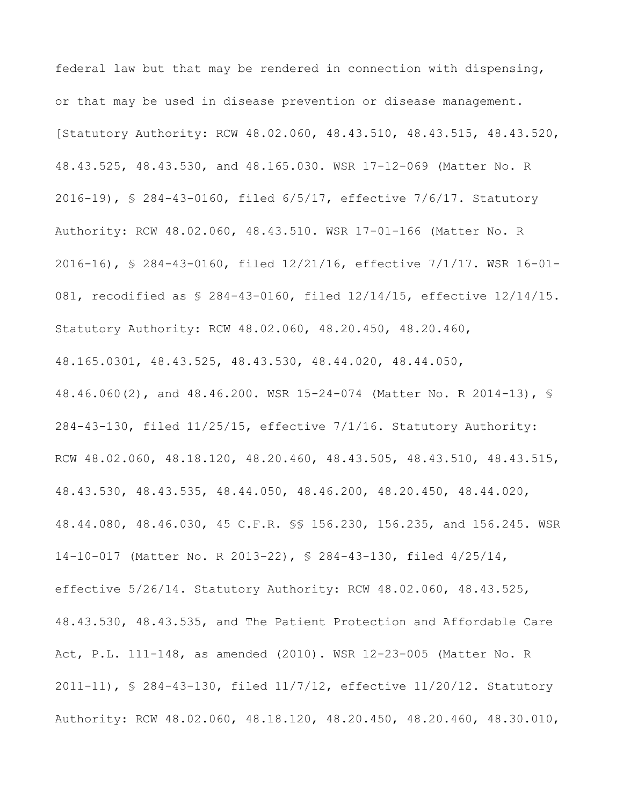federal law but that may be rendered in connection with dispensing, or that may be used in disease prevention or disease management. [Statutory Authority: RCW 48.02.060, 48.43.510, 48.43.515, 48.43.520, 48.43.525, 48.43.530, and 48.165.030. WSR 17-12-069 (Matter No. R 2016-19), § 284-43-0160, filed 6/5/17, effective 7/6/17. Statutory Authority: RCW 48.02.060, 48.43.510. WSR 17-01-166 (Matter No. R 2016-16), § 284-43-0160, filed 12/21/16, effective 7/1/17. WSR 16-01- 081, recodified as § 284-43-0160, filed 12/14/15, effective 12/14/15. Statutory Authority: RCW 48.02.060, 48.20.450, 48.20.460, 48.165.0301, 48.43.525, 48.43.530, 48.44.020, 48.44.050, 48.46.060(2), and 48.46.200. WSR 15-24-074 (Matter No. R 2014-13), § 284-43-130, filed 11/25/15, effective 7/1/16. Statutory Authority: RCW 48.02.060, 48.18.120, 48.20.460, 48.43.505, 48.43.510, 48.43.515, 48.43.530, 48.43.535, 48.44.050, 48.46.200, 48.20.450, 48.44.020, 48.44.080, 48.46.030, 45 C.F.R. §§ 156.230, 156.235, and 156.245. WSR 14-10-017 (Matter No. R 2013-22), § 284-43-130, filed 4/25/14, effective 5/26/14. Statutory Authority: RCW 48.02.060, 48.43.525, 48.43.530, 48.43.535, and The Patient Protection and Affordable Care Act, P.L. 111-148, as amended (2010). WSR 12-23-005 (Matter No. R 2011-11), § 284-43-130, filed 11/7/12, effective 11/20/12. Statutory Authority: RCW 48.02.060, 48.18.120, 48.20.450, 48.20.460, 48.30.010,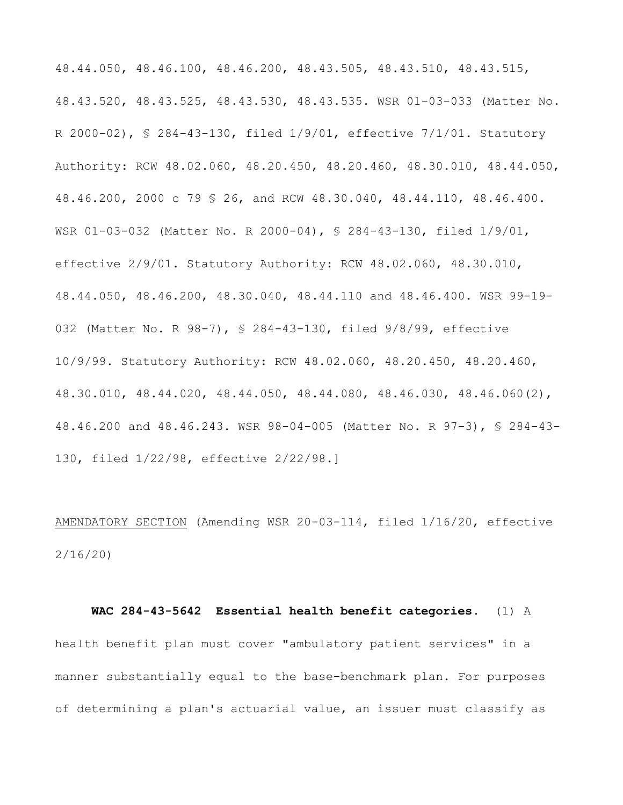48.44.050, 48.46.100, 48.46.200, 48.43.505, 48.43.510, 48.43.515, 48.43.520, 48.43.525, 48.43.530, 48.43.535. WSR 01-03-033 (Matter No. R 2000-02), § 284-43-130, filed 1/9/01, effective 7/1/01. Statutory Authority: RCW 48.02.060, 48.20.450, 48.20.460, 48.30.010, 48.44.050, 48.46.200, 2000 c 79 § 26, and RCW 48.30.040, 48.44.110, 48.46.400. WSR 01-03-032 (Matter No. R 2000-04), § 284-43-130, filed 1/9/01, effective 2/9/01. Statutory Authority: RCW 48.02.060, 48.30.010, 48.44.050, 48.46.200, 48.30.040, 48.44.110 and 48.46.400. WSR 99-19- 032 (Matter No. R 98-7), § 284-43-130, filed 9/8/99, effective 10/9/99. Statutory Authority: RCW 48.02.060, 48.20.450, 48.20.460, 48.30.010, 48.44.020, 48.44.050, 48.44.080, 48.46.030, 48.46.060(2), 48.46.200 and 48.46.243. WSR 98-04-005 (Matter No. R 97-3), § 284-43- 130, filed 1/22/98, effective 2/22/98.]

AMENDATORY SECTION (Amending WSR 20-03-114, filed 1/16/20, effective 2/16/20)

## **WAC 284-43-5642 Essential health benefit categories.** (1) A

health benefit plan must cover "ambulatory patient services" in a manner substantially equal to the base-benchmark plan. For purposes of determining a plan's actuarial value, an issuer must classify as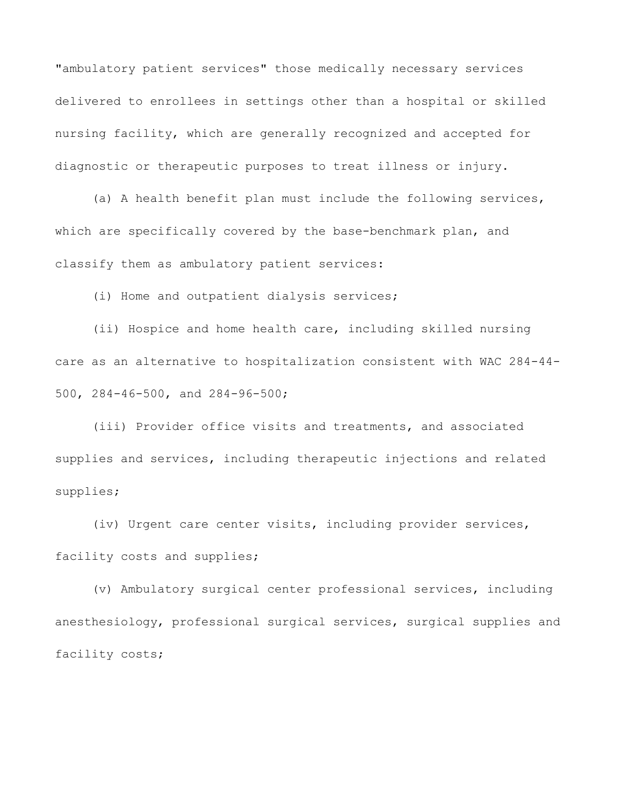"ambulatory patient services" those medically necessary services delivered to enrollees in settings other than a hospital or skilled nursing facility, which are generally recognized and accepted for diagnostic or therapeutic purposes to treat illness or injury.

(a) A health benefit plan must include the following services, which are specifically covered by the base-benchmark plan, and classify them as ambulatory patient services:

(i) Home and outpatient dialysis services;

(ii) Hospice and home health care, including skilled nursing care as an alternative to hospitalization consistent with WAC 284-44- 500, 284-46-500, and 284-96-500;

(iii) Provider office visits and treatments, and associated supplies and services, including therapeutic injections and related supplies;

(iv) Urgent care center visits, including provider services, facility costs and supplies;

(v) Ambulatory surgical center professional services, including anesthesiology, professional surgical services, surgical supplies and facility costs;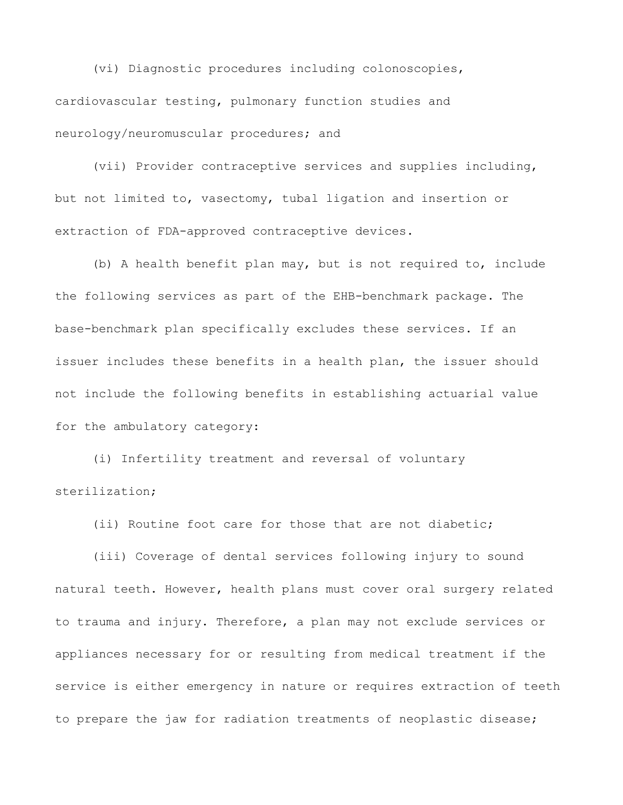(vi) Diagnostic procedures including colonoscopies, cardiovascular testing, pulmonary function studies and neurology/neuromuscular procedures; and

(vii) Provider contraceptive services and supplies including, but not limited to, vasectomy, tubal ligation and insertion or extraction of FDA-approved contraceptive devices.

(b) A health benefit plan may, but is not required to, include the following services as part of the EHB-benchmark package. The base-benchmark plan specifically excludes these services. If an issuer includes these benefits in a health plan, the issuer should not include the following benefits in establishing actuarial value for the ambulatory category:

(i) Infertility treatment and reversal of voluntary sterilization;

(ii) Routine foot care for those that are not diabetic;

(iii) Coverage of dental services following injury to sound natural teeth. However, health plans must cover oral surgery related to trauma and injury. Therefore, a plan may not exclude services or appliances necessary for or resulting from medical treatment if the service is either emergency in nature or requires extraction of teeth to prepare the jaw for radiation treatments of neoplastic disease;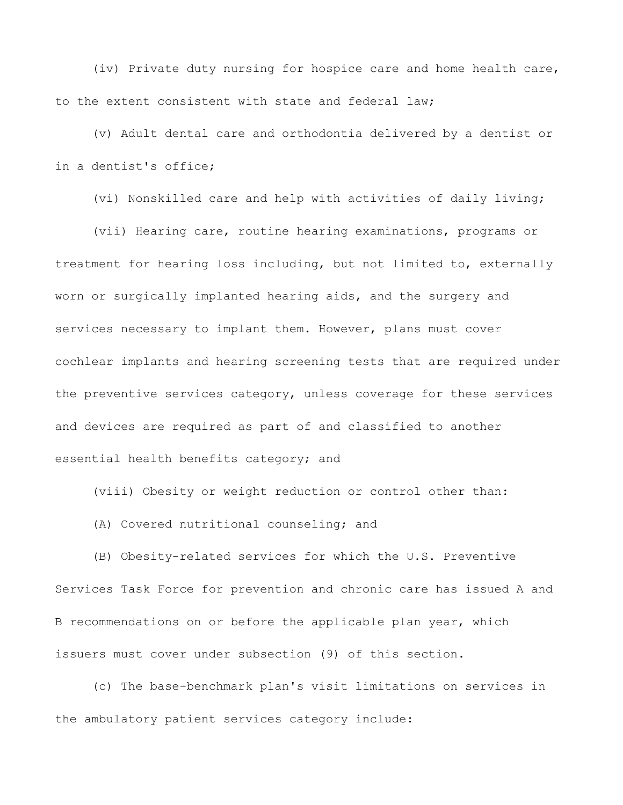(iv) Private duty nursing for hospice care and home health care, to the extent consistent with state and federal law;

(v) Adult dental care and orthodontia delivered by a dentist or in a dentist's office;

(vi) Nonskilled care and help with activities of daily living;

(vii) Hearing care, routine hearing examinations, programs or treatment for hearing loss including, but not limited to, externally worn or surgically implanted hearing aids, and the surgery and services necessary to implant them. However, plans must cover cochlear implants and hearing screening tests that are required under the preventive services category, unless coverage for these services and devices are required as part of and classified to another essential health benefits category; and

(viii) Obesity or weight reduction or control other than:

(A) Covered nutritional counseling; and

(B) Obesity-related services for which the U.S. Preventive Services Task Force for prevention and chronic care has issued A and B recommendations on or before the applicable plan year, which issuers must cover under subsection (9) of this section.

(c) The base-benchmark plan's visit limitations on services in the ambulatory patient services category include: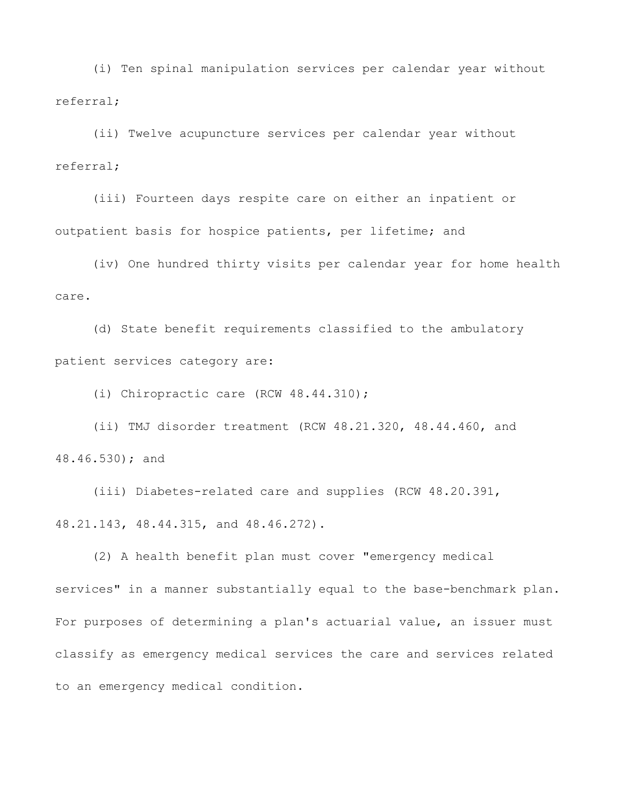(i) Ten spinal manipulation services per calendar year without referral;

(ii) Twelve acupuncture services per calendar year without referral;

(iii) Fourteen days respite care on either an inpatient or outpatient basis for hospice patients, per lifetime; and

(iv) One hundred thirty visits per calendar year for home health care.

(d) State benefit requirements classified to the ambulatory patient services category are:

(i) Chiropractic care (RCW 48.44.310);

(ii) TMJ disorder treatment (RCW 48.21.320, 48.44.460, and 48.46.530); and

(iii) Diabetes-related care and supplies (RCW 48.20.391, 48.21.143, 48.44.315, and 48.46.272).

(2) A health benefit plan must cover "emergency medical services" in a manner substantially equal to the base-benchmark plan. For purposes of determining a plan's actuarial value, an issuer must classify as emergency medical services the care and services related to an emergency medical condition.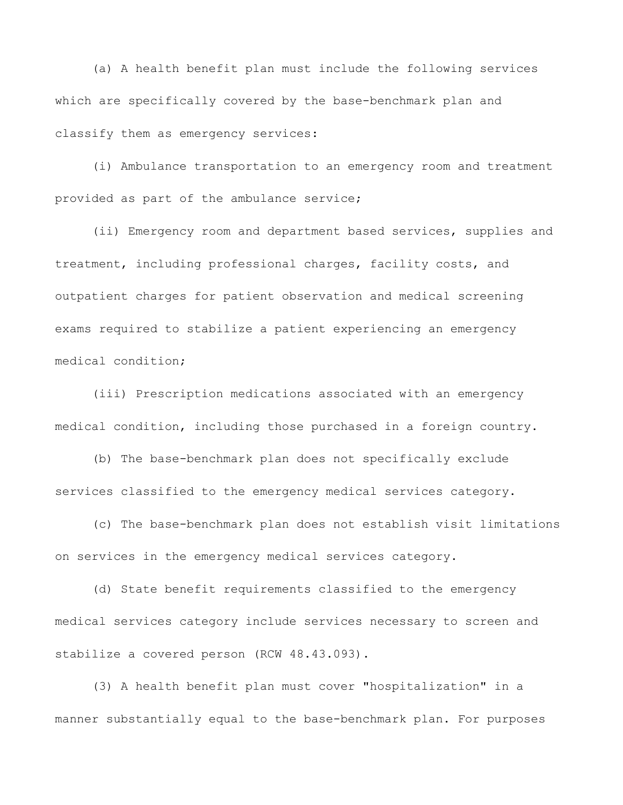(a) A health benefit plan must include the following services which are specifically covered by the base-benchmark plan and classify them as emergency services:

(i) Ambulance transportation to an emergency room and treatment provided as part of the ambulance service;

(ii) Emergency room and department based services, supplies and treatment, including professional charges, facility costs, and outpatient charges for patient observation and medical screening exams required to stabilize a patient experiencing an emergency medical condition;

(iii) Prescription medications associated with an emergency medical condition, including those purchased in a foreign country.

(b) The base-benchmark plan does not specifically exclude services classified to the emergency medical services category.

(c) The base-benchmark plan does not establish visit limitations on services in the emergency medical services category.

(d) State benefit requirements classified to the emergency medical services category include services necessary to screen and stabilize a covered person (RCW 48.43.093).

(3) A health benefit plan must cover "hospitalization" in a manner substantially equal to the base-benchmark plan. For purposes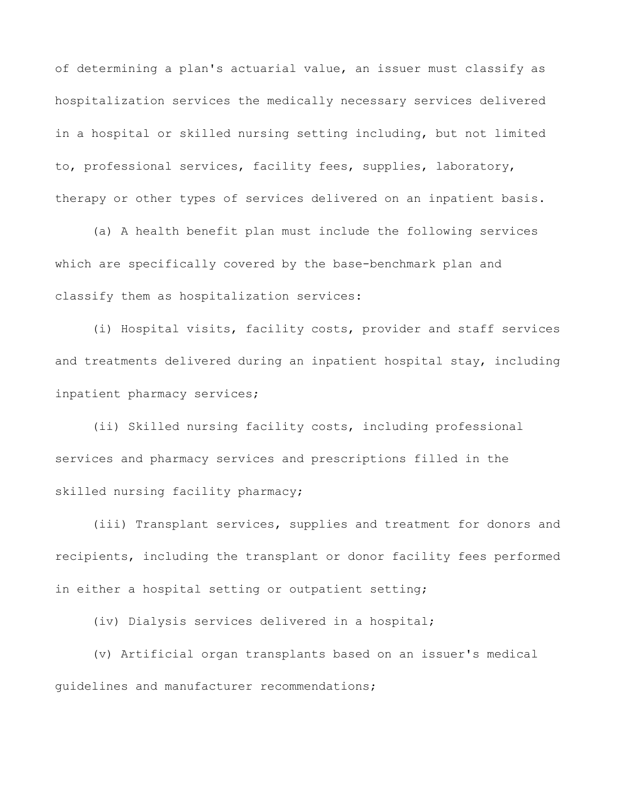of determining a plan's actuarial value, an issuer must classify as hospitalization services the medically necessary services delivered in a hospital or skilled nursing setting including, but not limited to, professional services, facility fees, supplies, laboratory, therapy or other types of services delivered on an inpatient basis.

(a) A health benefit plan must include the following services which are specifically covered by the base-benchmark plan and classify them as hospitalization services:

(i) Hospital visits, facility costs, provider and staff services and treatments delivered during an inpatient hospital stay, including inpatient pharmacy services;

(ii) Skilled nursing facility costs, including professional services and pharmacy services and prescriptions filled in the skilled nursing facility pharmacy;

(iii) Transplant services, supplies and treatment for donors and recipients, including the transplant or donor facility fees performed in either a hospital setting or outpatient setting;

(iv) Dialysis services delivered in a hospital;

(v) Artificial organ transplants based on an issuer's medical guidelines and manufacturer recommendations;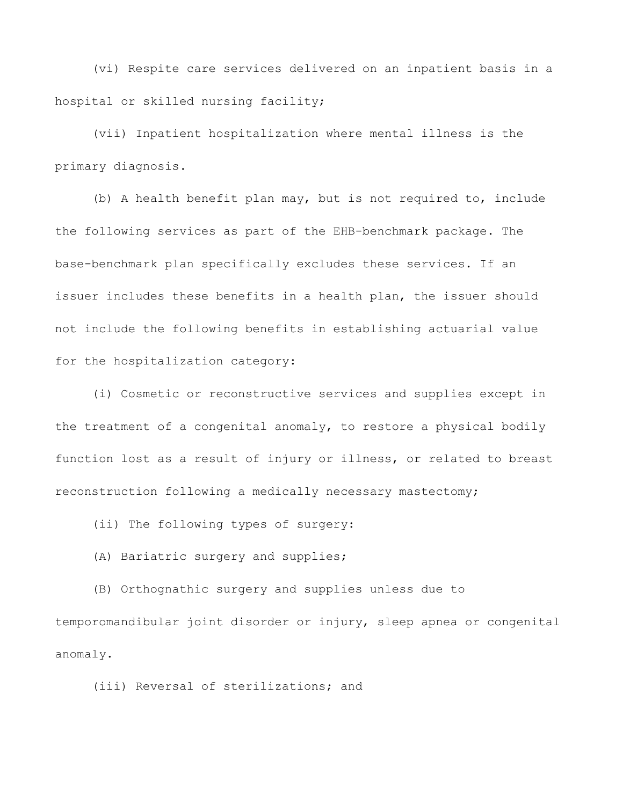(vi) Respite care services delivered on an inpatient basis in a hospital or skilled nursing facility;

(vii) Inpatient hospitalization where mental illness is the primary diagnosis.

(b) A health benefit plan may, but is not required to, include the following services as part of the EHB-benchmark package. The base-benchmark plan specifically excludes these services. If an issuer includes these benefits in a health plan, the issuer should not include the following benefits in establishing actuarial value for the hospitalization category:

(i) Cosmetic or reconstructive services and supplies except in the treatment of a congenital anomaly, to restore a physical bodily function lost as a result of injury or illness, or related to breast reconstruction following a medically necessary mastectomy;

(ii) The following types of surgery:

(A) Bariatric surgery and supplies;

(B) Orthognathic surgery and supplies unless due to temporomandibular joint disorder or injury, sleep apnea or congenital anomaly.

(iii) Reversal of sterilizations; and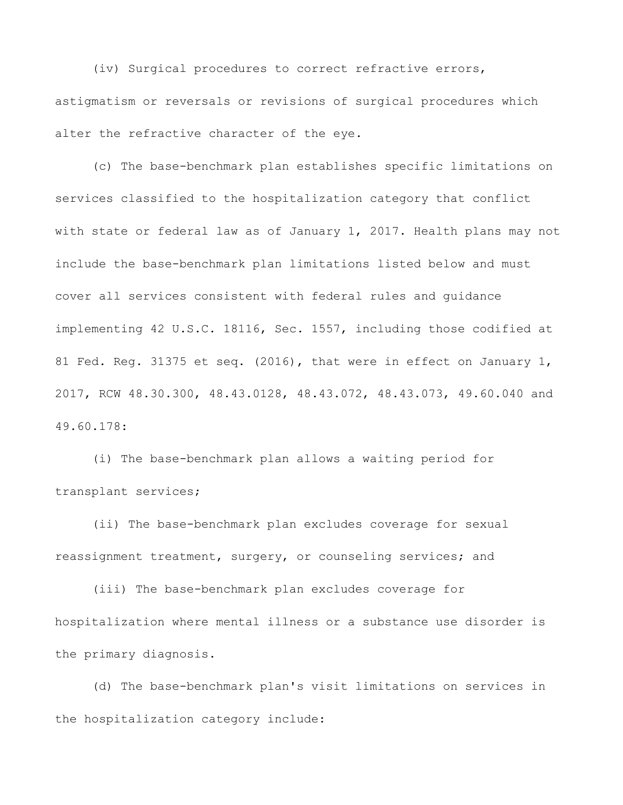(iv) Surgical procedures to correct refractive errors, astigmatism or reversals or revisions of surgical procedures which alter the refractive character of the eye.

(c) The base-benchmark plan establishes specific limitations on services classified to the hospitalization category that conflict with state or federal law as of January 1, 2017. Health plans may not include the base-benchmark plan limitations listed below and must cover all services consistent with federal rules and guidance implementing 42 U.S.C. 18116, Sec. 1557, including those codified at 81 Fed. Reg. 31375 et seq. (2016), that were in effect on January 1, 2017, RCW 48.30.300, 48.43.0128, 48.43.072, 48.43.073, 49.60.040 and 49.60.178:

(i) The base-benchmark plan allows a waiting period for transplant services;

(ii) The base-benchmark plan excludes coverage for sexual reassignment treatment, surgery, or counseling services; and

(iii) The base-benchmark plan excludes coverage for hospitalization where mental illness or a substance use disorder is the primary diagnosis.

(d) The base-benchmark plan's visit limitations on services in the hospitalization category include: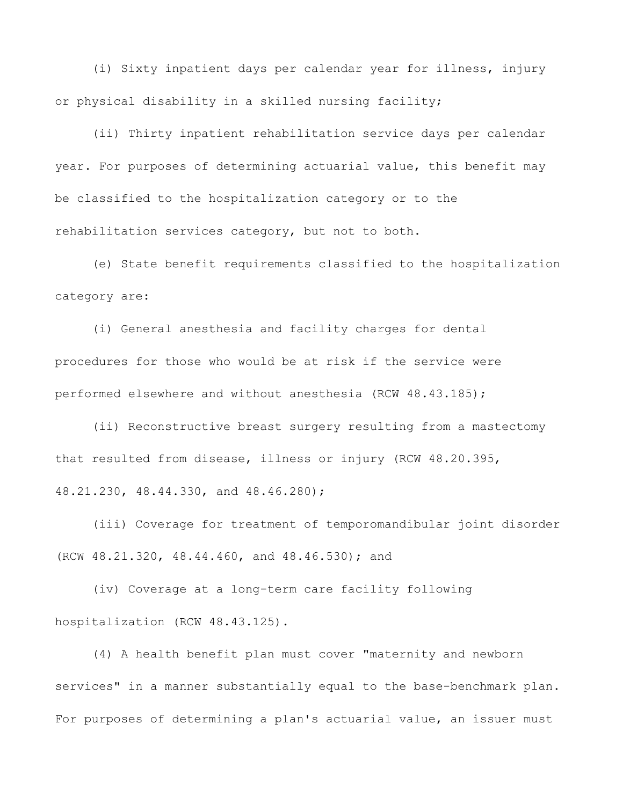(i) Sixty inpatient days per calendar year for illness, injury or physical disability in a skilled nursing facility;

(ii) Thirty inpatient rehabilitation service days per calendar year. For purposes of determining actuarial value, this benefit may be classified to the hospitalization category or to the rehabilitation services category, but not to both.

(e) State benefit requirements classified to the hospitalization category are:

(i) General anesthesia and facility charges for dental procedures for those who would be at risk if the service were performed elsewhere and without anesthesia (RCW 48.43.185);

(ii) Reconstructive breast surgery resulting from a mastectomy that resulted from disease, illness or injury (RCW 48.20.395, 48.21.230, 48.44.330, and 48.46.280);

(iii) Coverage for treatment of temporomandibular joint disorder (RCW 48.21.320, 48.44.460, and 48.46.530); and

(iv) Coverage at a long-term care facility following hospitalization (RCW 48.43.125).

(4) A health benefit plan must cover "maternity and newborn services" in a manner substantially equal to the base-benchmark plan. For purposes of determining a plan's actuarial value, an issuer must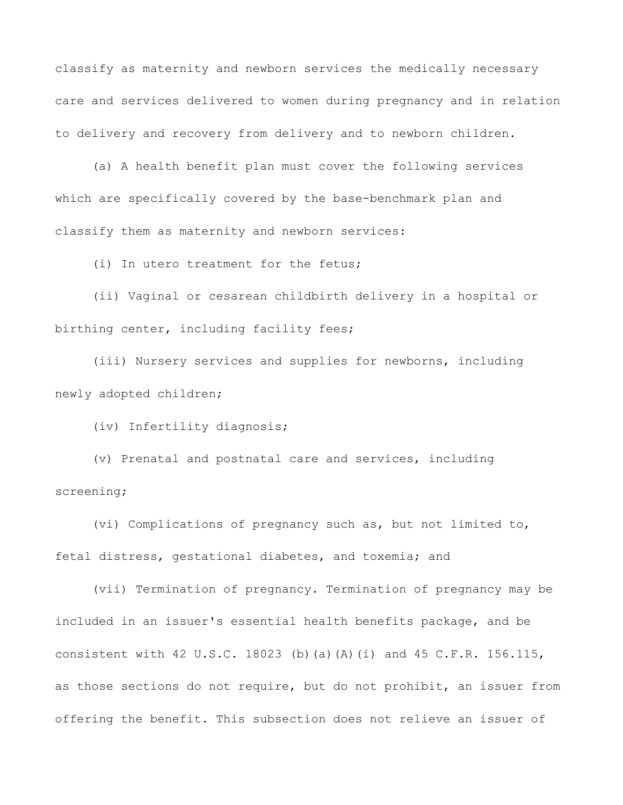classify as maternity and newborn services the medically necessary care and services delivered to women during pregnancy and in relation to delivery and recovery from delivery and to newborn children.

(a) A health benefit plan must cover the following services which are specifically covered by the base-benchmark plan and classify them as maternity and newborn services:

(i) In utero treatment for the fetus;

(ii) Vaginal or cesarean childbirth delivery in a hospital or birthing center, including facility fees;

(iii) Nursery services and supplies for newborns, including newly adopted children;

(iv) Infertility diagnosis;

(v) Prenatal and postnatal care and services, including screening;

(vi) Complications of pregnancy such as, but not limited to, fetal distress, gestational diabetes, and toxemia; and

(vii) Termination of pregnancy. Termination of pregnancy may be included in an issuer's essential health benefits package, and be consistent with 42 U.S.C. 18023 (b)(a)(A)(i) and 45 C.F.R. 156.115, as those sections do not require, but do not prohibit, an issuer from offering the benefit. This subsection does not relieve an issuer of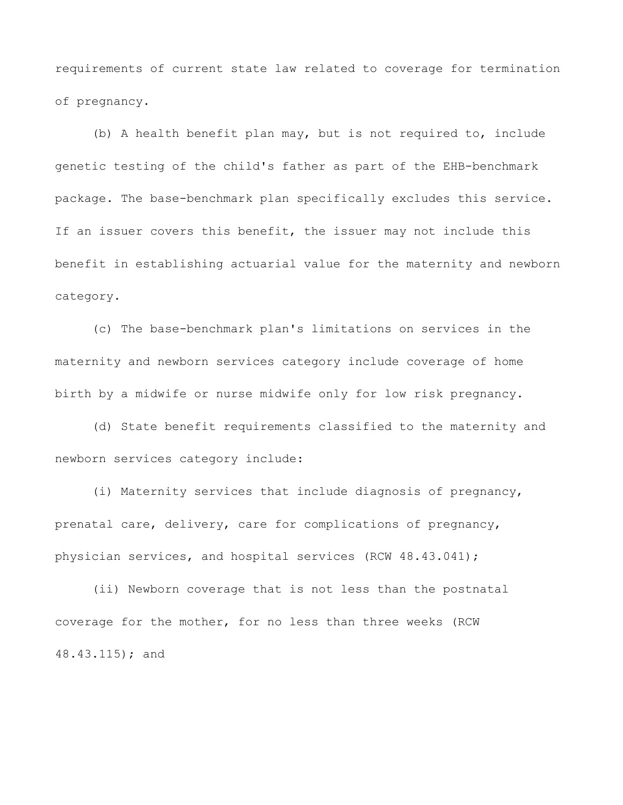requirements of current state law related to coverage for termination of pregnancy.

(b) A health benefit plan may, but is not required to, include genetic testing of the child's father as part of the EHB-benchmark package. The base-benchmark plan specifically excludes this service. If an issuer covers this benefit, the issuer may not include this benefit in establishing actuarial value for the maternity and newborn category.

(c) The base-benchmark plan's limitations on services in the maternity and newborn services category include coverage of home birth by a midwife or nurse midwife only for low risk pregnancy.

(d) State benefit requirements classified to the maternity and newborn services category include:

(i) Maternity services that include diagnosis of pregnancy, prenatal care, delivery, care for complications of pregnancy, physician services, and hospital services (RCW 48.43.041);

(ii) Newborn coverage that is not less than the postnatal coverage for the mother, for no less than three weeks (RCW 48.43.115); and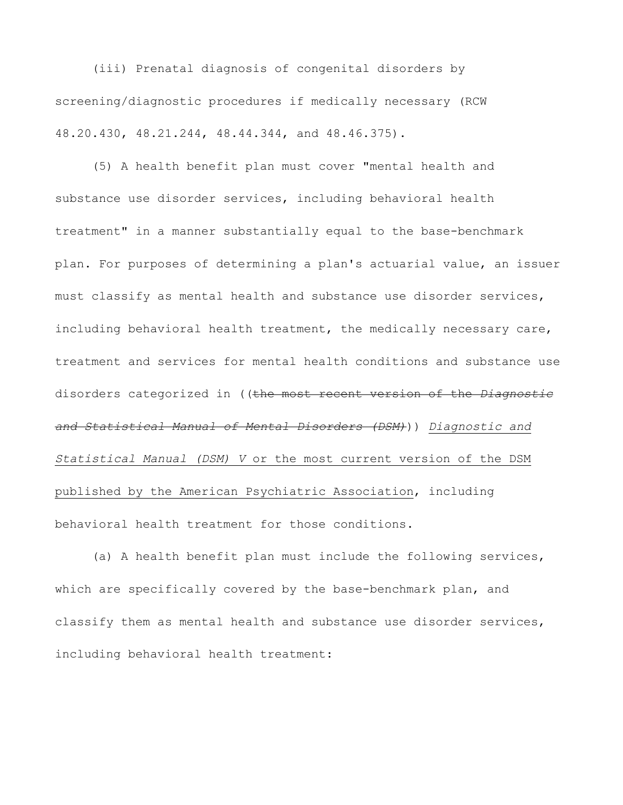(iii) Prenatal diagnosis of congenital disorders by screening/diagnostic procedures if medically necessary (RCW 48.20.430, 48.21.244, 48.44.344, and 48.46.375).

(5) A health benefit plan must cover "mental health and substance use disorder services, including behavioral health treatment" in a manner substantially equal to the base-benchmark plan. For purposes of determining a plan's actuarial value, an issuer must classify as mental health and substance use disorder services, including behavioral health treatment, the medically necessary care, treatment and services for mental health conditions and substance use disorders categorized in ((the most recent version of the *Diagnostic and Statistical Manual of Mental Disorders (DSM)*)) *Diagnostic and Statistical Manual (DSM) V* or the most current version of the DSM published by the American Psychiatric Association, including behavioral health treatment for those conditions.

(a) A health benefit plan must include the following services, which are specifically covered by the base-benchmark plan, and classify them as mental health and substance use disorder services, including behavioral health treatment: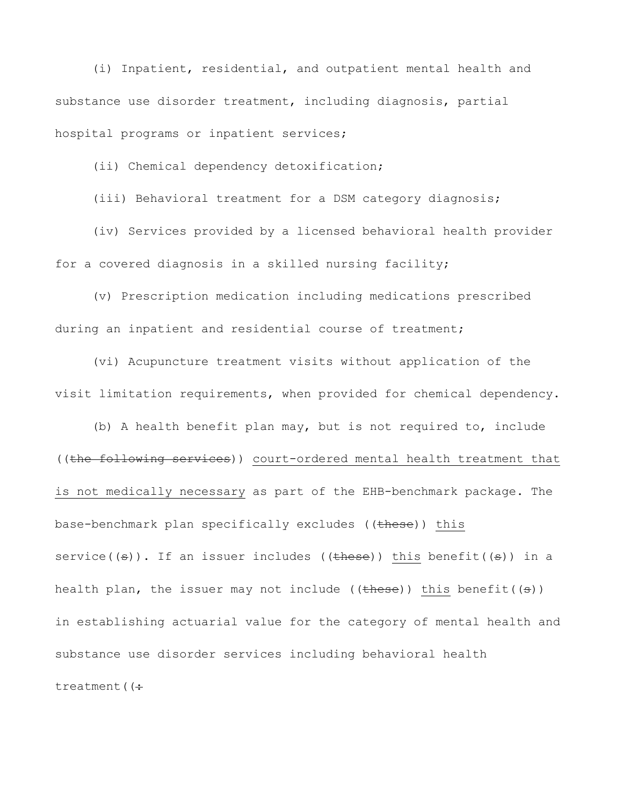(i) Inpatient, residential, and outpatient mental health and substance use disorder treatment, including diagnosis, partial hospital programs or inpatient services;

(ii) Chemical dependency detoxification;

(iii) Behavioral treatment for a DSM category diagnosis;

(iv) Services provided by a licensed behavioral health provider for a covered diagnosis in a skilled nursing facility;

(v) Prescription medication including medications prescribed during an inpatient and residential course of treatment;

(vi) Acupuncture treatment visits without application of the visit limitation requirements, when provided for chemical dependency.

(b) A health benefit plan may, but is not required to, include ((the following services)) court-ordered mental health treatment that is not medically necessary as part of the EHB-benchmark package. The base-benchmark plan specifically excludes ((these)) this service( $(\epsilon)$ ). If an issuer includes ( $(\epsilon)$ ) this benefit( $(\epsilon)$ ) in a health plan, the issuer may not include (( $\frac{1}{2}$ ) this benefit(( $\frac{1}{3}$ )) in establishing actuarial value for the category of mental health and substance use disorder services including behavioral health treatment  $($   $($   $\div$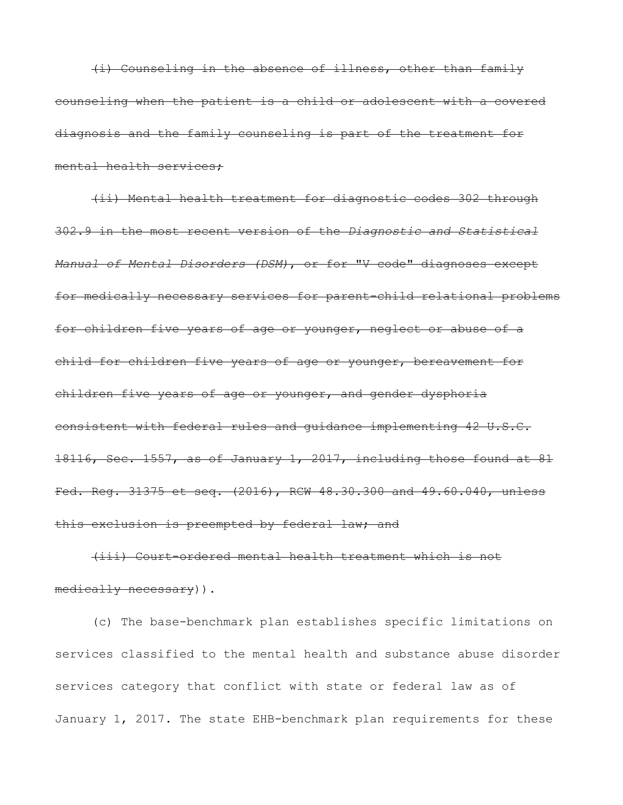(i) Counseling in the absence of illness, other than family counseling when the patient is a child or adolescent with a covered diagnosis and the family counseling is part of the treatment for mental health services;

(ii) Mental health treatment for diagnostic codes 302 through 302.9 in the most recent version of the *Diagnostic and Statistical Manual of Mental Disorders (DSM)*, or for "V code" diagnoses except for medically necessary services for parent-child relational problems for children five years of age or younger, neglect or abuse of a child for children five years of age or younger, bereavement for children five years of age or younger, and gender dysphoria consistent with federal rules and guidance implementing 42 U.S.C. 18116, Sec. 1557, as of January 1, 2017, including those found at 81 Fed. Reg. 31375 et seq. (2016), RCW 48.30.300 and 49.60.040, unless this exclusion is preempted by federal law; and

(iii) Court-ordered mental health treatment which is not medically necessary)).

(c) The base-benchmark plan establishes specific limitations on services classified to the mental health and substance abuse disorder services category that conflict with state or federal law as of January 1, 2017. The state EHB-benchmark plan requirements for these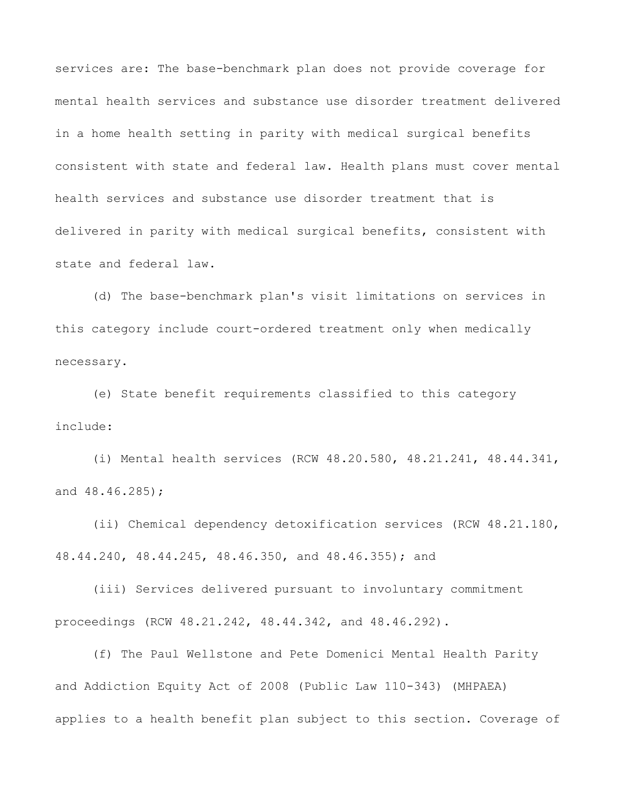services are: The base-benchmark plan does not provide coverage for mental health services and substance use disorder treatment delivered in a home health setting in parity with medical surgical benefits consistent with state and federal law. Health plans must cover mental health services and substance use disorder treatment that is delivered in parity with medical surgical benefits, consistent with state and federal law.

(d) The base-benchmark plan's visit limitations on services in this category include court-ordered treatment only when medically necessary.

(e) State benefit requirements classified to this category include:

(i) Mental health services (RCW 48.20.580, 48.21.241, 48.44.341, and 48.46.285);

(ii) Chemical dependency detoxification services (RCW 48.21.180, 48.44.240, 48.44.245, 48.46.350, and 48.46.355); and

(iii) Services delivered pursuant to involuntary commitment proceedings (RCW 48.21.242, 48.44.342, and 48.46.292).

(f) The Paul Wellstone and Pete Domenici Mental Health Parity and Addiction Equity Act of 2008 (Public Law 110-343) (MHPAEA) applies to a health benefit plan subject to this section. Coverage of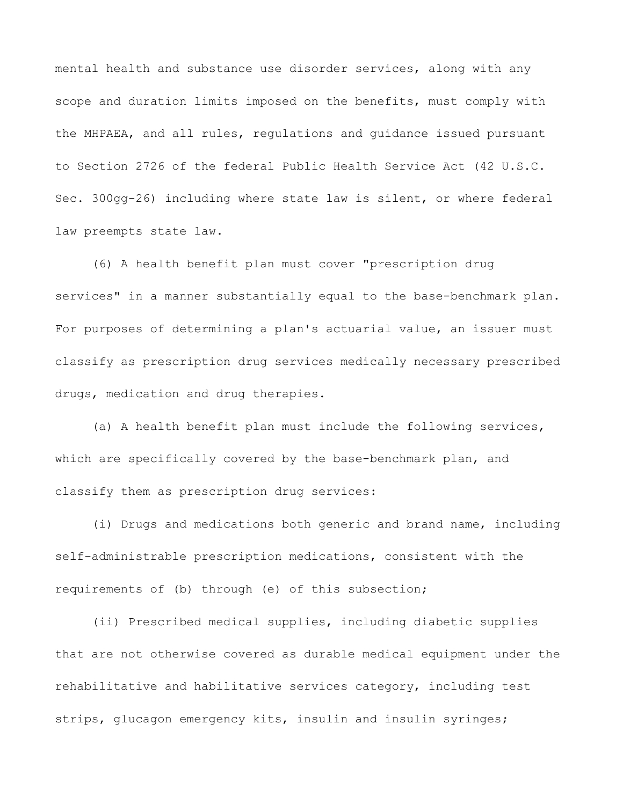mental health and substance use disorder services, along with any scope and duration limits imposed on the benefits, must comply with the MHPAEA, and all rules, regulations and guidance issued pursuant to Section 2726 of the federal Public Health Service Act (42 U.S.C. Sec. 300gg-26) including where state law is silent, or where federal law preempts state law.

(6) A health benefit plan must cover "prescription drug services" in a manner substantially equal to the base-benchmark plan. For purposes of determining a plan's actuarial value, an issuer must classify as prescription drug services medically necessary prescribed drugs, medication and drug therapies.

(a) A health benefit plan must include the following services, which are specifically covered by the base-benchmark plan, and classify them as prescription drug services:

(i) Drugs and medications both generic and brand name, including self-administrable prescription medications, consistent with the requirements of (b) through (e) of this subsection;

(ii) Prescribed medical supplies, including diabetic supplies that are not otherwise covered as durable medical equipment under the rehabilitative and habilitative services category, including test strips, glucagon emergency kits, insulin and insulin syringes;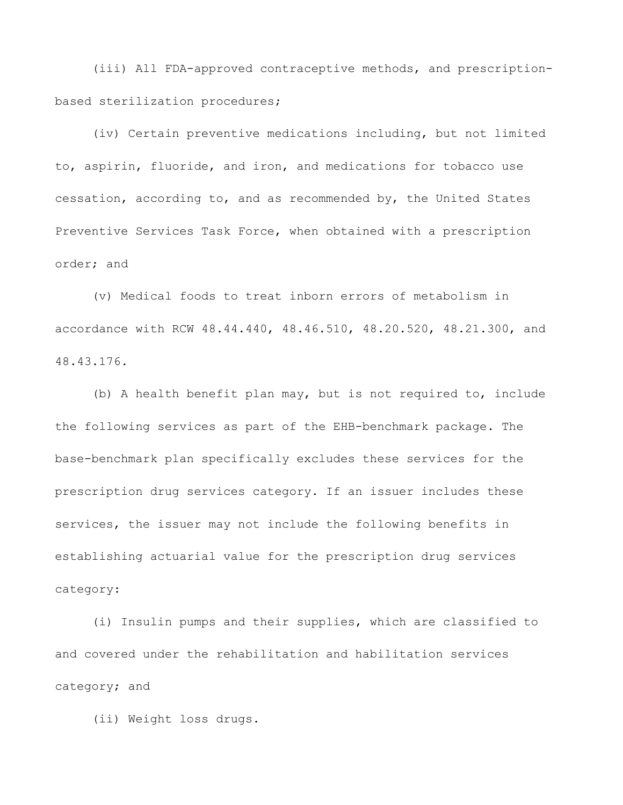(iii) All FDA-approved contraceptive methods, and prescriptionbased sterilization procedures;

(iv) Certain preventive medications including, but not limited to, aspirin, fluoride, and iron, and medications for tobacco use cessation, according to, and as recommended by, the United States Preventive Services Task Force, when obtained with a prescription order; and

(v) Medical foods to treat inborn errors of metabolism in accordance with RCW 48.44.440, 48.46.510, 48.20.520, 48.21.300, and 48.43.176.

(b) A health benefit plan may, but is not required to, include the following services as part of the EHB-benchmark package. The base-benchmark plan specifically excludes these services for the prescription drug services category. If an issuer includes these services, the issuer may not include the following benefits in establishing actuarial value for the prescription drug services category:

(i) Insulin pumps and their supplies, which are classified to and covered under the rehabilitation and habilitation services category; and

(ii) Weight loss drugs.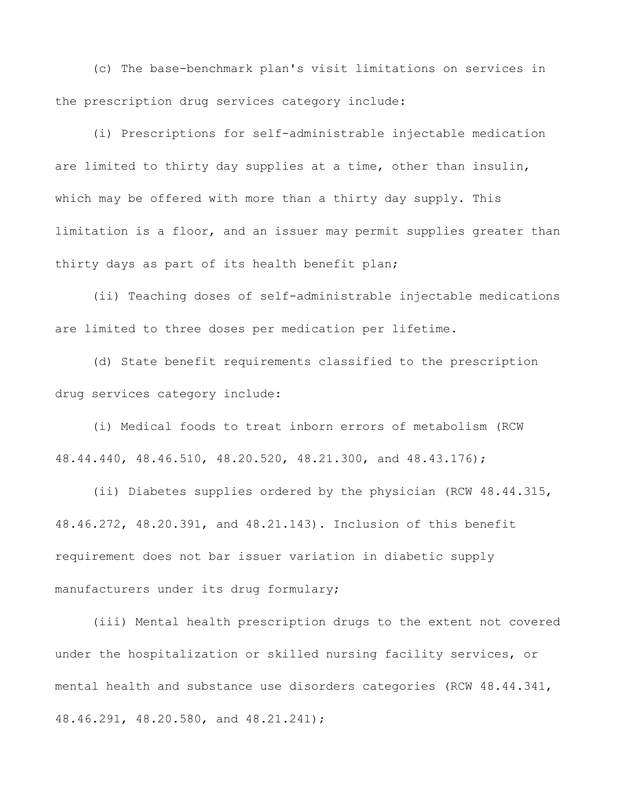(c) The base-benchmark plan's visit limitations on services in the prescription drug services category include:

(i) Prescriptions for self-administrable injectable medication are limited to thirty day supplies at a time, other than insulin, which may be offered with more than a thirty day supply. This limitation is a floor, and an issuer may permit supplies greater than thirty days as part of its health benefit plan;

(ii) Teaching doses of self-administrable injectable medications are limited to three doses per medication per lifetime.

(d) State benefit requirements classified to the prescription drug services category include:

(i) Medical foods to treat inborn errors of metabolism (RCW 48.44.440, 48.46.510, 48.20.520, 48.21.300, and 48.43.176);

(ii) Diabetes supplies ordered by the physician (RCW 48.44.315, 48.46.272, 48.20.391, and 48.21.143). Inclusion of this benefit requirement does not bar issuer variation in diabetic supply manufacturers under its drug formulary;

(iii) Mental health prescription drugs to the extent not covered under the hospitalization or skilled nursing facility services, or mental health and substance use disorders categories (RCW 48.44.341, 48.46.291, 48.20.580, and 48.21.241);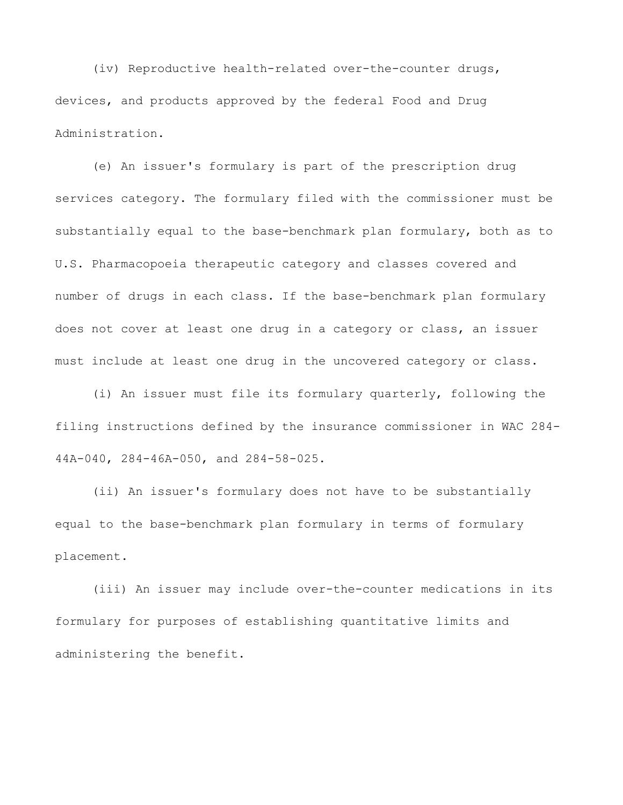(iv) Reproductive health-related over-the-counter drugs, devices, and products approved by the federal Food and Drug Administration.

(e) An issuer's formulary is part of the prescription drug services category. The formulary filed with the commissioner must be substantially equal to the base-benchmark plan formulary, both as to U.S. Pharmacopoeia therapeutic category and classes covered and number of drugs in each class. If the base-benchmark plan formulary does not cover at least one drug in a category or class, an issuer must include at least one drug in the uncovered category or class.

(i) An issuer must file its formulary quarterly, following the filing instructions defined by the insurance commissioner in WAC 284- 44A-040, 284-46A-050, and 284-58-025.

(ii) An issuer's formulary does not have to be substantially equal to the base-benchmark plan formulary in terms of formulary placement.

(iii) An issuer may include over-the-counter medications in its formulary for purposes of establishing quantitative limits and administering the benefit.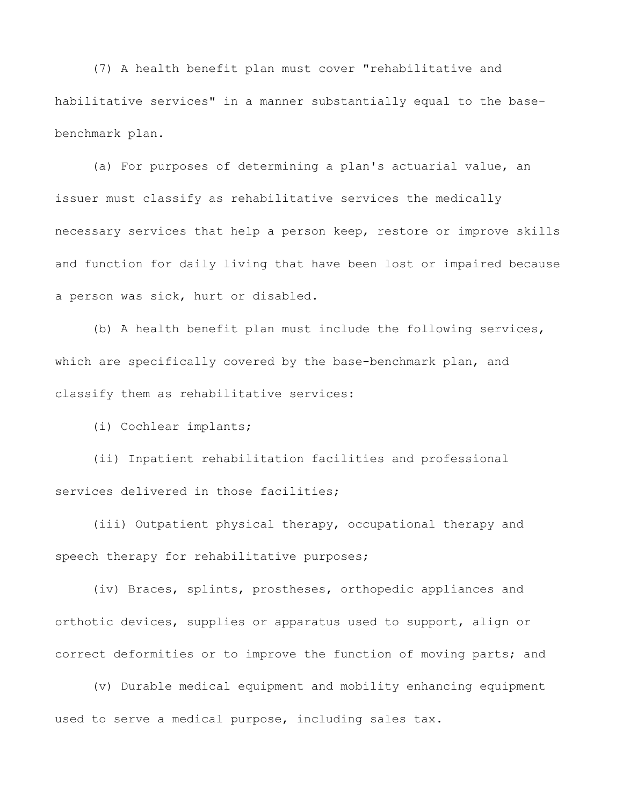(7) A health benefit plan must cover "rehabilitative and habilitative services" in a manner substantially equal to the basebenchmark plan.

(a) For purposes of determining a plan's actuarial value, an issuer must classify as rehabilitative services the medically necessary services that help a person keep, restore or improve skills and function for daily living that have been lost or impaired because a person was sick, hurt or disabled.

(b) A health benefit plan must include the following services, which are specifically covered by the base-benchmark plan, and classify them as rehabilitative services:

(i) Cochlear implants;

(ii) Inpatient rehabilitation facilities and professional services delivered in those facilities;

(iii) Outpatient physical therapy, occupational therapy and speech therapy for rehabilitative purposes;

(iv) Braces, splints, prostheses, orthopedic appliances and orthotic devices, supplies or apparatus used to support, align or correct deformities or to improve the function of moving parts; and

(v) Durable medical equipment and mobility enhancing equipment used to serve a medical purpose, including sales tax.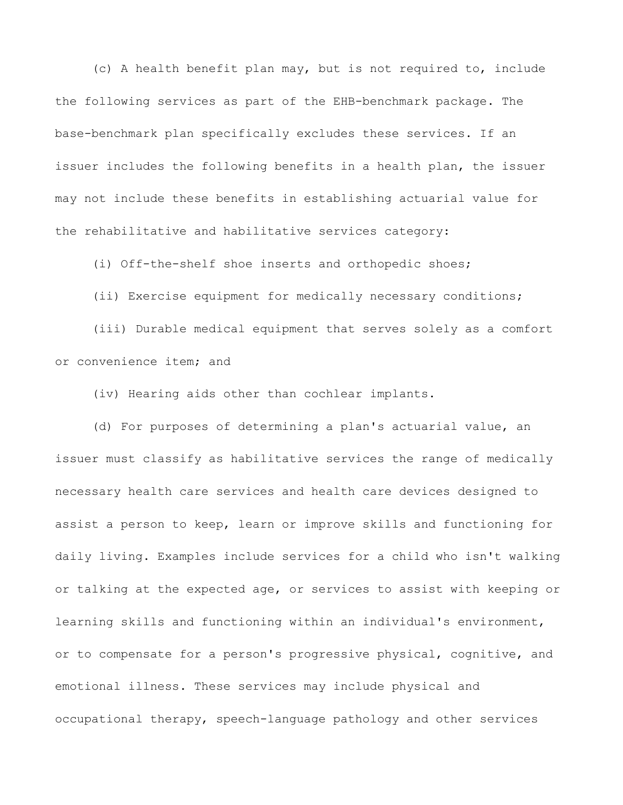(c) A health benefit plan may, but is not required to, include the following services as part of the EHB-benchmark package. The base-benchmark plan specifically excludes these services. If an issuer includes the following benefits in a health plan, the issuer may not include these benefits in establishing actuarial value for the rehabilitative and habilitative services category:

(i) Off-the-shelf shoe inserts and orthopedic shoes;

(ii) Exercise equipment for medically necessary conditions; (iii) Durable medical equipment that serves solely as a comfort or convenience item; and

(iv) Hearing aids other than cochlear implants.

(d) For purposes of determining a plan's actuarial value, an issuer must classify as habilitative services the range of medically necessary health care services and health care devices designed to assist a person to keep, learn or improve skills and functioning for daily living. Examples include services for a child who isn't walking or talking at the expected age, or services to assist with keeping or learning skills and functioning within an individual's environment, or to compensate for a person's progressive physical, cognitive, and emotional illness. These services may include physical and occupational therapy, speech-language pathology and other services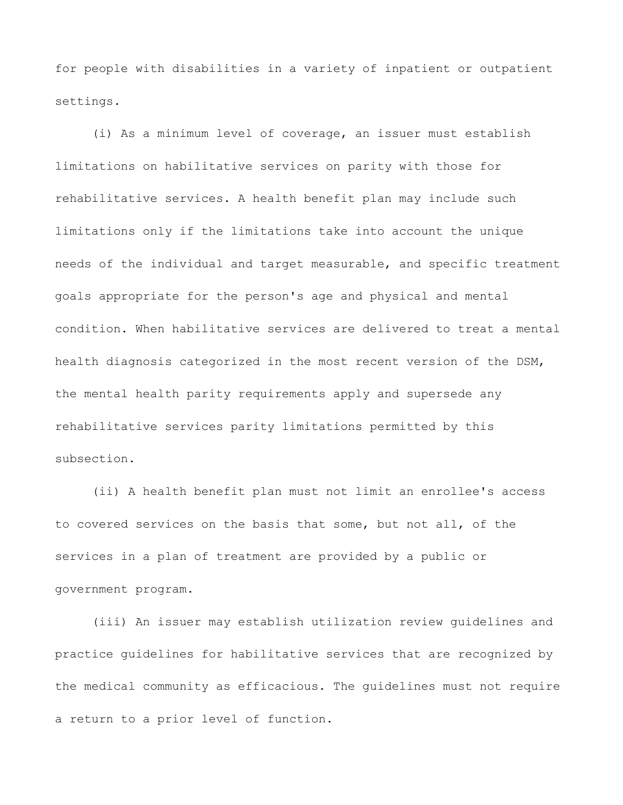for people with disabilities in a variety of inpatient or outpatient settings.

(i) As a minimum level of coverage, an issuer must establish limitations on habilitative services on parity with those for rehabilitative services. A health benefit plan may include such limitations only if the limitations take into account the unique needs of the individual and target measurable, and specific treatment goals appropriate for the person's age and physical and mental condition. When habilitative services are delivered to treat a mental health diagnosis categorized in the most recent version of the DSM, the mental health parity requirements apply and supersede any rehabilitative services parity limitations permitted by this subsection.

(ii) A health benefit plan must not limit an enrollee's access to covered services on the basis that some, but not all, of the services in a plan of treatment are provided by a public or government program.

(iii) An issuer may establish utilization review guidelines and practice guidelines for habilitative services that are recognized by the medical community as efficacious. The guidelines must not require a return to a prior level of function.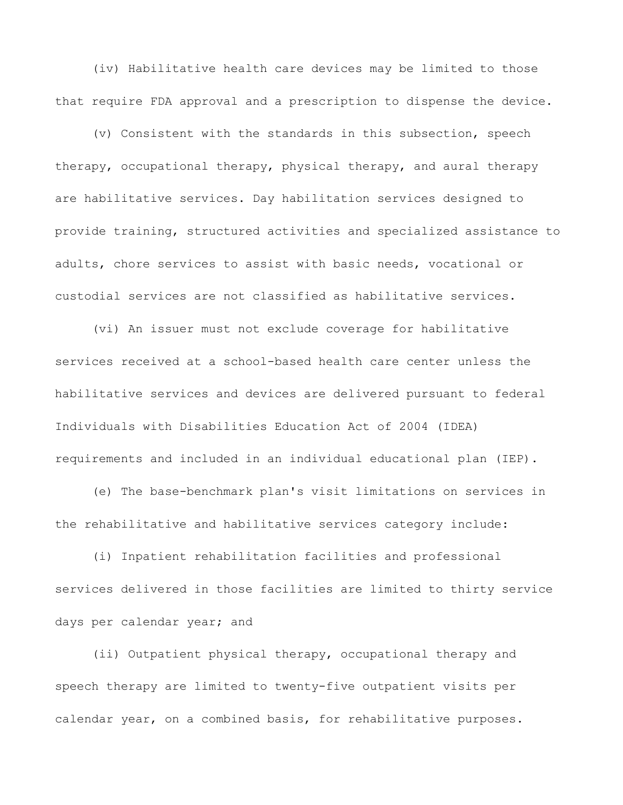(iv) Habilitative health care devices may be limited to those that require FDA approval and a prescription to dispense the device.

(v) Consistent with the standards in this subsection, speech therapy, occupational therapy, physical therapy, and aural therapy are habilitative services. Day habilitation services designed to provide training, structured activities and specialized assistance to adults, chore services to assist with basic needs, vocational or custodial services are not classified as habilitative services.

(vi) An issuer must not exclude coverage for habilitative services received at a school-based health care center unless the habilitative services and devices are delivered pursuant to federal Individuals with Disabilities Education Act of 2004 (IDEA) requirements and included in an individual educational plan (IEP).

(e) The base-benchmark plan's visit limitations on services in the rehabilitative and habilitative services category include:

(i) Inpatient rehabilitation facilities and professional services delivered in those facilities are limited to thirty service days per calendar year; and

(ii) Outpatient physical therapy, occupational therapy and speech therapy are limited to twenty-five outpatient visits per calendar year, on a combined basis, for rehabilitative purposes.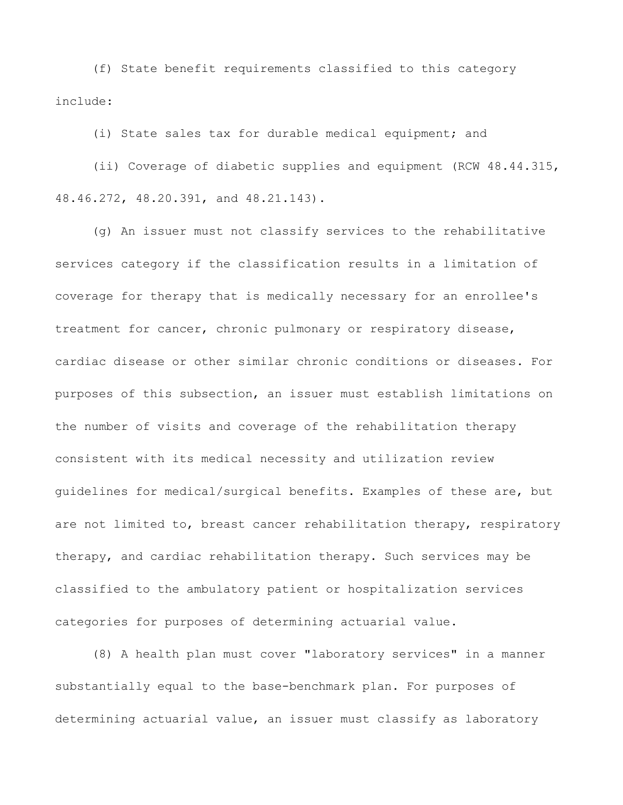(f) State benefit requirements classified to this category include:

(i) State sales tax for durable medical equipment; and

(ii) Coverage of diabetic supplies and equipment (RCW 48.44.315, 48.46.272, 48.20.391, and 48.21.143).

(g) An issuer must not classify services to the rehabilitative services category if the classification results in a limitation of coverage for therapy that is medically necessary for an enrollee's treatment for cancer, chronic pulmonary or respiratory disease, cardiac disease or other similar chronic conditions or diseases. For purposes of this subsection, an issuer must establish limitations on the number of visits and coverage of the rehabilitation therapy consistent with its medical necessity and utilization review guidelines for medical/surgical benefits. Examples of these are, but are not limited to, breast cancer rehabilitation therapy, respiratory therapy, and cardiac rehabilitation therapy. Such services may be classified to the ambulatory patient or hospitalization services categories for purposes of determining actuarial value.

(8) A health plan must cover "laboratory services" in a manner substantially equal to the base-benchmark plan. For purposes of determining actuarial value, an issuer must classify as laboratory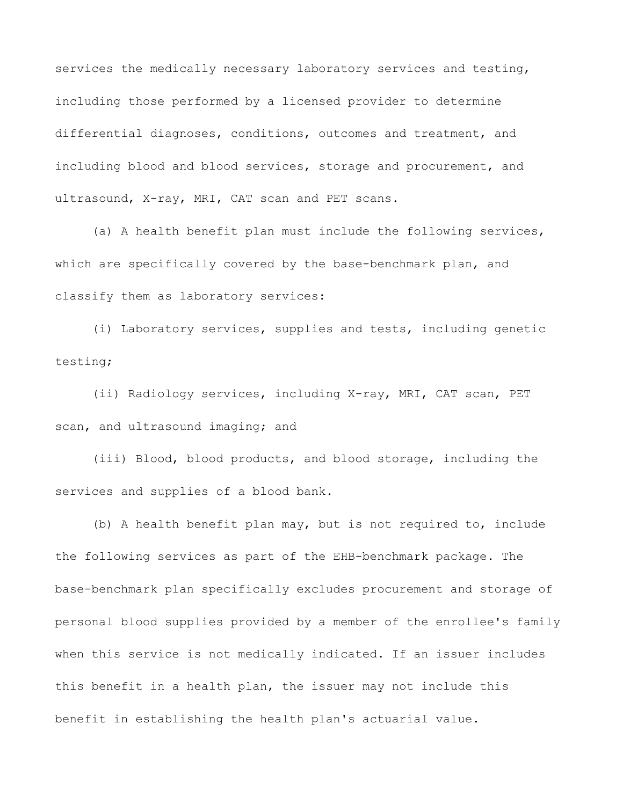services the medically necessary laboratory services and testing, including those performed by a licensed provider to determine differential diagnoses, conditions, outcomes and treatment, and including blood and blood services, storage and procurement, and ultrasound, X-ray, MRI, CAT scan and PET scans.

(a) A health benefit plan must include the following services, which are specifically covered by the base-benchmark plan, and classify them as laboratory services:

(i) Laboratory services, supplies and tests, including genetic testing;

(ii) Radiology services, including X-ray, MRI, CAT scan, PET scan, and ultrasound imaging; and

(iii) Blood, blood products, and blood storage, including the services and supplies of a blood bank.

(b) A health benefit plan may, but is not required to, include the following services as part of the EHB-benchmark package. The base-benchmark plan specifically excludes procurement and storage of personal blood supplies provided by a member of the enrollee's family when this service is not medically indicated. If an issuer includes this benefit in a health plan, the issuer may not include this benefit in establishing the health plan's actuarial value.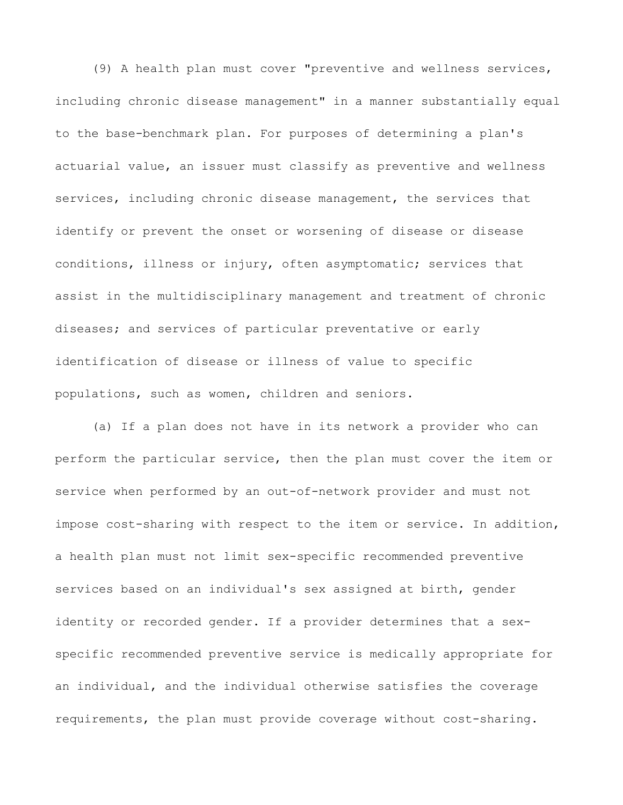(9) A health plan must cover "preventive and wellness services, including chronic disease management" in a manner substantially equal to the base-benchmark plan. For purposes of determining a plan's actuarial value, an issuer must classify as preventive and wellness services, including chronic disease management, the services that identify or prevent the onset or worsening of disease or disease conditions, illness or injury, often asymptomatic; services that assist in the multidisciplinary management and treatment of chronic diseases; and services of particular preventative or early identification of disease or illness of value to specific populations, such as women, children and seniors.

(a) If a plan does not have in its network a provider who can perform the particular service, then the plan must cover the item or service when performed by an out-of-network provider and must not impose cost-sharing with respect to the item or service. In addition, a health plan must not limit sex-specific recommended preventive services based on an individual's sex assigned at birth, gender identity or recorded gender. If a provider determines that a sexspecific recommended preventive service is medically appropriate for an individual, and the individual otherwise satisfies the coverage requirements, the plan must provide coverage without cost-sharing.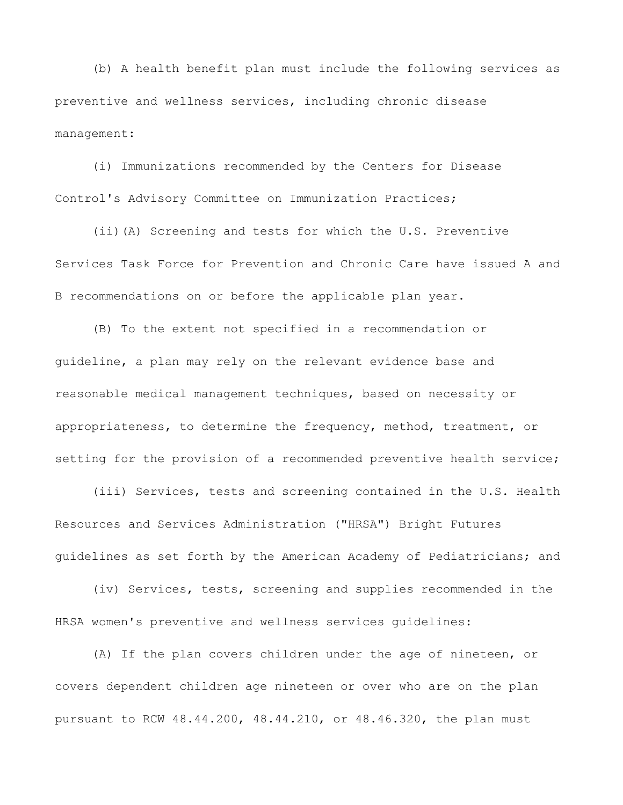(b) A health benefit plan must include the following services as preventive and wellness services, including chronic disease management:

(i) Immunizations recommended by the Centers for Disease Control's Advisory Committee on Immunization Practices;

(ii)(A) Screening and tests for which the U.S. Preventive Services Task Force for Prevention and Chronic Care have issued A and B recommendations on or before the applicable plan year.

(B) To the extent not specified in a recommendation or guideline, a plan may rely on the relevant evidence base and reasonable medical management techniques, based on necessity or appropriateness, to determine the frequency, method, treatment, or setting for the provision of a recommended preventive health service;

(iii) Services, tests and screening contained in the U.S. Health Resources and Services Administration ("HRSA") Bright Futures guidelines as set forth by the American Academy of Pediatricians; and

(iv) Services, tests, screening and supplies recommended in the HRSA women's preventive and wellness services guidelines:

(A) If the plan covers children under the age of nineteen, or covers dependent children age nineteen or over who are on the plan pursuant to RCW 48.44.200, 48.44.210, or 48.46.320, the plan must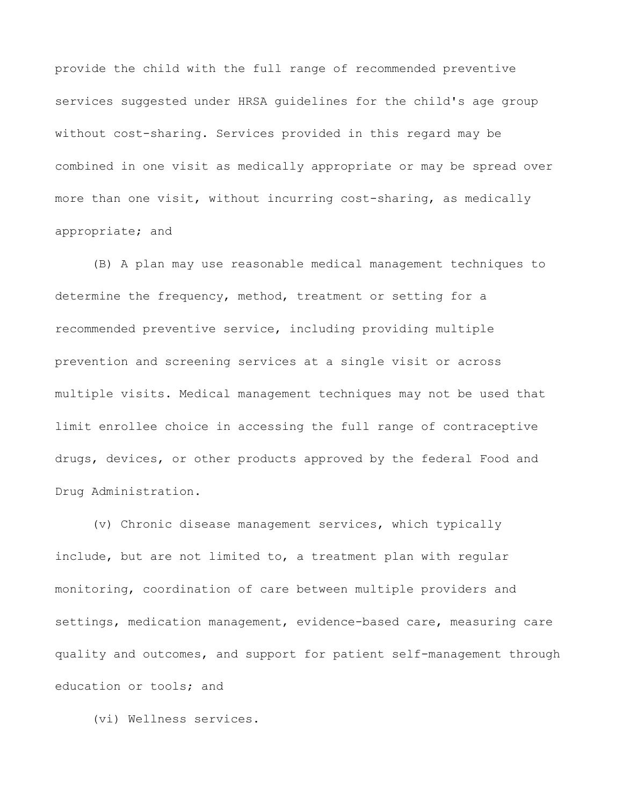provide the child with the full range of recommended preventive services suggested under HRSA guidelines for the child's age group without cost-sharing. Services provided in this regard may be combined in one visit as medically appropriate or may be spread over more than one visit, without incurring cost-sharing, as medically appropriate; and

(B) A plan may use reasonable medical management techniques to determine the frequency, method, treatment or setting for a recommended preventive service, including providing multiple prevention and screening services at a single visit or across multiple visits. Medical management techniques may not be used that limit enrollee choice in accessing the full range of contraceptive drugs, devices, or other products approved by the federal Food and Drug Administration.

(v) Chronic disease management services, which typically include, but are not limited to, a treatment plan with regular monitoring, coordination of care between multiple providers and settings, medication management, evidence-based care, measuring care quality and outcomes, and support for patient self-management through education or tools; and

(vi) Wellness services.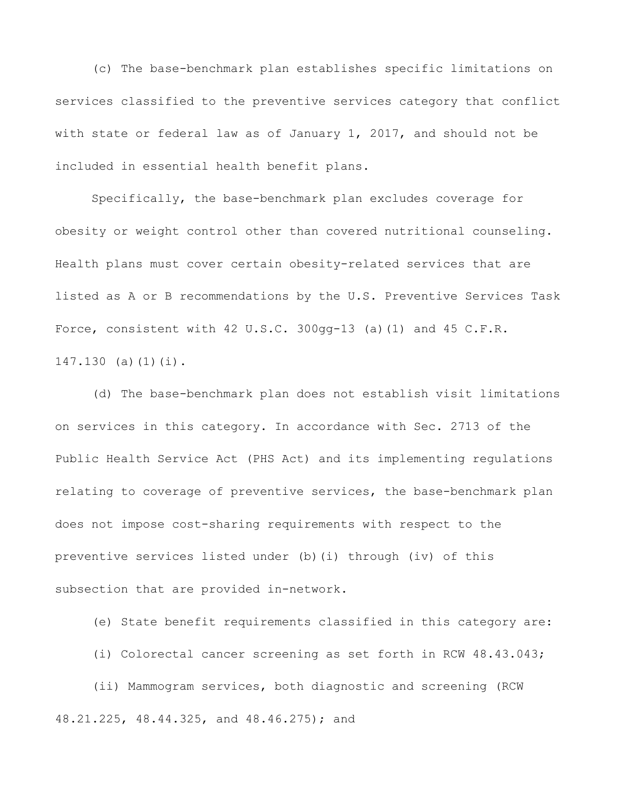(c) The base-benchmark plan establishes specific limitations on services classified to the preventive services category that conflict with state or federal law as of January 1, 2017, and should not be included in essential health benefit plans.

Specifically, the base-benchmark plan excludes coverage for obesity or weight control other than covered nutritional counseling. Health plans must cover certain obesity-related services that are listed as A or B recommendations by the U.S. Preventive Services Task Force, consistent with 42 U.S.C.  $300qq-13$  (a)(1) and 45 C.F.R. 147.130 (a)(1)(i).

(d) The base-benchmark plan does not establish visit limitations on services in this category. In accordance with Sec. 2713 of the Public Health Service Act (PHS Act) and its implementing regulations relating to coverage of preventive services, the base-benchmark plan does not impose cost-sharing requirements with respect to the preventive services listed under (b)(i) through (iv) of this subsection that are provided in-network.

(e) State benefit requirements classified in this category are:

(i) Colorectal cancer screening as set forth in RCW 48.43.043;

(ii) Mammogram services, both diagnostic and screening (RCW 48.21.225, 48.44.325, and 48.46.275); and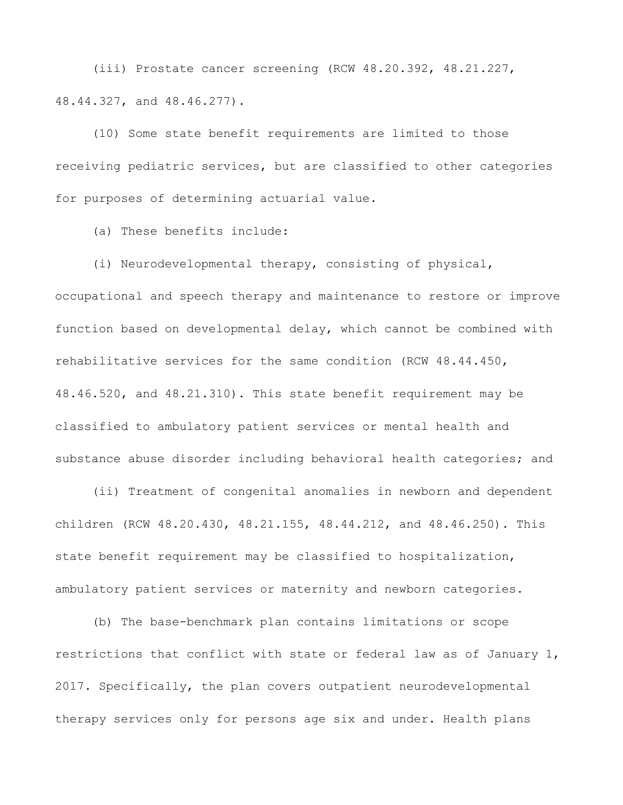(iii) Prostate cancer screening (RCW 48.20.392, 48.21.227, 48.44.327, and 48.46.277).

(10) Some state benefit requirements are limited to those receiving pediatric services, but are classified to other categories for purposes of determining actuarial value.

(a) These benefits include:

(i) Neurodevelopmental therapy, consisting of physical,

occupational and speech therapy and maintenance to restore or improve function based on developmental delay, which cannot be combined with rehabilitative services for the same condition (RCW 48.44.450, 48.46.520, and 48.21.310). This state benefit requirement may be classified to ambulatory patient services or mental health and substance abuse disorder including behavioral health categories; and

(ii) Treatment of congenital anomalies in newborn and dependent children (RCW 48.20.430, 48.21.155, 48.44.212, and 48.46.250). This state benefit requirement may be classified to hospitalization, ambulatory patient services or maternity and newborn categories.

(b) The base-benchmark plan contains limitations or scope restrictions that conflict with state or federal law as of January 1, 2017. Specifically, the plan covers outpatient neurodevelopmental therapy services only for persons age six and under. Health plans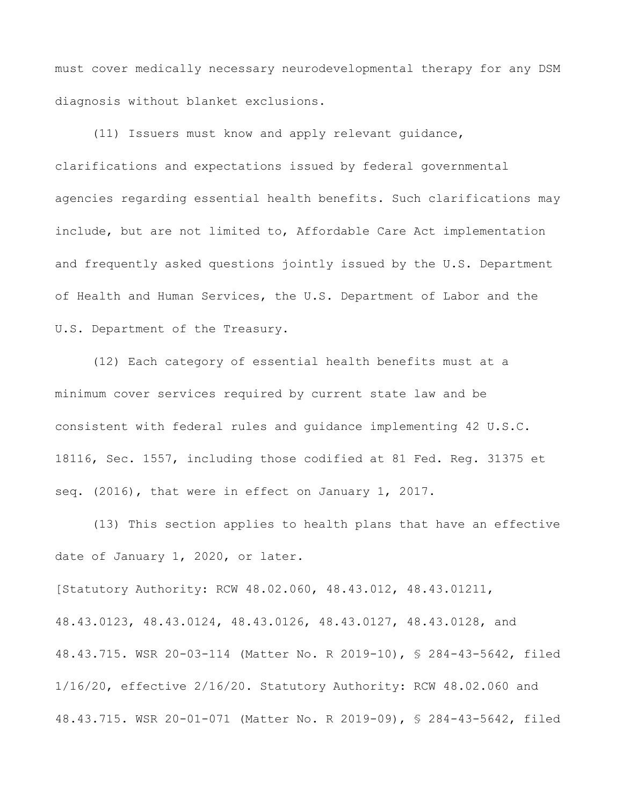must cover medically necessary neurodevelopmental therapy for any DSM diagnosis without blanket exclusions.

(11) Issuers must know and apply relevant guidance, clarifications and expectations issued by federal governmental agencies regarding essential health benefits. Such clarifications may include, but are not limited to, Affordable Care Act implementation and frequently asked questions jointly issued by the U.S. Department of Health and Human Services, the U.S. Department of Labor and the U.S. Department of the Treasury.

(12) Each category of essential health benefits must at a minimum cover services required by current state law and be consistent with federal rules and guidance implementing 42 U.S.C. 18116, Sec. 1557, including those codified at 81 Fed. Reg. 31375 et seq. (2016), that were in effect on January 1, 2017.

(13) This section applies to health plans that have an effective date of January 1, 2020, or later.

[Statutory Authority: RCW 48.02.060, 48.43.012, 48.43.01211, 48.43.0123, 48.43.0124, 48.43.0126, 48.43.0127, 48.43.0128, and 48.43.715. WSR 20-03-114 (Matter No. R 2019-10), § 284-43-5642, filed 1/16/20, effective 2/16/20. Statutory Authority: RCW 48.02.060 and 48.43.715. WSR 20-01-071 (Matter No. R 2019-09), § 284-43-5642, filed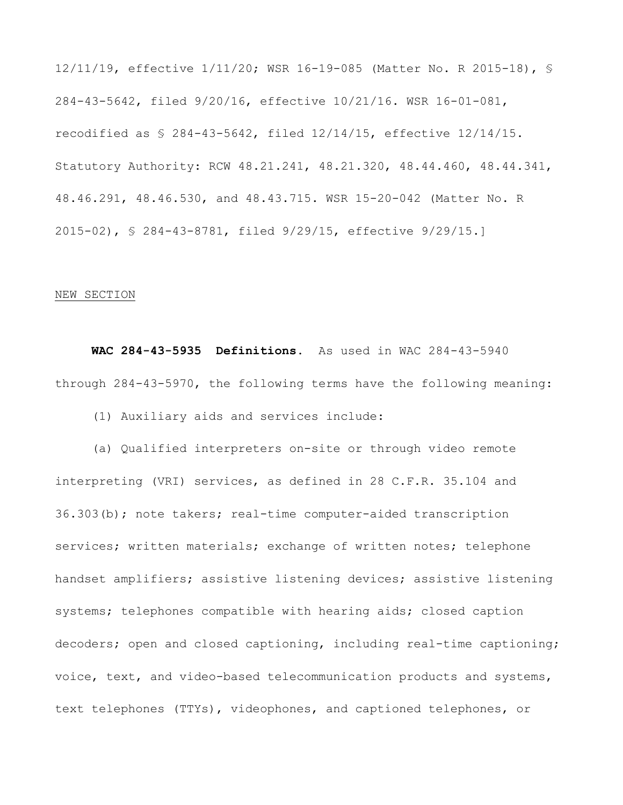12/11/19, effective 1/11/20; WSR 16-19-085 (Matter No. R 2015-18), § 284-43-5642, filed 9/20/16, effective 10/21/16. WSR 16-01-081, recodified as § 284-43-5642, filed 12/14/15, effective 12/14/15. Statutory Authority: RCW 48.21.241, 48.21.320, 48.44.460, 48.44.341, 48.46.291, 48.46.530, and 48.43.715. WSR 15-20-042 (Matter No. R 2015-02), § 284-43-8781, filed 9/29/15, effective 9/29/15.]

## NEW SECTION

 **WAC 284-43-5935 Definitions.** As used in WAC 284-43-5940 through 284-43-5970, the following terms have the following meaning:

(1) Auxiliary aids and services include:

(a) Qualified interpreters on-site or through video remote interpreting (VRI) services, as defined in 28 C.F.R. 35.104 and 36.303(b); note takers; real-time computer-aided transcription services; written materials; exchange of written notes; telephone handset amplifiers; assistive listening devices; assistive listening systems; telephones compatible with hearing aids; closed caption decoders; open and closed captioning, including real-time captioning; voice, text, and video-based telecommunication products and systems, text telephones (TTYs), videophones, and captioned telephones, or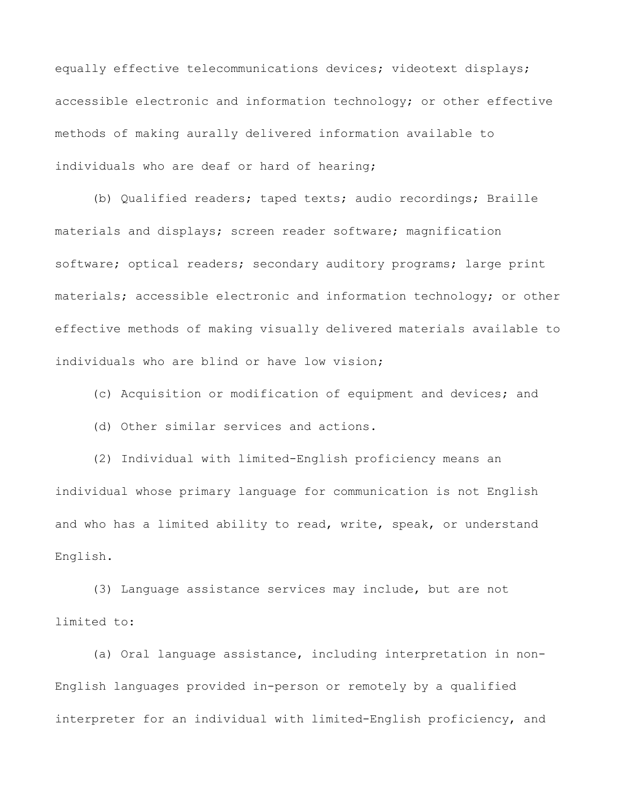equally effective telecommunications devices; videotext displays; accessible electronic and information technology; or other effective methods of making aurally delivered information available to individuals who are deaf or hard of hearing;

(b) Qualified readers; taped texts; audio recordings; Braille materials and displays; screen reader software; magnification software; optical readers; secondary auditory programs; large print materials; accessible electronic and information technology; or other effective methods of making visually delivered materials available to individuals who are blind or have low vision;

(c) Acquisition or modification of equipment and devices; and

(d) Other similar services and actions.

(2) Individual with limited-English proficiency means an individual whose primary language for communication is not English and who has a limited ability to read, write, speak, or understand English.

(3) Language assistance services may include, but are not limited to:

(a) Oral language assistance, including interpretation in non-English languages provided in-person or remotely by a qualified interpreter for an individual with limited-English proficiency, and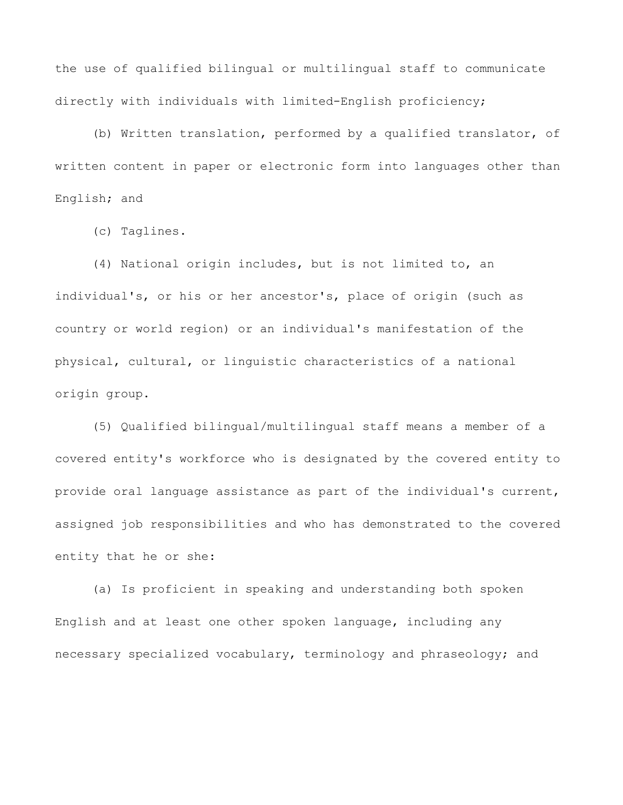the use of qualified bilingual or multilingual staff to communicate directly with individuals with limited-English proficiency;

(b) Written translation, performed by a qualified translator, of written content in paper or electronic form into languages other than English; and

(c) Taglines.

(4) National origin includes, but is not limited to, an individual's, or his or her ancestor's, place of origin (such as country or world region) or an individual's manifestation of the physical, cultural, or linguistic characteristics of a national origin group.

(5) Qualified bilingual/multilingual staff means a member of a covered entity's workforce who is designated by the covered entity to provide oral language assistance as part of the individual's current, assigned job responsibilities and who has demonstrated to the covered entity that he or she:

(a) Is proficient in speaking and understanding both spoken English and at least one other spoken language, including any necessary specialized vocabulary, terminology and phraseology; and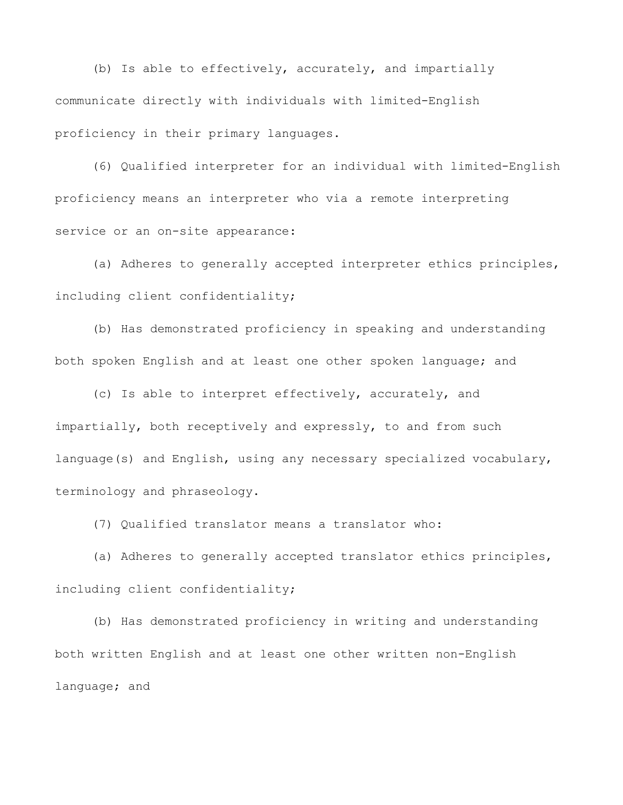(b) Is able to effectively, accurately, and impartially communicate directly with individuals with limited-English proficiency in their primary languages.

(6) Qualified interpreter for an individual with limited-English proficiency means an interpreter who via a remote interpreting service or an on-site appearance:

(a) Adheres to generally accepted interpreter ethics principles, including client confidentiality;

(b) Has demonstrated proficiency in speaking and understanding both spoken English and at least one other spoken language; and

(c) Is able to interpret effectively, accurately, and impartially, both receptively and expressly, to and from such language(s) and English, using any necessary specialized vocabulary, terminology and phraseology.

(7) Qualified translator means a translator who:

(a) Adheres to generally accepted translator ethics principles, including client confidentiality;

(b) Has demonstrated proficiency in writing and understanding both written English and at least one other written non-English language; and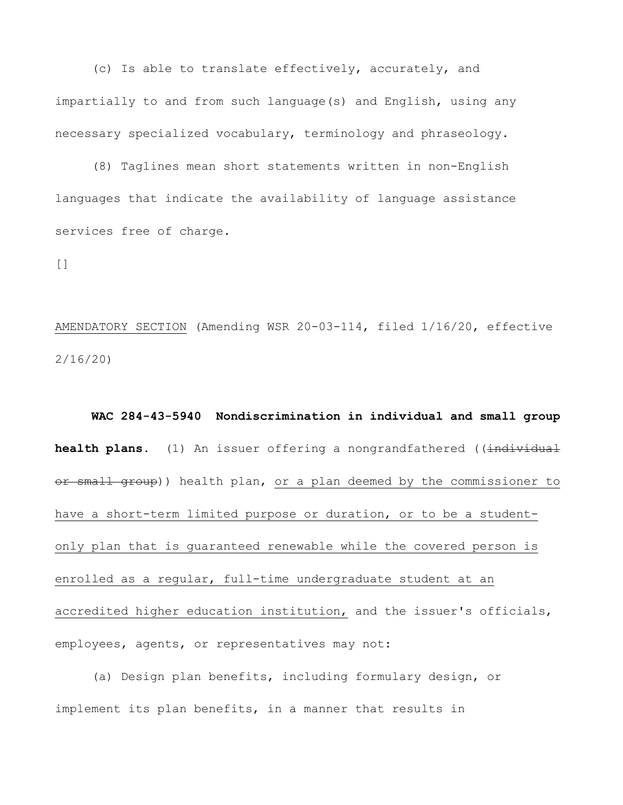(c) Is able to translate effectively, accurately, and impartially to and from such language(s) and English, using any necessary specialized vocabulary, terminology and phraseology.

(8) Taglines mean short statements written in non-English languages that indicate the availability of language assistance services free of charge.

[]

AMENDATORY SECTION (Amending WSR 20-03-114, filed 1/16/20, effective 2/16/20)

 **WAC 284-43-5940 Nondiscrimination in individual and small group health plans.** (1) An issuer offering a nongrandfathered ((individual or small group)) health plan, or a plan deemed by the commissioner to have a short-term limited purpose or duration, or to be a studentonly plan that is guaranteed renewable while the covered person is enrolled as a regular, full-time undergraduate student at an accredited higher education institution, and the issuer's officials, employees, agents, or representatives may not:

(a) Design plan benefits, including formulary design, or implement its plan benefits, in a manner that results in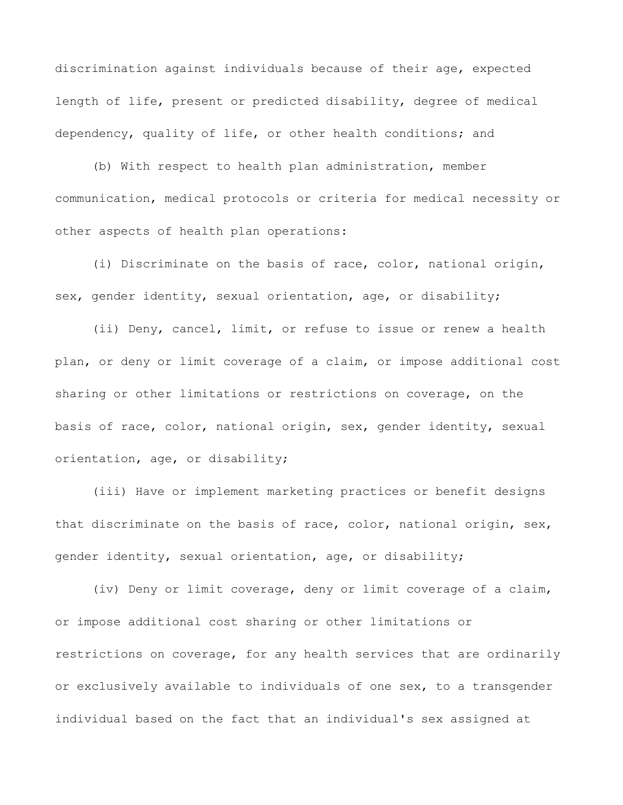discrimination against individuals because of their age, expected length of life, present or predicted disability, degree of medical dependency, quality of life, or other health conditions; and

(b) With respect to health plan administration, member communication, medical protocols or criteria for medical necessity or other aspects of health plan operations:

(i) Discriminate on the basis of race, color, national origin, sex, gender identity, sexual orientation, age, or disability;

(ii) Deny, cancel, limit, or refuse to issue or renew a health plan, or deny or limit coverage of a claim, or impose additional cost sharing or other limitations or restrictions on coverage, on the basis of race, color, national origin, sex, gender identity, sexual orientation, age, or disability;

(iii) Have or implement marketing practices or benefit designs that discriminate on the basis of race, color, national origin, sex, gender identity, sexual orientation, age, or disability;

(iv) Deny or limit coverage, deny or limit coverage of a claim, or impose additional cost sharing or other limitations or restrictions on coverage, for any health services that are ordinarily or exclusively available to individuals of one sex, to a transgender individual based on the fact that an individual's sex assigned at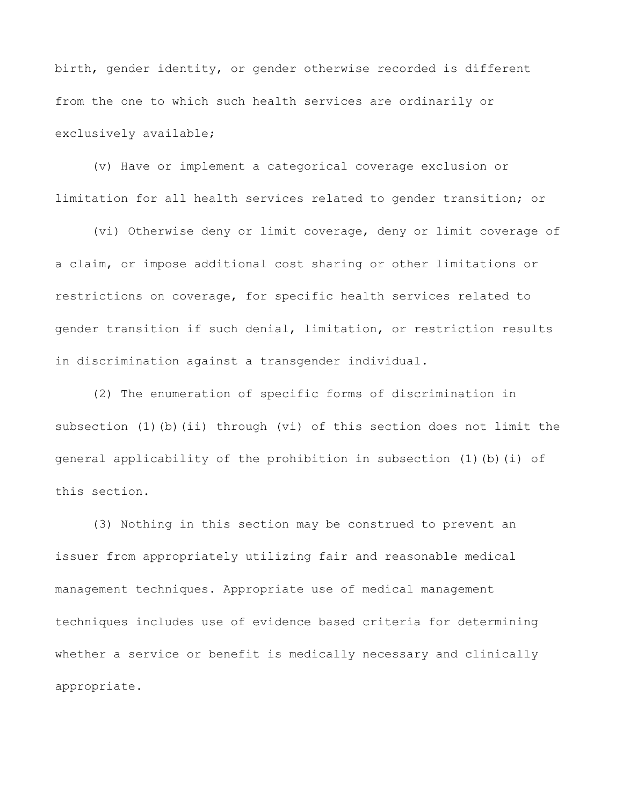birth, gender identity, or gender otherwise recorded is different from the one to which such health services are ordinarily or exclusively available;

(v) Have or implement a categorical coverage exclusion or limitation for all health services related to gender transition; or

(vi) Otherwise deny or limit coverage, deny or limit coverage of a claim, or impose additional cost sharing or other limitations or restrictions on coverage, for specific health services related to gender transition if such denial, limitation, or restriction results in discrimination against a transgender individual.

(2) The enumeration of specific forms of discrimination in subsection (1)(b)(ii) through (vi) of this section does not limit the general applicability of the prohibition in subsection (1)(b)(i) of this section.

(3) Nothing in this section may be construed to prevent an issuer from appropriately utilizing fair and reasonable medical management techniques. Appropriate use of medical management techniques includes use of evidence based criteria for determining whether a service or benefit is medically necessary and clinically appropriate.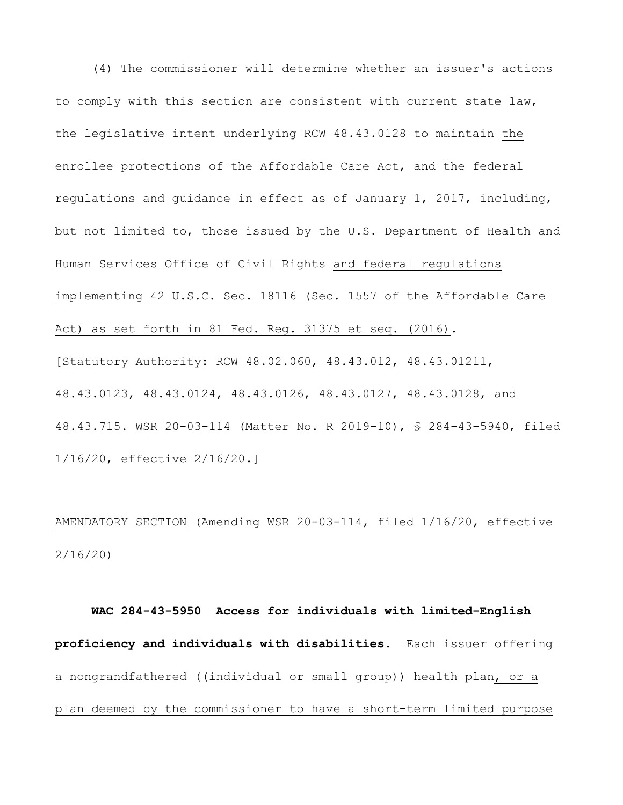(4) The commissioner will determine whether an issuer's actions to comply with this section are consistent with current state law, the legislative intent underlying RCW 48.43.0128 to maintain the enrollee protections of the Affordable Care Act, and the federal regulations and guidance in effect as of January 1, 2017, including, but not limited to, those issued by the U.S. Department of Health and Human Services Office of Civil Rights and federal regulations implementing 42 U.S.C. Sec. 18116 (Sec. 1557 of the Affordable Care Act) as set forth in 81 Fed. Reg. 31375 et seq. (2016). [Statutory Authority: RCW 48.02.060, 48.43.012, 48.43.01211, 48.43.0123, 48.43.0124, 48.43.0126, 48.43.0127, 48.43.0128, and 48.43.715. WSR 20-03-114 (Matter No. R 2019-10), § 284-43-5940, filed 1/16/20, effective 2/16/20.]

AMENDATORY SECTION (Amending WSR 20-03-114, filed 1/16/20, effective 2/16/20)

 **WAC 284-43-5950 Access for individuals with limited-English proficiency and individuals with disabilities.** Each issuer offering a nongrandfathered ((individual or small group)) health plan, or a plan deemed by the commissioner to have a short-term limited purpose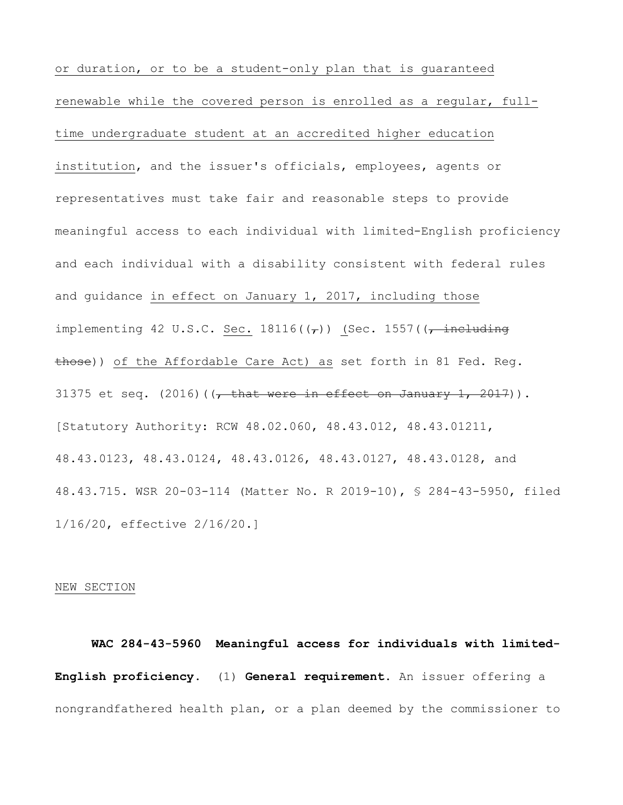or duration, or to be a student-only plan that is guaranteed renewable while the covered person is enrolled as a regular, fulltime undergraduate student at an accredited higher education institution, and the issuer's officials, employees, agents or representatives must take fair and reasonable steps to provide meaningful access to each individual with limited-English proficiency and each individual with a disability consistent with federal rules and guidance in effect on January 1, 2017, including those implementing 42 U.S.C. Sec.  $18116((7))$  (Sec. 1557( $\frac{1}{7}$  including those)) of the Affordable Care Act) as set forth in 81 Fed. Reg. 31375 et seq.  $(2016)$  ( $\sqrt{\frac{1}{2} + 1}$  (that were in effect on January 1, 2017)). [Statutory Authority: RCW 48.02.060, 48.43.012, 48.43.01211, 48.43.0123, 48.43.0124, 48.43.0126, 48.43.0127, 48.43.0128, and 48.43.715. WSR 20-03-114 (Matter No. R 2019-10), § 284-43-5950, filed 1/16/20, effective 2/16/20.]

## NEW SECTION

 **WAC 284-43-5960 Meaningful access for individuals with limited- English proficiency.** (1) **General requirement.** An issuer offering a nongrandfathered health plan, or a plan deemed by the commissioner to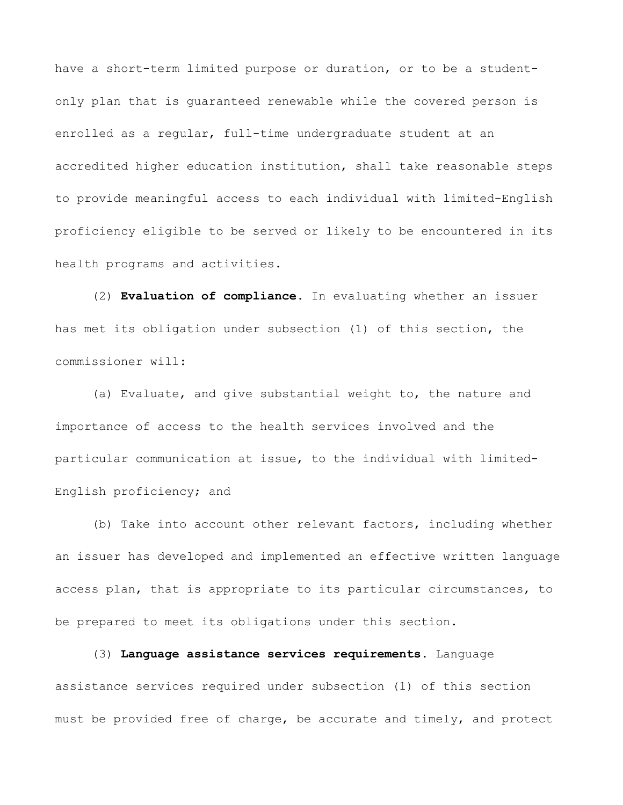have a short-term limited purpose or duration, or to be a studentonly plan that is guaranteed renewable while the covered person is enrolled as a regular, full-time undergraduate student at an accredited higher education institution, shall take reasonable steps to provide meaningful access to each individual with limited-English proficiency eligible to be served or likely to be encountered in its health programs and activities.

(2) **Evaluation of compliance.** In evaluating whether an issuer has met its obligation under subsection (1) of this section, the commissioner will:

(a) Evaluate, and give substantial weight to, the nature and importance of access to the health services involved and the particular communication at issue, to the individual with limited-English proficiency; and

(b) Take into account other relevant factors, including whether an issuer has developed and implemented an effective written language access plan, that is appropriate to its particular circumstances, to be prepared to meet its obligations under this section.

assistance services required under subsection (1) of this section must be provided free of charge, be accurate and timely, and protect

(3) **Language assistance services requirements.** Language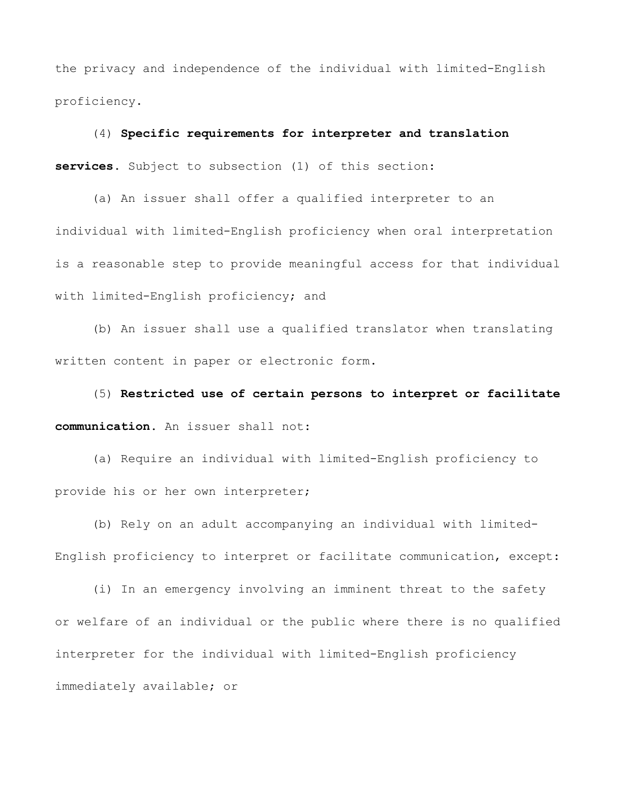the privacy and independence of the individual with limited-English proficiency.

(4) **Specific requirements for interpreter and translation services.** Subject to subsection (1) of this section:

(a) An issuer shall offer a qualified interpreter to an individual with limited-English proficiency when oral interpretation is a reasonable step to provide meaningful access for that individual with limited-English proficiency; and

(b) An issuer shall use a qualified translator when translating written content in paper or electronic form.

(5) **Restricted use of certain persons to interpret or facilitate communication.** An issuer shall not:

(a) Require an individual with limited-English proficiency to provide his or her own interpreter;

(b) Rely on an adult accompanying an individual with limited-English proficiency to interpret or facilitate communication, except:

(i) In an emergency involving an imminent threat to the safety or welfare of an individual or the public where there is no qualified interpreter for the individual with limited-English proficiency immediately available; or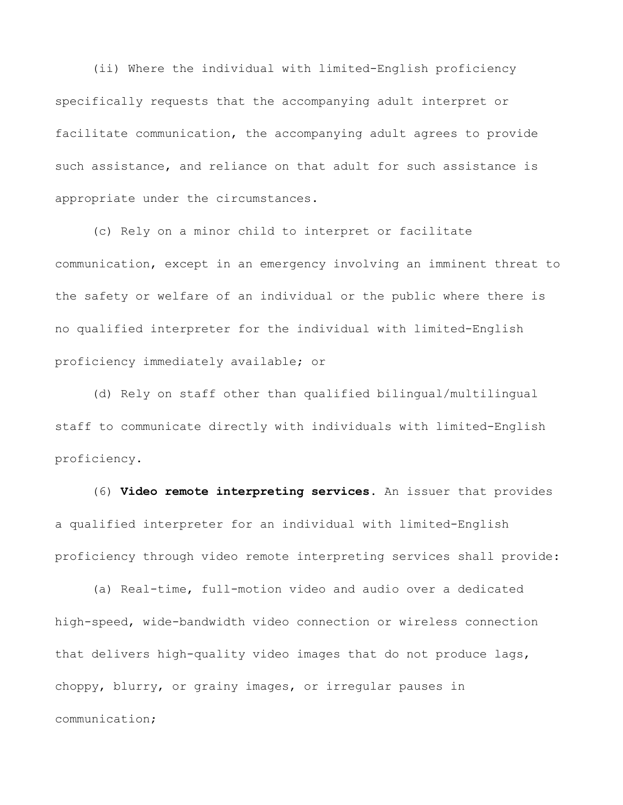(ii) Where the individual with limited-English proficiency specifically requests that the accompanying adult interpret or facilitate communication, the accompanying adult agrees to provide such assistance, and reliance on that adult for such assistance is appropriate under the circumstances.

(c) Rely on a minor child to interpret or facilitate communication, except in an emergency involving an imminent threat to the safety or welfare of an individual or the public where there is no qualified interpreter for the individual with limited-English proficiency immediately available; or

(d) Rely on staff other than qualified bilingual/multilingual staff to communicate directly with individuals with limited-English proficiency.

(6) **Video remote interpreting services.** An issuer that provides a qualified interpreter for an individual with limited-English proficiency through video remote interpreting services shall provide:

(a) Real-time, full-motion video and audio over a dedicated high-speed, wide-bandwidth video connection or wireless connection that delivers high-quality video images that do not produce lags, choppy, blurry, or grainy images, or irregular pauses in communication;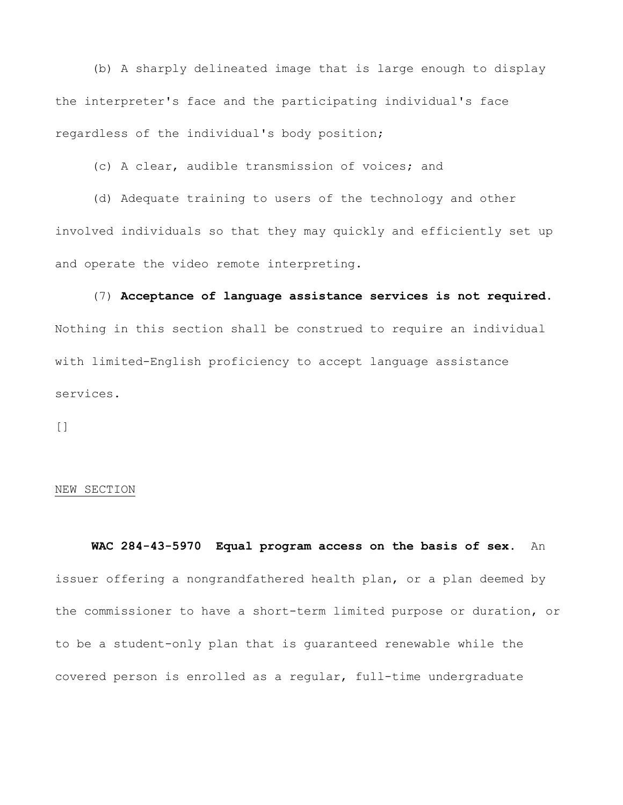(b) A sharply delineated image that is large enough to display the interpreter's face and the participating individual's face regardless of the individual's body position;

(c) A clear, audible transmission of voices; and

(d) Adequate training to users of the technology and other involved individuals so that they may quickly and efficiently set up and operate the video remote interpreting.

(7) **Acceptance of language assistance services is not required.**  Nothing in this section shall be construed to require an individual with limited-English proficiency to accept language assistance services.

 $\lceil$ ]

## NEW SECTION

 **WAC 284-43-5970 Equal program access on the basis of sex.** An issuer offering a nongrandfathered health plan, or a plan deemed by the commissioner to have a short-term limited purpose or duration, or to be a student-only plan that is guaranteed renewable while the covered person is enrolled as a regular, full-time undergraduate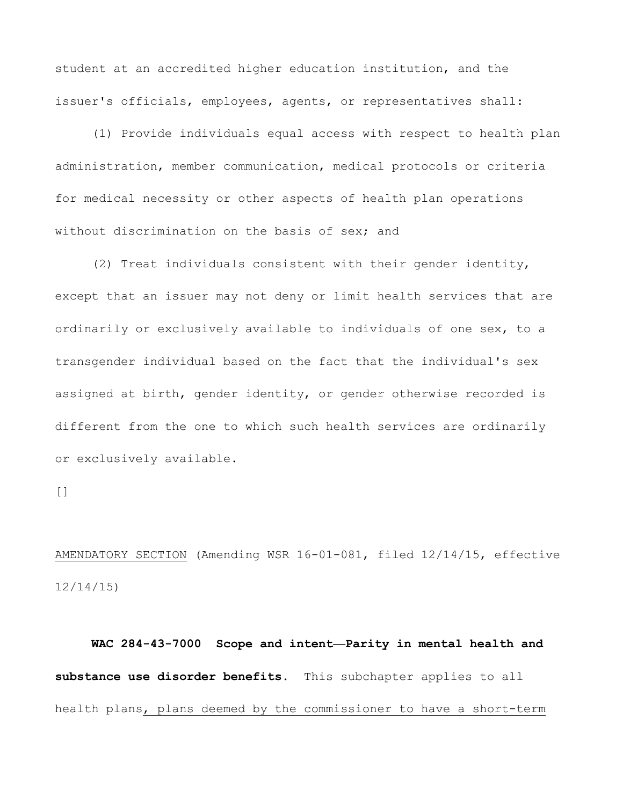student at an accredited higher education institution, and the issuer's officials, employees, agents, or representatives shall:

(1) Provide individuals equal access with respect to health plan administration, member communication, medical protocols or criteria for medical necessity or other aspects of health plan operations without discrimination on the basis of sex; and

(2) Treat individuals consistent with their gender identity, except that an issuer may not deny or limit health services that are ordinarily or exclusively available to individuals of one sex, to a transgender individual based on the fact that the individual's sex assigned at birth, gender identity, or gender otherwise recorded is different from the one to which such health services are ordinarily or exclusively available.

 $\lceil$ ]

AMENDATORY SECTION (Amending WSR 16-01-081, filed 12/14/15, effective 12/14/15)

 **WAC 284-43-7000 Scope and intent—Parity in mental health and substance use disorder benefits.** This subchapter applies to all health plans, plans deemed by the commissioner to have a short-term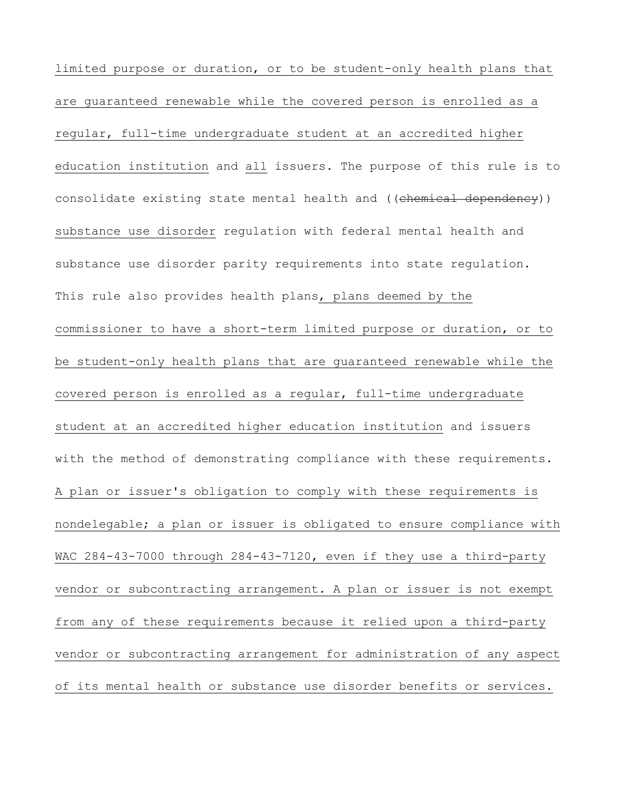education institution and all issuers. The purpose of this rule is to limited purpose or duration, or to be student-only health plans that are guaranteed renewable while the covered person is enrolled as a regular, full-time undergraduate student at an accredited higher consolidate existing state mental health and ((chemical dependency)) substance use disorder regulation with federal mental health and substance use disorder parity requirements into state regulation. This rule also provides health plans, plans deemed by the commissioner to have a short-term limited purpose or duration, or to be student-only health plans that are guaranteed renewable while the covered person is enrolled as a regular, full-time undergraduate student at an accredited higher education institution and issuers with the method of demonstrating compliance with these requirements. A plan or issuer's obligation to comply with these requirements is nondelegable; a plan or issuer is obligated to ensure compliance with WAC 284-43-7000 through 284-43-7120, even if they use a third-party vendor or subcontracting arrangement. A plan or issuer is not exempt from any of these requirements because it relied upon a third-party vendor or subcontracting arrangement for administration of any aspect of its mental health or substance use disorder benefits or services.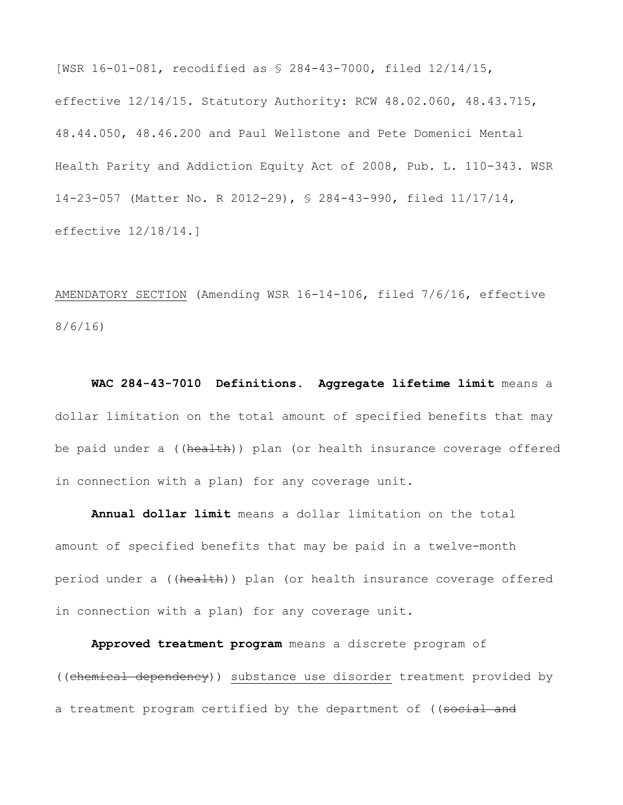[WSR 16-01-081, recodified as § 284-43-7000, filed 12/14/15, effective 12/14/15. Statutory Authority: RCW 48.02.060, 48.43.715, 48.44.050, 48.46.200 and Paul Wellstone and Pete Domenici Mental Health Parity and Addiction Equity Act of 2008, Pub. L. 110-343. WSR 14-23-057 (Matter No. R 2012-29), § 284-43-990, filed 11/17/14, effective 12/18/14.]

AMENDATORY SECTION (Amending WSR 16-14-106, filed 7/6/16, effective 8/6/16)

 **WAC 284-43-7010 Definitions. Aggregate lifetime limit** means a dollar limitation on the total amount of specified benefits that may be paid under a ((health)) plan (or health insurance coverage offered in connection with a plan) for any coverage unit.

**Annual dollar limit** means a dollar limitation on the total amount of specified benefits that may be paid in a twelve-month period under a ((health)) plan (or health insurance coverage offered in connection with a plan) for any coverage unit.

**Approved treatment program** means a discrete program of ((chemical dependency)) substance use disorder treatment provided by a treatment program certified by the department of ((social and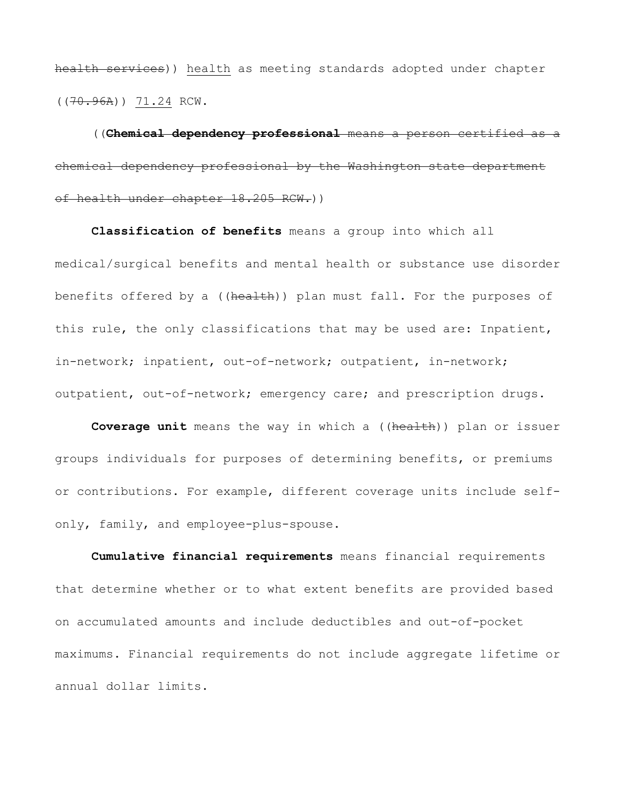((70.96A)) 71.24 RCW. health services)) health as meeting standards adopted under chapter

((**Chemical dependency professional** means a person certified as a chemical dependency professional by the Washington state department of health under chapter 18.205 RCW.))

**Classification of benefits** means a group into which all medical/surgical benefits and mental health or substance use disorder benefits offered by a ((health)) plan must fall. For the purposes of this rule, the only classifications that may be used are: Inpatient, in-network; inpatient, out-of-network; outpatient, in-network; outpatient, out-of-network; emergency care; and prescription drugs.

**Coverage unit** means the way in which a ((health)) plan or issuer groups individuals for purposes of determining benefits, or premiums or contributions. For example, different coverage units include selfonly, family, and employee-plus-spouse.

**Cumulative financial requirements** means financial requirements that determine whether or to what extent benefits are provided based on accumulated amounts and include deductibles and out-of-pocket maximums. Financial requirements do not include aggregate lifetime or annual dollar limits.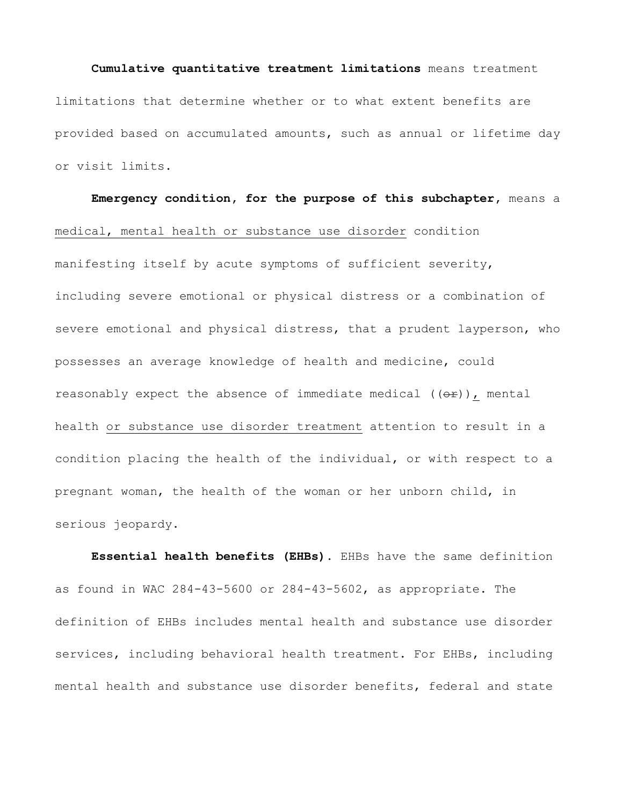## **Cumulative quantitative treatment limitations** means treatment limitations that determine whether or to what extent benefits are provided based on accumulated amounts, such as annual or lifetime day or visit limits.

**Emergency condition, for the purpose of this subchapter,** means a medical, mental health or substance use disorder condition manifesting itself by acute symptoms of sufficient severity, including severe emotional or physical distress or a combination of severe emotional and physical distress, that a prudent layperson, who possesses an average knowledge of health and medicine, could reasonably expect the absence of immediate medical  $((e f))$ , mental health or substance use disorder treatment attention to result in a condition placing the health of the individual, or with respect to a pregnant woman, the health of the woman or her unborn child, in serious jeopardy.

**Essential health benefits (EHBs).** EHBs have the same definition as found in WAC 284-43-5600 or 284-43-5602, as appropriate. The definition of EHBs includes mental health and substance use disorder services, including behavioral health treatment. For EHBs, including mental health and substance use disorder benefits, federal and state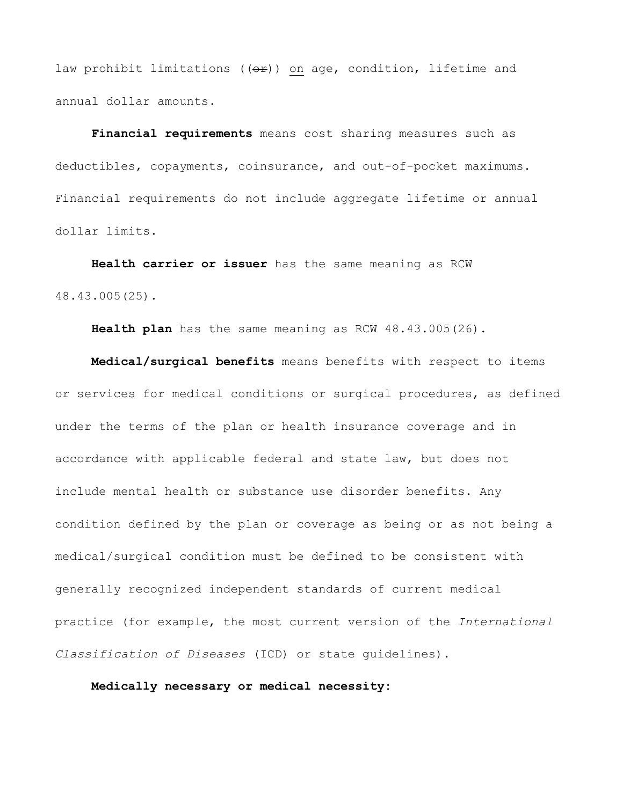law prohibit limitations ( $(\theta \hat{r})$ ) on age, condition, lifetime and annual dollar amounts.

**Financial requirements** means cost sharing measures such as deductibles, copayments, coinsurance, and out-of-pocket maximums. Financial requirements do not include aggregate lifetime or annual dollar limits.

**Health carrier or issuer** has the same meaning as RCW 48.43.005(25).

**Health plan** has the same meaning as RCW 48.43.005(26).

**Medical/surgical benefits** means benefits with respect to items or services for medical conditions or surgical procedures, as defined under the terms of the plan or health insurance coverage and in accordance with applicable federal and state law, but does not include mental health or substance use disorder benefits. Any condition defined by the plan or coverage as being or as not being a medical/surgical condition must be defined to be consistent with generally recognized independent standards of current medical practice (for example, the most current version of the *International Classification of Diseases* (ICD) or state guidelines).

**Medically necessary or medical necessity:**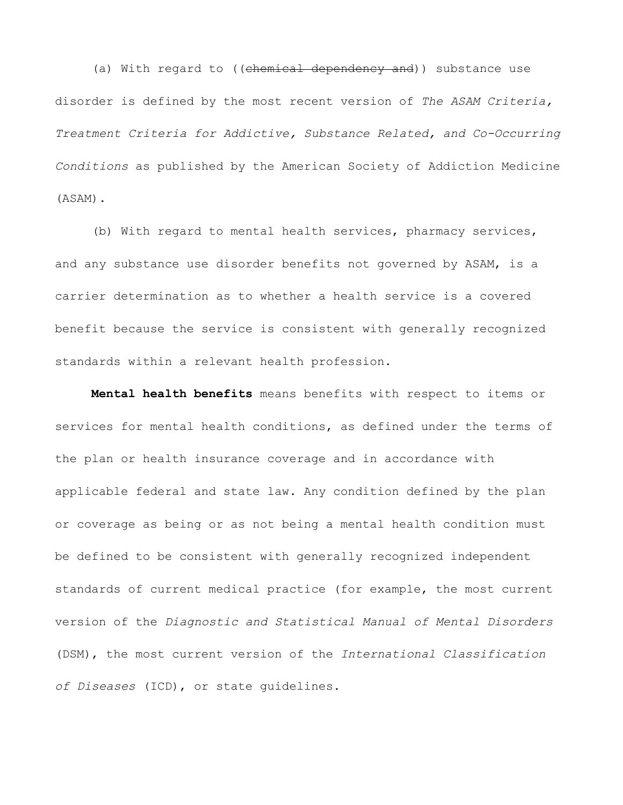(a) With regard to ((chemical dependency and)) substance use disorder is defined by the most recent version of *The ASAM Criteria, Treatment Criteria for Addictive, Substance Related, and Co-Occurring Conditions* as published by the American Society of Addiction Medicine (ASAM).

(b) With regard to mental health services, pharmacy services, and any substance use disorder benefits not governed by ASAM, is a carrier determination as to whether a health service is a covered benefit because the service is consistent with generally recognized standards within a relevant health profession.

**Mental health benefits** means benefits with respect to items or services for mental health conditions, as defined under the terms of the plan or health insurance coverage and in accordance with applicable federal and state law. Any condition defined by the plan or coverage as being or as not being a mental health condition must be defined to be consistent with generally recognized independent standards of current medical practice (for example, the most current version of the *Diagnostic and Statistical Manual of Mental Disorders*  (DSM), the most current version of the *International Classification of Diseases* (ICD), or state guidelines.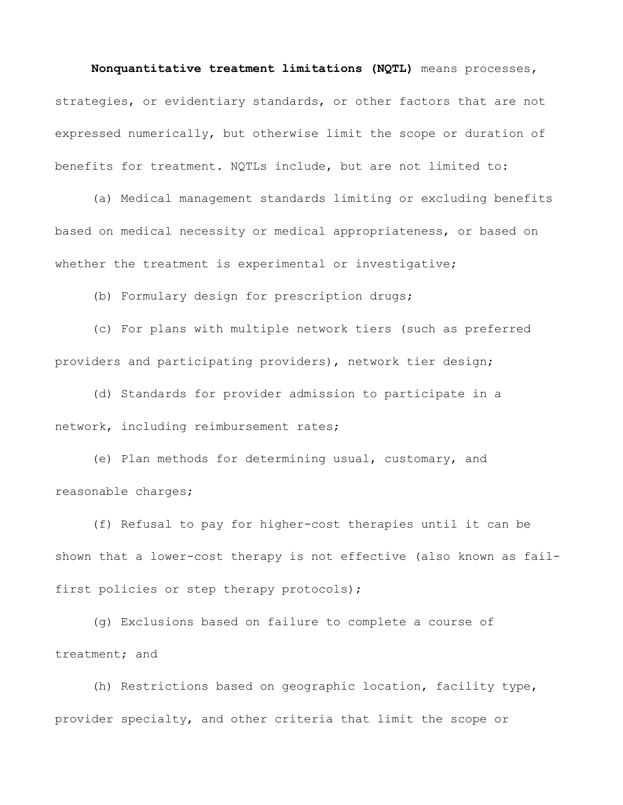**Nonquantitative treatment limitations (NQTL)** means processes, strategies, or evidentiary standards, or other factors that are not expressed numerically, but otherwise limit the scope or duration of benefits for treatment. NQTLs include, but are not limited to:

(a) Medical management standards limiting or excluding benefits based on medical necessity or medical appropriateness, or based on whether the treatment is experimental or investigative;

(b) Formulary design for prescription drugs;

(c) For plans with multiple network tiers (such as preferred providers and participating providers), network tier design;

(d) Standards for provider admission to participate in a network, including reimbursement rates;

(e) Plan methods for determining usual, customary, and reasonable charges;

(f) Refusal to pay for higher-cost therapies until it can be shown that a lower-cost therapy is not effective (also known as failfirst policies or step therapy protocols);

(g) Exclusions based on failure to complete a course of treatment; and

(h) Restrictions based on geographic location, facility type, provider specialty, and other criteria that limit the scope or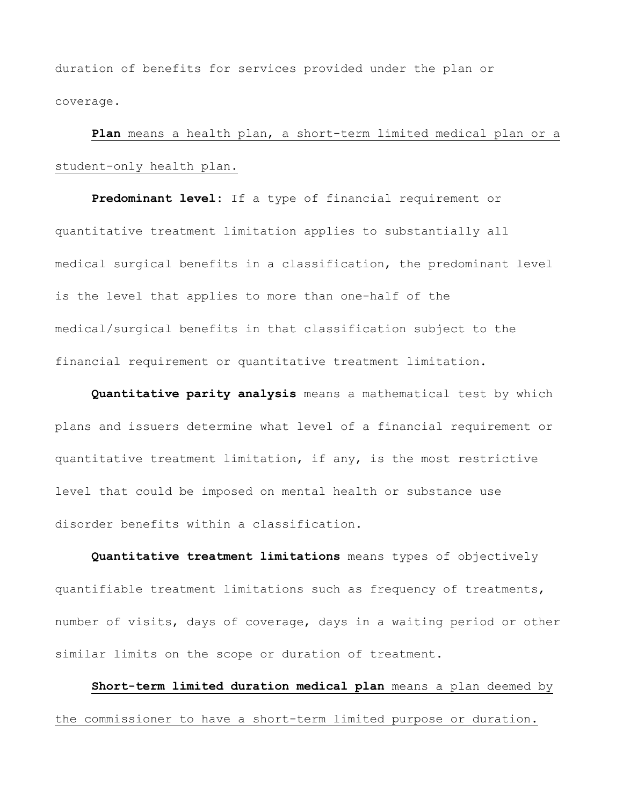duration of benefits for services provided under the plan or coverage.

**Plan** means a health plan, a short-term limited medical plan or a student-only health plan.

**Predominant level:** If a type of financial requirement or quantitative treatment limitation applies to substantially all medical surgical benefits in a classification, the predominant level is the level that applies to more than one-half of the medical/surgical benefits in that classification subject to the financial requirement or quantitative treatment limitation.

**Quantitative parity analysis** means a mathematical test by which plans and issuers determine what level of a financial requirement or quantitative treatment limitation, if any, is the most restrictive level that could be imposed on mental health or substance use disorder benefits within a classification.

**Quantitative treatment limitations** means types of objectively quantifiable treatment limitations such as frequency of treatments, number of visits, days of coverage, days in a waiting period or other similar limits on the scope or duration of treatment.

**Short-term limited duration medical plan** means a plan deemed by the commissioner to have a short-term limited purpose or duration.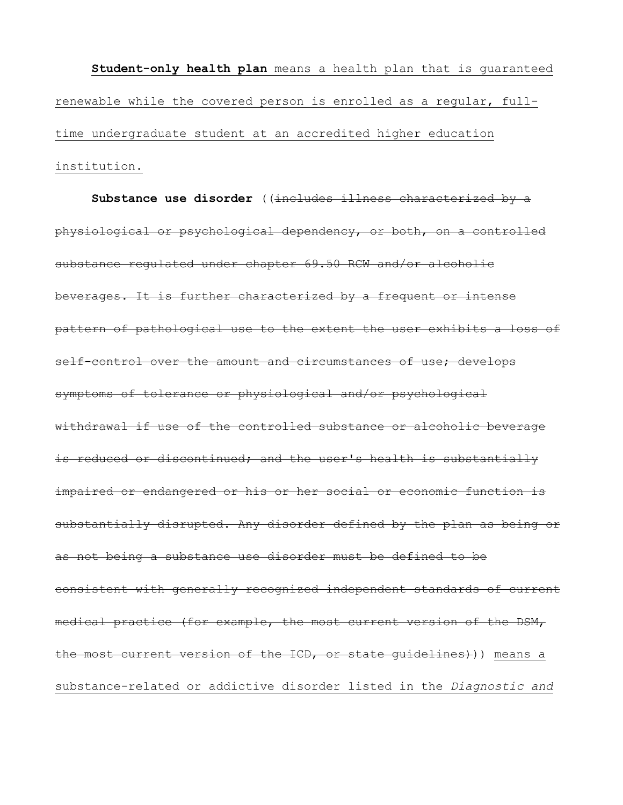**Student-only health plan** means a health plan that is guaranteed renewable while the covered person is enrolled as a regular, fulltime undergraduate student at an accredited higher education institution.

Substance use disorder ((includes illness characterized by a physiological or psychological dependency, or both, on a controlled substance regulated under chapter 69.50 RCW and/or alcoholic beverages. It is further characterized by a frequent or intense pattern of pathological use to the extent the user exhibits a loss of self-control over the amount and circumstances of use; develops symptoms of tolerance or physiological and/or psychological withdrawal if use of the controlled substance or alcoholic beverage is reduced or discontinued; and the user's health is substantially impaired or endangered or his or her social or economic function is substantially disrupted. Any disorder defined by the plan as being or as not being a substance use disorder must be defined to be consistent with generally recognized independent standards of current medical practice (for example, the most current version of the DSM, the most current version of the ICD, or state guidelines))) means a substance-related or addictive disorder listed in the *Diagnostic and*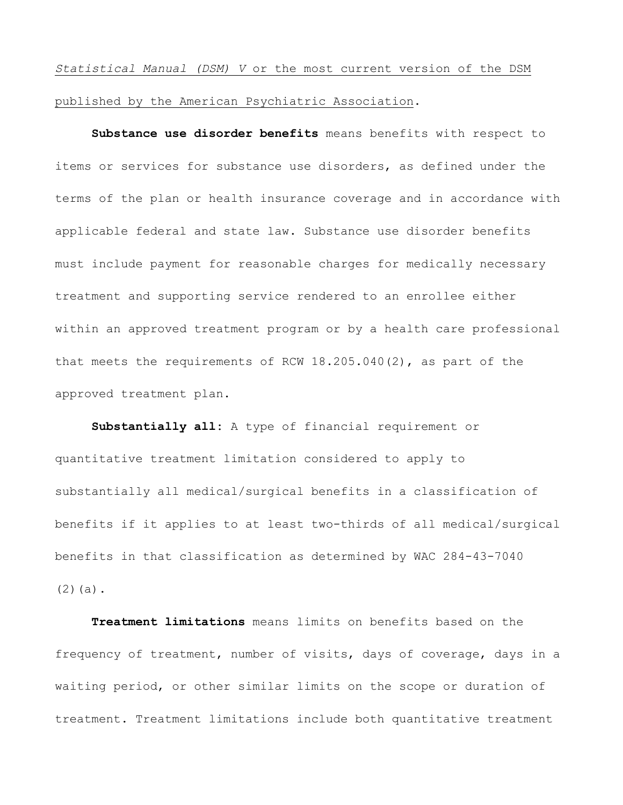*Statistical Manual (DSM) V* or the most current version of the DSM published by the American Psychiatric Association.

**Substance use disorder benefits** means benefits with respect to items or services for substance use disorders, as defined under the terms of the plan or health insurance coverage and in accordance with applicable federal and state law. Substance use disorder benefits must include payment for reasonable charges for medically necessary treatment and supporting service rendered to an enrollee either within an approved treatment program or by a health care professional that meets the requirements of RCW 18.205.040(2), as part of the approved treatment plan.

**Substantially all:** A type of financial requirement or quantitative treatment limitation considered to apply to substantially all medical/surgical benefits in a classification of benefits if it applies to at least two-thirds of all medical/surgical benefits in that classification as determined by WAC 284-43-7040  $(2)(a)$ .

**Treatment limitations** means limits on benefits based on the frequency of treatment, number of visits, days of coverage, days in a waiting period, or other similar limits on the scope or duration of treatment. Treatment limitations include both quantitative treatment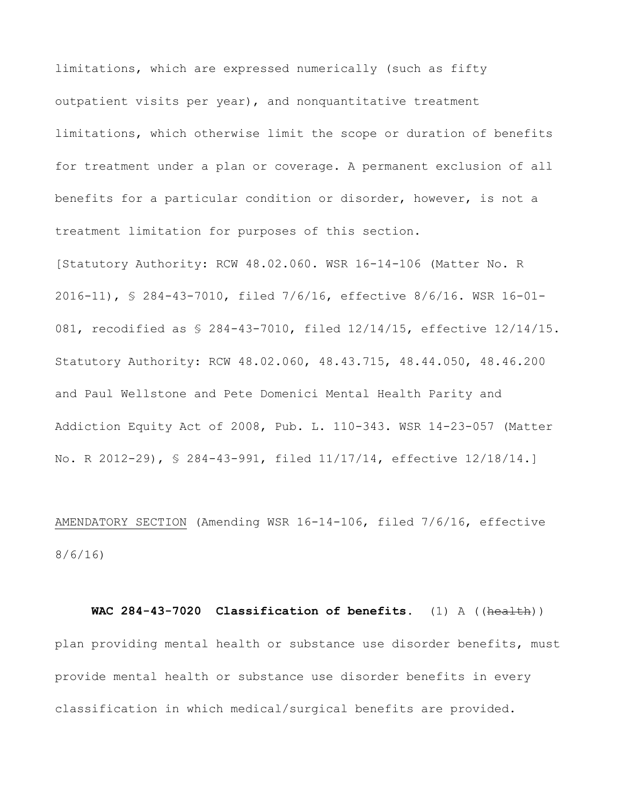limitations, which are expressed numerically (such as fifty outpatient visits per year), and nonquantitative treatment limitations, which otherwise limit the scope or duration of benefits for treatment under a plan or coverage. A permanent exclusion of all benefits for a particular condition or disorder, however, is not a treatment limitation for purposes of this section.

[Statutory Authority: RCW 48.02.060. WSR 16-14-106 (Matter No. R 2016-11), § 284-43-7010, filed 7/6/16, effective 8/6/16. WSR 16-01- 081, recodified as § 284-43-7010, filed 12/14/15, effective 12/14/15. Statutory Authority: RCW 48.02.060, 48.43.715, 48.44.050, 48.46.200 and Paul Wellstone and Pete Domenici Mental Health Parity and Addiction Equity Act of 2008, Pub. L. 110-343. WSR 14-23-057 (Matter No. R 2012-29), § 284-43-991, filed 11/17/14, effective 12/18/14.]

AMENDATORY SECTION (Amending WSR 16-14-106, filed 7/6/16, effective 8/6/16)

 **WAC 284-43-7020 Classification of benefits.** (1) A ((health)) plan providing mental health or substance use disorder benefits, must provide mental health or substance use disorder benefits in every classification in which medical/surgical benefits are provided.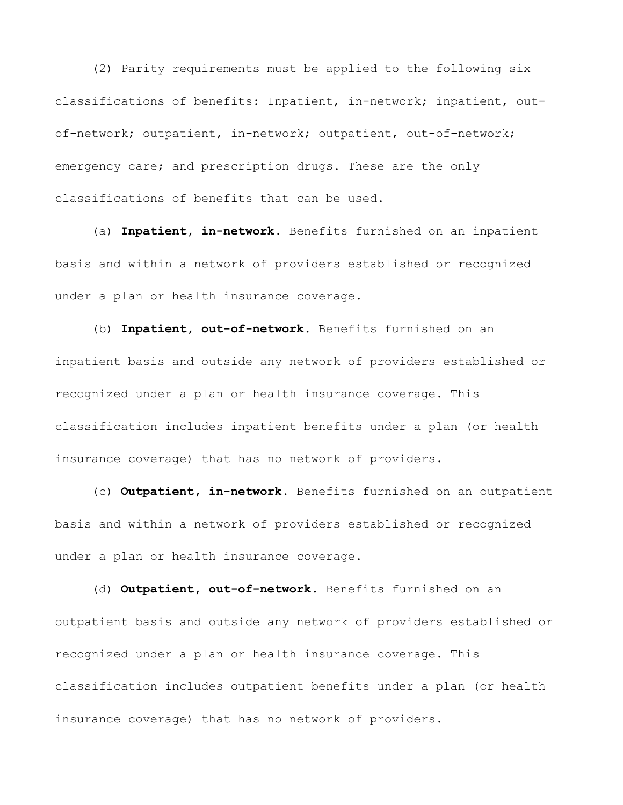(2) Parity requirements must be applied to the following six classifications of benefits: Inpatient, in-network; inpatient, outof-network; outpatient, in-network; outpatient, out-of-network; emergency care; and prescription drugs. These are the only classifications of benefits that can be used.

(a) **Inpatient, in-network.** Benefits furnished on an inpatient basis and within a network of providers established or recognized under a plan or health insurance coverage.

(b) **Inpatient, out-of-network.** Benefits furnished on an inpatient basis and outside any network of providers established or recognized under a plan or health insurance coverage. This classification includes inpatient benefits under a plan (or health insurance coverage) that has no network of providers.

 (c) **Outpatient, in-network.** Benefits furnished on an outpatient basis and within a network of providers established or recognized under a plan or health insurance coverage.

(d) **Outpatient, out-of-network.** Benefits furnished on an outpatient basis and outside any network of providers established or recognized under a plan or health insurance coverage. This classification includes outpatient benefits under a plan (or health insurance coverage) that has no network of providers.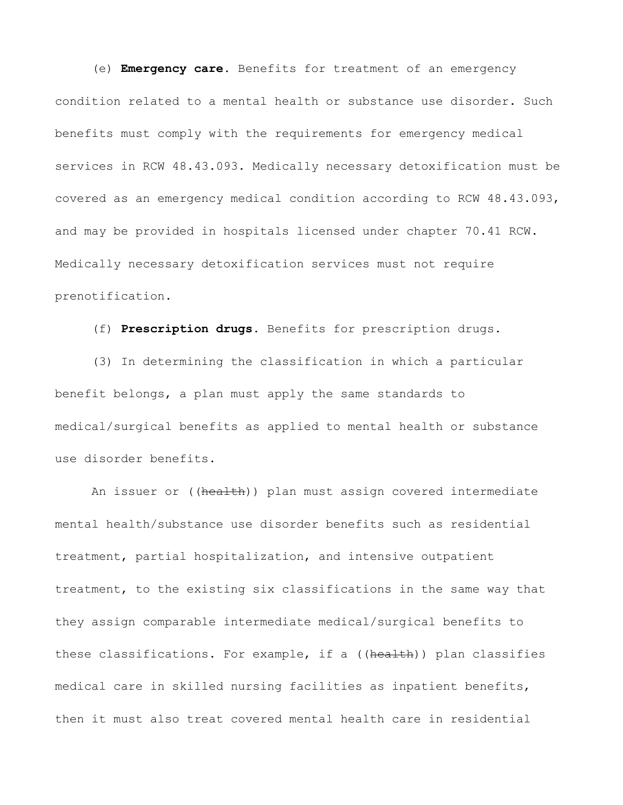(e) **Emergency care.** Benefits for treatment of an emergency condition related to a mental health or substance use disorder. Such benefits must comply with the requirements for emergency medical services in RCW 48.43.093. Medically necessary detoxification must be covered as an emergency medical condition according to RCW 48.43.093, and may be provided in hospitals licensed under chapter 70.41 RCW. Medically necessary detoxification services must not require prenotification.

(f) **Prescription drugs.** Benefits for prescription drugs.

(3) In determining the classification in which a particular benefit belongs, a plan must apply the same standards to medical/surgical benefits as applied to mental health or substance use disorder benefits.

An issuer or ((health)) plan must assign covered intermediate mental health/substance use disorder benefits such as residential treatment, partial hospitalization, and intensive outpatient treatment, to the existing six classifications in the same way that they assign comparable intermediate medical/surgical benefits to these classifications. For example, if a ((health)) plan classifies medical care in skilled nursing facilities as inpatient benefits, then it must also treat covered mental health care in residential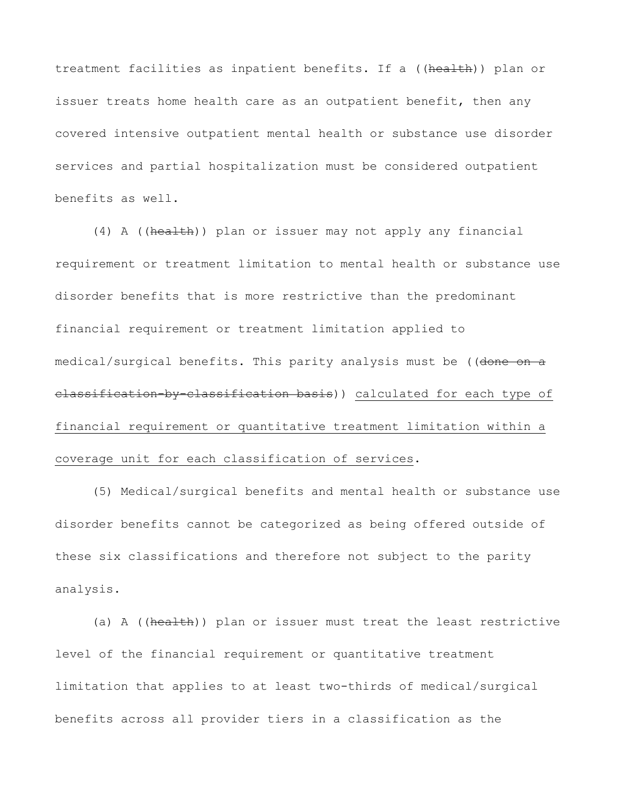treatment facilities as inpatient benefits. If a ((health)) plan or issuer treats home health care as an outpatient benefit, then any covered intensive outpatient mental health or substance use disorder services and partial hospitalization must be considered outpatient benefits as well.

(4) A ((health)) plan or issuer may not apply any financial requirement or treatment limitation to mental health or substance use disorder benefits that is more restrictive than the predominant financial requirement or treatment limitation applied to medical/surgical benefits. This parity analysis must be ((done on a classification-by-classification basis)) calculated for each type of financial requirement or quantitative treatment limitation within a coverage unit for each classification of services.

(5) Medical/surgical benefits and mental health or substance use disorder benefits cannot be categorized as being offered outside of these six classifications and therefore not subject to the parity analysis.

(a) A ((health)) plan or issuer must treat the least restrictive level of the financial requirement or quantitative treatment limitation that applies to at least two-thirds of medical/surgical benefits across all provider tiers in a classification as the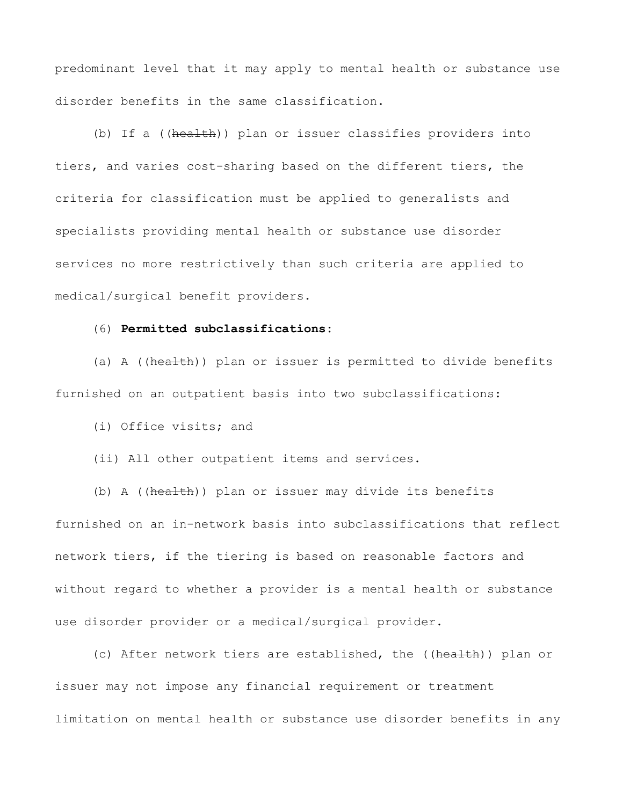predominant level that it may apply to mental health or substance use disorder benefits in the same classification.

(b) If a ((health)) plan or issuer classifies providers into tiers, and varies cost-sharing based on the different tiers, the criteria for classification must be applied to generalists and specialists providing mental health or substance use disorder services no more restrictively than such criteria are applied to medical/surgical benefit providers.

## (6) **Permitted subclassifications:**

(a) A ((health)) plan or issuer is permitted to divide benefits furnished on an outpatient basis into two subclassifications:

(i) Office visits; and

(ii) All other outpatient items and services.

(b) A ((health)) plan or issuer may divide its benefits furnished on an in-network basis into subclassifications that reflect network tiers, if the tiering is based on reasonable factors and without regard to whether a provider is a mental health or substance use disorder provider or a medical/surgical provider.

(c) After network tiers are established, the ((health)) plan or issuer may not impose any financial requirement or treatment limitation on mental health or substance use disorder benefits in any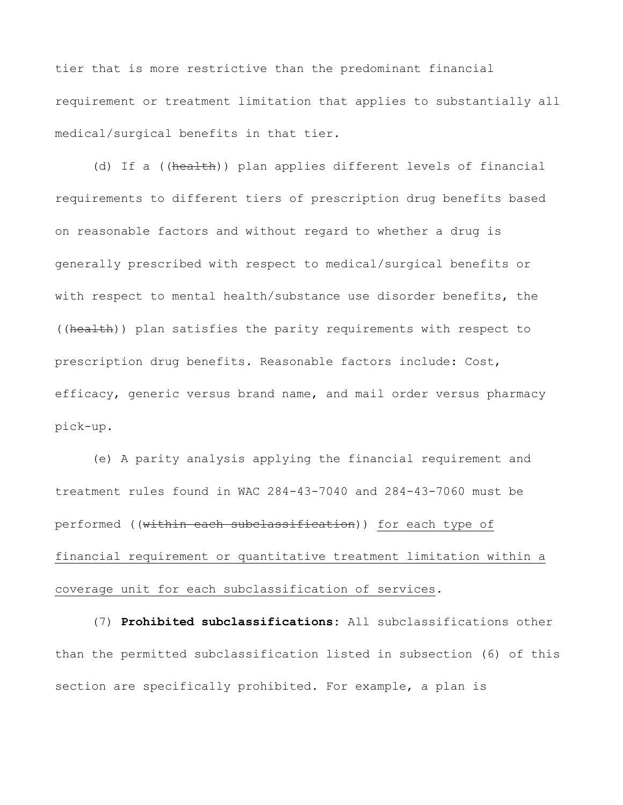tier that is more restrictive than the predominant financial requirement or treatment limitation that applies to substantially all medical/surgical benefits in that tier.

(d) If a ((health)) plan applies different levels of financial requirements to different tiers of prescription drug benefits based on reasonable factors and without regard to whether a drug is generally prescribed with respect to medical/surgical benefits or with respect to mental health/substance use disorder benefits, the ((health)) plan satisfies the parity requirements with respect to prescription drug benefits. Reasonable factors include: Cost, efficacy, generic versus brand name, and mail order versus pharmacy pick-up.

(e) A parity analysis applying the financial requirement and treatment rules found in WAC 284-43-7040 and 284-43-7060 must be performed ((within each subclassification)) for each type of financial requirement or quantitative treatment limitation within a coverage unit for each subclassification of services.

(7) **Prohibited subclassifications:** All subclassifications other than the permitted subclassification listed in subsection (6) of this section are specifically prohibited. For example, a plan is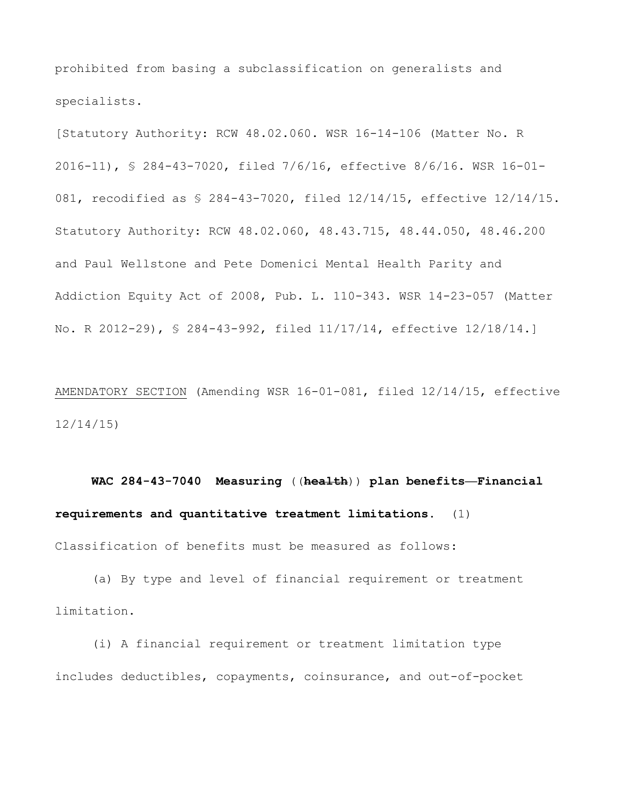prohibited from basing a subclassification on generalists and specialists.

[Statutory Authority: RCW 48.02.060. WSR 16-14-106 (Matter No. R 2016-11), § 284-43-7020, filed 7/6/16, effective 8/6/16. WSR 16-01- 081, recodified as § 284-43-7020, filed 12/14/15, effective 12/14/15. Statutory Authority: RCW 48.02.060, 48.43.715, 48.44.050, 48.46.200 and Paul Wellstone and Pete Domenici Mental Health Parity and Addiction Equity Act of 2008, Pub. L. 110-343. WSR 14-23-057 (Matter No. R 2012-29), § 284-43-992, filed 11/17/14, effective 12/18/14.]

AMENDATORY SECTION (Amending WSR 16-01-081, filed 12/14/15, effective 12/14/15)

 **WAC 284-43-7040 Measuring** ((**health**)) **plan benefits—Financial requirements and quantitative treatment limitations.** (1) Classification of benefits must be measured as follows:

(a) By type and level of financial requirement or treatment limitation.

(i) A financial requirement or treatment limitation type includes deductibles, copayments, coinsurance, and out-of-pocket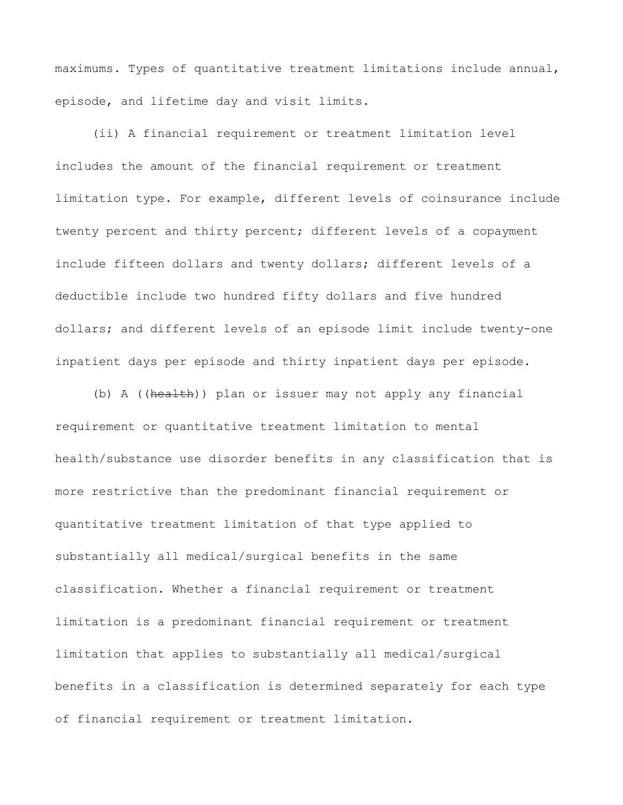maximums. Types of quantitative treatment limitations include annual, episode, and lifetime day and visit limits.

(ii) A financial requirement or treatment limitation level includes the amount of the financial requirement or treatment limitation type. For example, different levels of coinsurance include twenty percent and thirty percent; different levels of a copayment include fifteen dollars and twenty dollars; different levels of a deductible include two hundred fifty dollars and five hundred dollars; and different levels of an episode limit include twenty-one inpatient days per episode and thirty inpatient days per episode.

(b) A ((health)) plan or issuer may not apply any financial requirement or quantitative treatment limitation to mental health/substance use disorder benefits in any classification that is more restrictive than the predominant financial requirement or quantitative treatment limitation of that type applied to substantially all medical/surgical benefits in the same classification. Whether a financial requirement or treatment limitation is a predominant financial requirement or treatment limitation that applies to substantially all medical/surgical benefits in a classification is determined separately for each type of financial requirement or treatment limitation.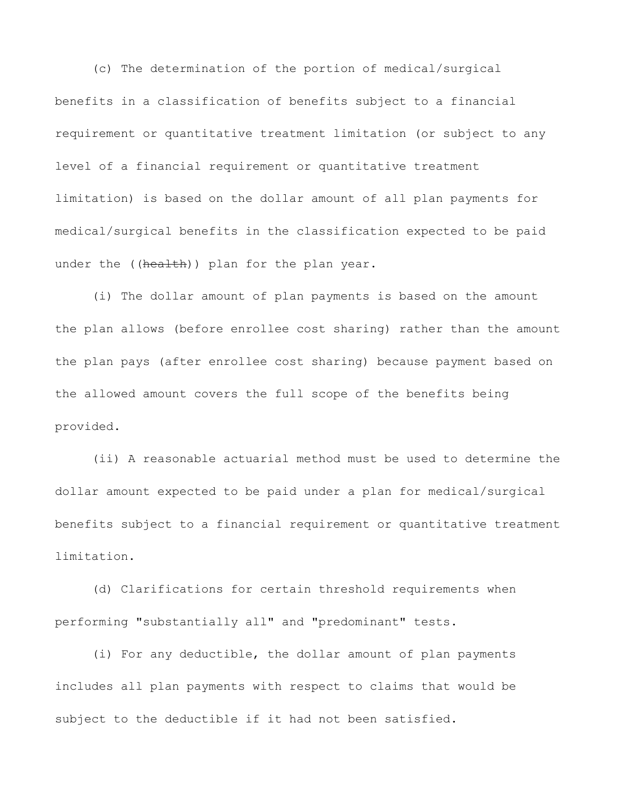(c) The determination of the portion of medical/surgical benefits in a classification of benefits subject to a financial requirement or quantitative treatment limitation (or subject to any level of a financial requirement or quantitative treatment limitation) is based on the dollar amount of all plan payments for medical/surgical benefits in the classification expected to be paid under the ((health)) plan for the plan year.

(i) The dollar amount of plan payments is based on the amount the plan allows (before enrollee cost sharing) rather than the amount the plan pays (after enrollee cost sharing) because payment based on the allowed amount covers the full scope of the benefits being provided.

(ii) A reasonable actuarial method must be used to determine the dollar amount expected to be paid under a plan for medical/surgical benefits subject to a financial requirement or quantitative treatment limitation.

(d) Clarifications for certain threshold requirements when performing "substantially all" and "predominant" tests.

(i) For any deductible, the dollar amount of plan payments includes all plan payments with respect to claims that would be subject to the deductible if it had not been satisfied.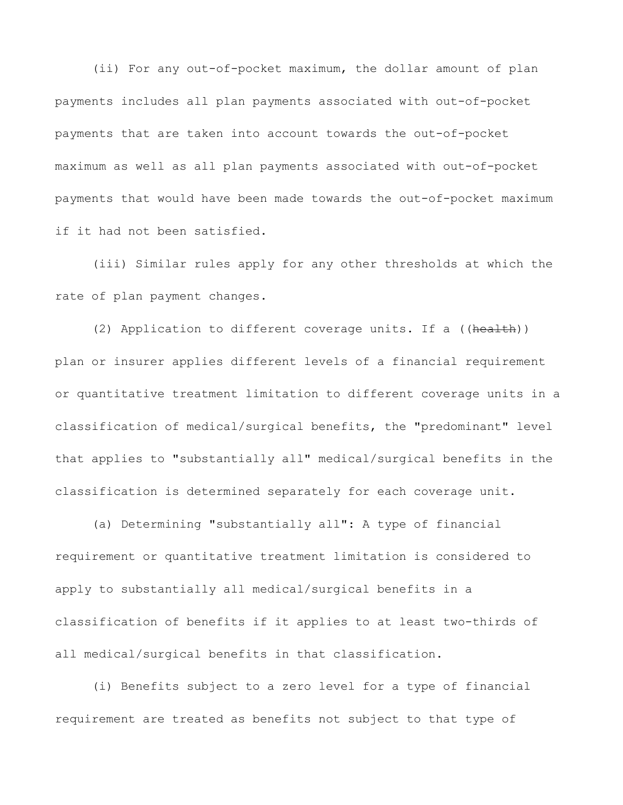(ii) For any out-of-pocket maximum, the dollar amount of plan payments includes all plan payments associated with out-of-pocket payments that are taken into account towards the out-of-pocket maximum as well as all plan payments associated with out-of-pocket payments that would have been made towards the out-of-pocket maximum if it had not been satisfied.

(iii) Similar rules apply for any other thresholds at which the rate of plan payment changes.

(2) Application to different coverage units. If a ((health)) plan or insurer applies different levels of a financial requirement or quantitative treatment limitation to different coverage units in a classification of medical/surgical benefits, the "predominant" level that applies to "substantially all" medical/surgical benefits in the classification is determined separately for each coverage unit.

(a) Determining "substantially all": A type of financial requirement or quantitative treatment limitation is considered to apply to substantially all medical/surgical benefits in a classification of benefits if it applies to at least two-thirds of all medical/surgical benefits in that classification.

(i) Benefits subject to a zero level for a type of financial requirement are treated as benefits not subject to that type of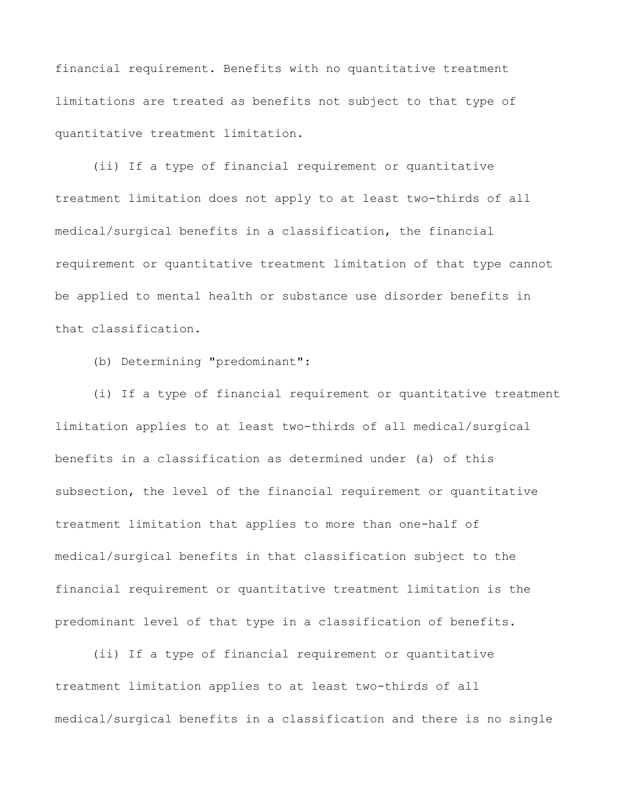financial requirement. Benefits with no quantitative treatment limitations are treated as benefits not subject to that type of quantitative treatment limitation.

(ii) If a type of financial requirement or quantitative treatment limitation does not apply to at least two-thirds of all medical/surgical benefits in a classification, the financial requirement or quantitative treatment limitation of that type cannot be applied to mental health or substance use disorder benefits in that classification.

(b) Determining "predominant":

(i) If a type of financial requirement or quantitative treatment limitation applies to at least two-thirds of all medical/surgical benefits in a classification as determined under (a) of this subsection, the level of the financial requirement or quantitative treatment limitation that applies to more than one-half of medical/surgical benefits in that classification subject to the financial requirement or quantitative treatment limitation is the predominant level of that type in a classification of benefits.

(ii) If a type of financial requirement or quantitative treatment limitation applies to at least two-thirds of all medical/surgical benefits in a classification and there is no single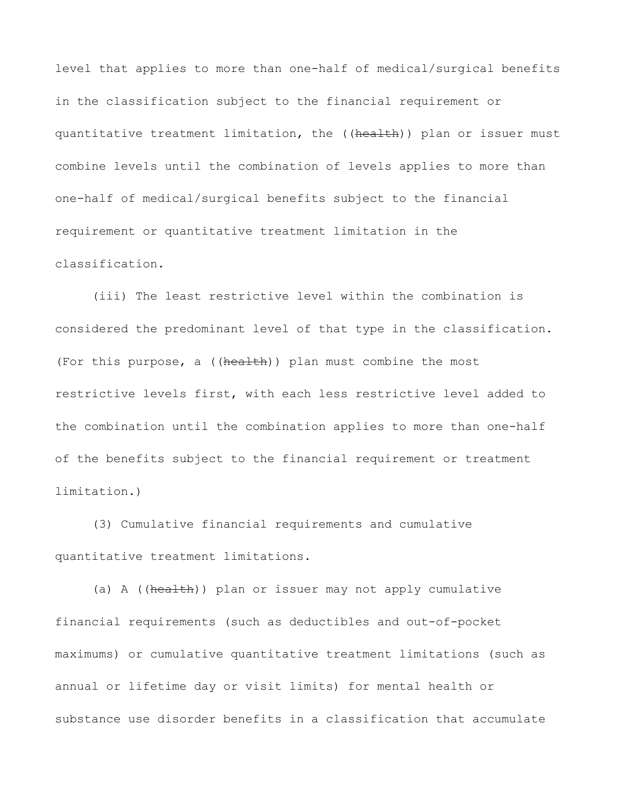level that applies to more than one-half of medical/surgical benefits in the classification subject to the financial requirement or quantitative treatment limitation, the ((health)) plan or issuer must combine levels until the combination of levels applies to more than one-half of medical/surgical benefits subject to the financial requirement or quantitative treatment limitation in the classification.

(iii) The least restrictive level within the combination is considered the predominant level of that type in the classification. (For this purpose, a  $((hea \text{1}th))$  plan must combine the most restrictive levels first, with each less restrictive level added to the combination until the combination applies to more than one-half of the benefits subject to the financial requirement or treatment limitation.)

(3) Cumulative financial requirements and cumulative quantitative treatment limitations.

(a) A ((health)) plan or issuer may not apply cumulative financial requirements (such as deductibles and out-of-pocket maximums) or cumulative quantitative treatment limitations (such as annual or lifetime day or visit limits) for mental health or substance use disorder benefits in a classification that accumulate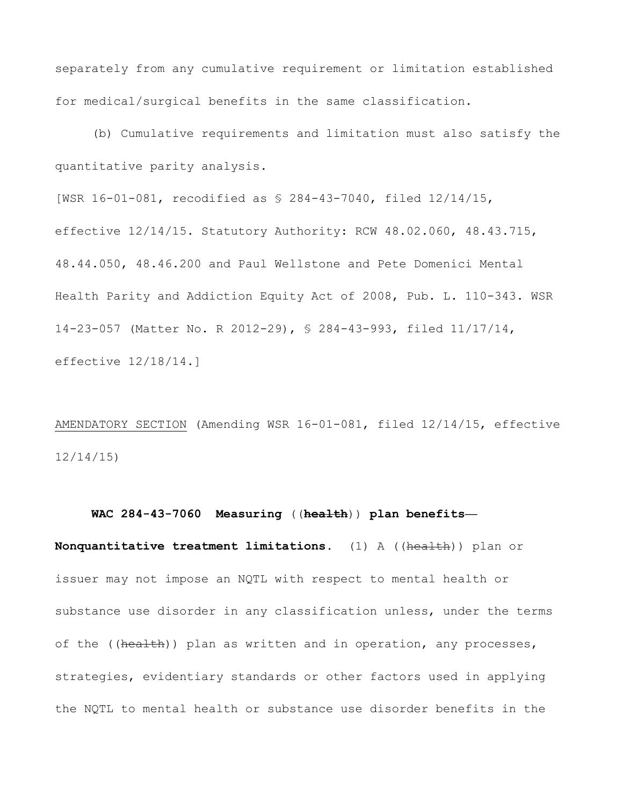separately from any cumulative requirement or limitation established for medical/surgical benefits in the same classification.

(b) Cumulative requirements and limitation must also satisfy the quantitative parity analysis.

[WSR 16-01-081, recodified as § 284-43-7040, filed 12/14/15, effective 12/14/15. Statutory Authority: RCW 48.02.060, 48.43.715, 48.44.050, 48.46.200 and Paul Wellstone and Pete Domenici Mental Health Parity and Addiction Equity Act of 2008, Pub. L. 110-343. WSR 14-23-057 (Matter No. R 2012-29), § 284-43-993, filed 11/17/14, effective 12/18/14.]

AMENDATORY SECTION (Amending WSR 16-01-081, filed 12/14/15, effective 12/14/15)

 **WAC 284-43-7060 Measuring** ((**health**)) **plan benefits— Nonquantitative treatment limitations.** (1) A ((health)) plan or issuer may not impose an NQTL with respect to mental health or substance use disorder in any classification unless, under the terms of the ((health)) plan as written and in operation, any processes, strategies, evidentiary standards or other factors used in applying the NQTL to mental health or substance use disorder benefits in the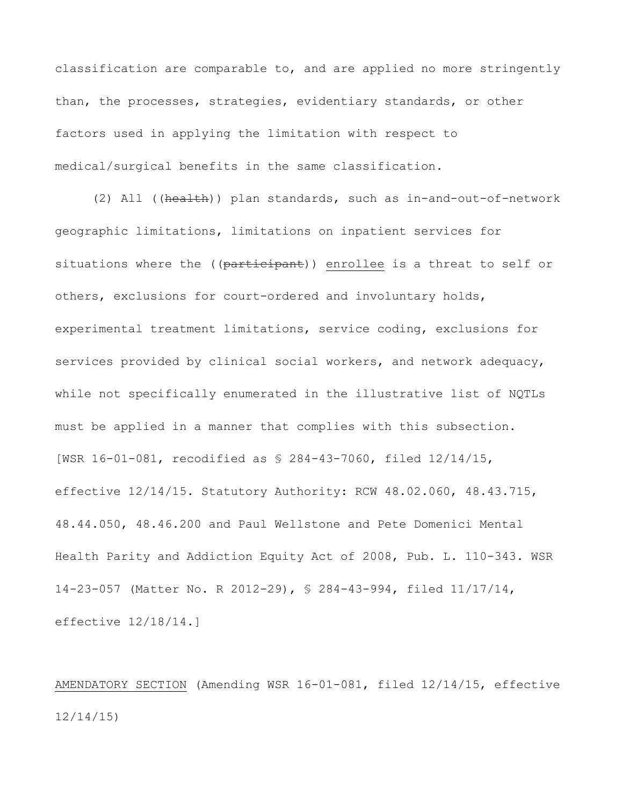classification are comparable to, and are applied no more stringently than, the processes, strategies, evidentiary standards, or other factors used in applying the limitation with respect to medical/surgical benefits in the same classification.

(2) All ((health)) plan standards, such as in-and-out-of-network geographic limitations, limitations on inpatient services for situations where the ((participant)) enrollee is a threat to self or others, exclusions for court-ordered and involuntary holds, experimental treatment limitations, service coding, exclusions for services provided by clinical social workers, and network adequacy, while not specifically enumerated in the illustrative list of NQTLs must be applied in a manner that complies with this subsection. [WSR 16-01-081, recodified as § 284-43-7060, filed 12/14/15, effective 12/14/15. Statutory Authority: RCW 48.02.060, 48.43.715, 48.44.050, 48.46.200 and Paul Wellstone and Pete Domenici Mental Health Parity and Addiction Equity Act of 2008, Pub. L. 110-343. WSR 14-23-057 (Matter No. R 2012-29), § 284-43-994, filed 11/17/14, effective 12/18/14.]

AMENDATORY SECTION (Amending WSR 16-01-081, filed 12/14/15, effective 12/14/15)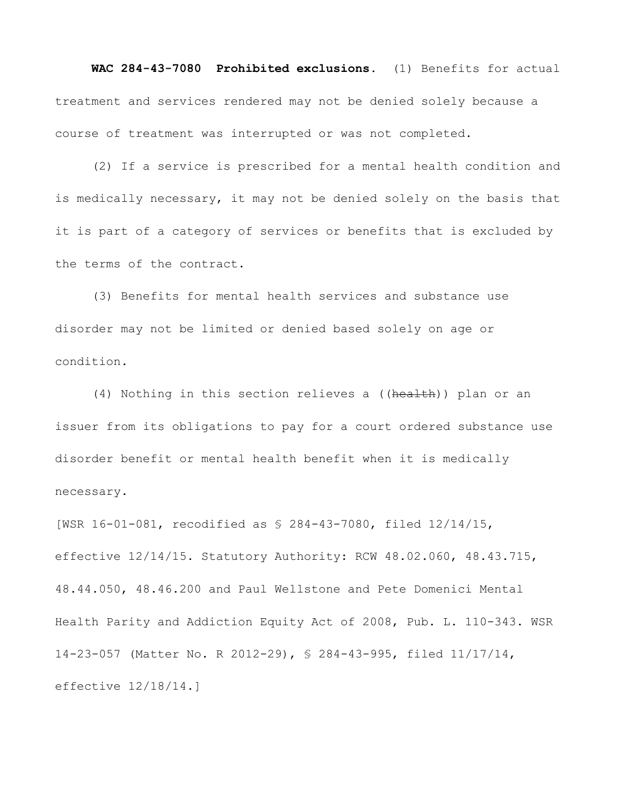**WAC 284-43-7080 Prohibited exclusions.** (1) Benefits for actual treatment and services rendered may not be denied solely because a course of treatment was interrupted or was not completed.

(2) If a service is prescribed for a mental health condition and is medically necessary, it may not be denied solely on the basis that it is part of a category of services or benefits that is excluded by the terms of the contract.

(3) Benefits for mental health services and substance use disorder may not be limited or denied based solely on age or condition.

(4) Nothing in this section relieves a ((health)) plan or an issuer from its obligations to pay for a court ordered substance use disorder benefit or mental health benefit when it is medically necessary.

[WSR 16-01-081, recodified as § 284-43-7080, filed 12/14/15, effective 12/14/15. Statutory Authority: RCW 48.02.060, 48.43.715, 48.44.050, 48.46.200 and Paul Wellstone and Pete Domenici Mental Health Parity and Addiction Equity Act of 2008, Pub. L. 110-343. WSR 14-23-057 (Matter No. R 2012-29), § 284-43-995, filed 11/17/14, effective 12/18/14.]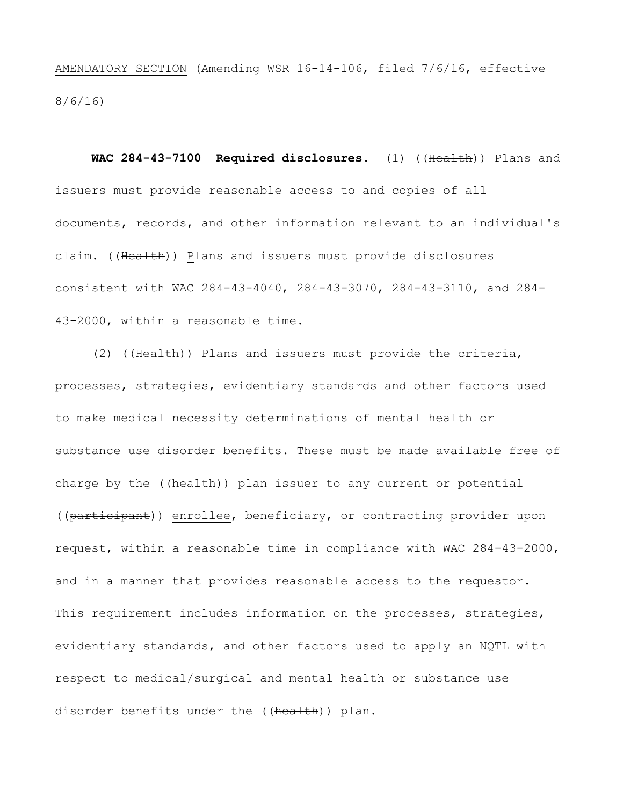AMENDATORY SECTION (Amending WSR 16-14-106, filed 7/6/16, effective 8/6/16)

 **WAC 284-43-7100 Required disclosures.** (1) ((Health)) Plans and issuers must provide reasonable access to and copies of all documents, records, and other information relevant to an individual's claim. ((Health)) Plans and issuers must provide disclosures consistent with WAC 284-43-4040, 284-43-3070, 284-43-3110, and 284- 43-2000, within a reasonable time.

(2) ((Health)) Plans and issuers must provide the criteria, processes, strategies, evidentiary standards and other factors used to make medical necessity determinations of mental health or substance use disorder benefits. These must be made available free of charge by the ((health)) plan issuer to any current or potential ((participant)) enrollee, beneficiary, or contracting provider upon request, within a reasonable time in compliance with WAC 284-43-2000, and in a manner that provides reasonable access to the requestor. This requirement includes information on the processes, strategies, evidentiary standards, and other factors used to apply an NQTL with respect to medical/surgical and mental health or substance use disorder benefits under the ((health)) plan.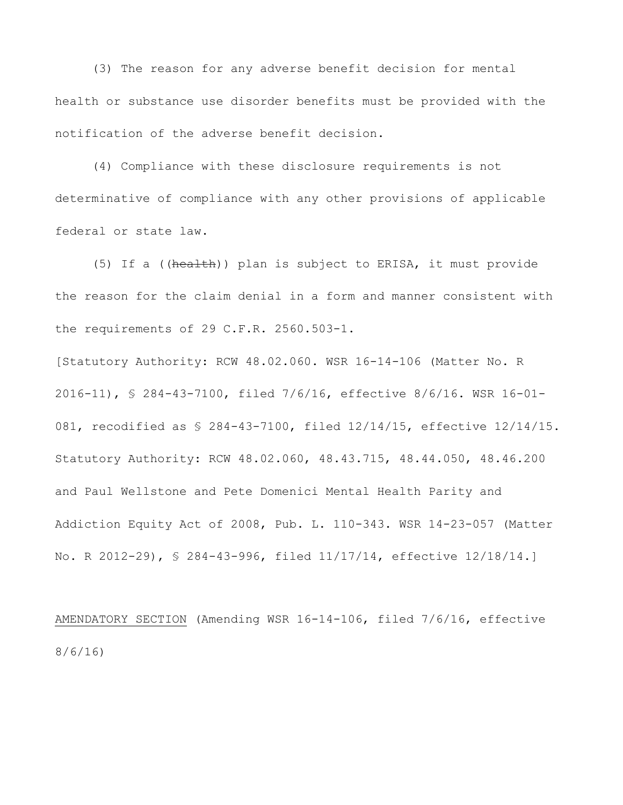(3) The reason for any adverse benefit decision for mental health or substance use disorder benefits must be provided with the notification of the adverse benefit decision.

(4) Compliance with these disclosure requirements is not determinative of compliance with any other provisions of applicable federal or state law.

(5) If a ((health)) plan is subject to ERISA, it must provide the reason for the claim denial in a form and manner consistent with the requirements of 29 C.F.R. 2560.503-1.

[Statutory Authority: RCW 48.02.060. WSR 16-14-106 (Matter No. R 2016-11), § 284-43-7100, filed 7/6/16, effective 8/6/16. WSR 16-01- 081, recodified as § 284-43-7100, filed 12/14/15, effective 12/14/15. Statutory Authority: RCW 48.02.060, 48.43.715, 48.44.050, 48.46.200 and Paul Wellstone and Pete Domenici Mental Health Parity and Addiction Equity Act of 2008, Pub. L. 110-343. WSR 14-23-057 (Matter No. R 2012-29), § 284-43-996, filed 11/17/14, effective 12/18/14.]

AMENDATORY SECTION (Amending WSR 16-14-106, filed 7/6/16, effective 8/6/16)